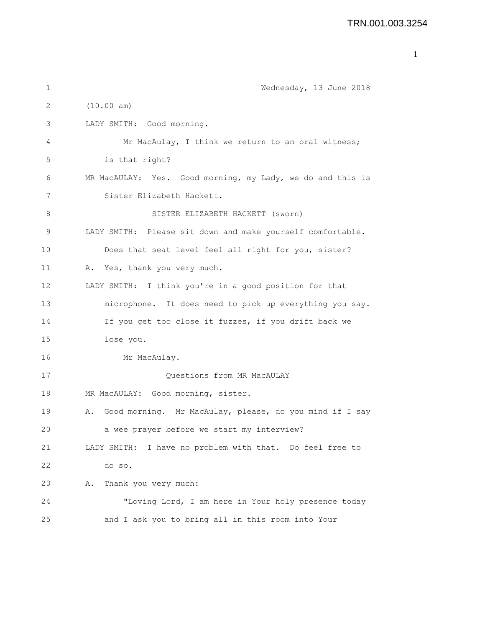```
1 Wednesday, 13 June 2018
2 (10.00 am)
3 LADY SMITH: Good morning.
4 Mr MacAulay, I think we return to an oral witness;
5 is that right?
6 MR MacAULAY: Yes. Good morning, my Lady, we do and this is
7 Sister Elizabeth Hackett.
8 SISTER ELIZABETH HACKETT (sworn)
9 LADY SMITH: Please sit down and make yourself comfortable.
10 Does that seat level feel all right for you, sister?
11 A. Yes, thank you very much.
12 LADY SMITH: I think you're in a good position for that
13 microphone. It does need to pick up everything you say.
14 If you get too close it fuzzes, if you drift back we
15 lose you.
16 Mr MacAulay.
17 Ouestions from MR MacAULAY
18 MR MacAULAY: Good morning, sister.
19 A. Good morning. Mr MacAulay, please, do you mind if I say
20 a wee prayer before we start my interview?
21 LADY SMITH: I have no problem with that. Do feel free to
22 do so.
23 A. Thank you very much:
24 "Loving Lord, I am here in Your holy presence today
25 and I ask you to bring all in this room into Your
```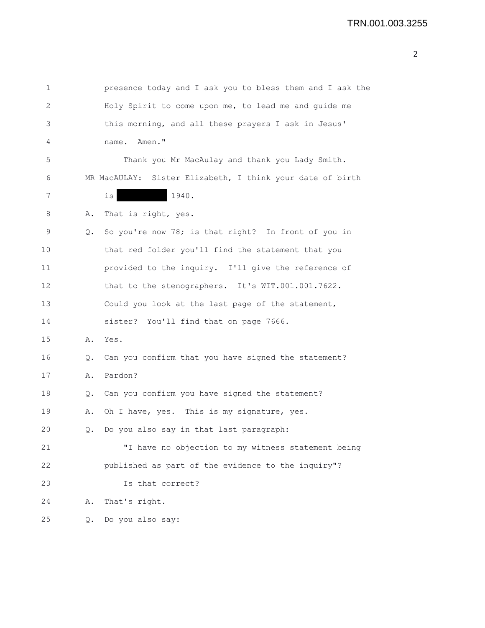| 1  |    | presence today and I ask you to bless them and I ask the  |
|----|----|-----------------------------------------------------------|
| 2  |    | Holy Spirit to come upon me, to lead me and quide me      |
| 3  |    | this morning, and all these prayers I ask in Jesus'       |
| 4  |    | Amen."<br>name.                                           |
| 5  |    | Thank you Mr MacAulay and thank you Lady Smith.           |
| 6  |    | MR MacAULAY: Sister Elizabeth, I think your date of birth |
| 7  |    | 1940.<br>is                                               |
| 8  | Α. | That is right, yes.                                       |
| 9  | Q. | So you're now 78; is that right? In front of you in       |
| 10 |    | that red folder you'll find the statement that you        |
| 11 |    | provided to the inquiry. I'll give the reference of       |
| 12 |    | that to the stenographers. It's WIT.001.001.7622.         |
| 13 |    | Could you look at the last page of the statement,         |
| 14 |    | sister? You'll find that on page 7666.                    |
| 15 | Α. | Yes.                                                      |
| 16 | Q. | Can you confirm that you have signed the statement?       |
| 17 | Α. | Pardon?                                                   |
| 18 | Q. | Can you confirm you have signed the statement?            |
| 19 | Α. | Oh I have, yes. This is my signature, yes.                |
| 20 | Q. | Do you also say in that last paragraph:                   |
| 21 |    | "I have no objection to my witness statement being        |
| 22 |    | published as part of the evidence to the inquiry"?        |
| 23 |    | Is that correct?                                          |
| 24 | Α. | That's right.                                             |
| 25 | Q. | Do you also say:                                          |
|    |    |                                                           |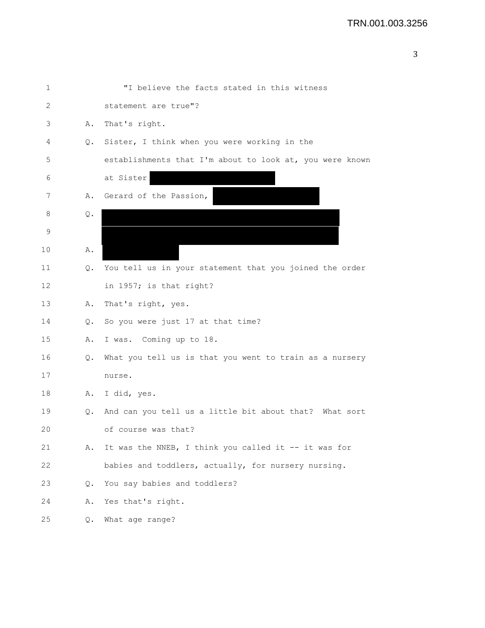|        | i |  |
|--------|---|--|
| ł      |   |  |
| I<br>I |   |  |

| 1  |    | "I believe the facts stated in this witness              |
|----|----|----------------------------------------------------------|
| 2  |    | statement are true"?                                     |
| 3  | Α. | That's right.                                            |
| 4  | Q. | Sister, I think when you were working in the             |
| 5  |    | establishments that I'm about to look at, you were known |
| 6  |    | at Sister                                                |
| 7  | Α. | Gerard of the Passion,                                   |
| 8  | Q. |                                                          |
| 9  |    |                                                          |
| 10 | Α. |                                                          |
| 11 | Q. | You tell us in your statement that you joined the order  |
| 12 |    | in 1957; is that right?                                  |
| 13 | Α. | That's right, yes.                                       |
| 14 | Q. | So you were just 17 at that time?                        |
| 15 | Α. | I was. Coming up to 18.                                  |
| 16 | Q. | What you tell us is that you went to train as a nursery  |
| 17 |    | nurse.                                                   |
| 18 | Α. | I did, yes.                                              |
| 19 | Q. | And can you tell us a little bit about that? What sort   |
| 20 |    | of course was that?                                      |
| 21 | Α. | It was the NNEB, I think you called it -- it was for     |
| 22 |    | babies and toddlers, actually, for nursery nursing.      |
| 23 | Q. | You say babies and toddlers?                             |
| 24 | Α. | Yes that's right.                                        |
| 25 | Q. | What age range?                                          |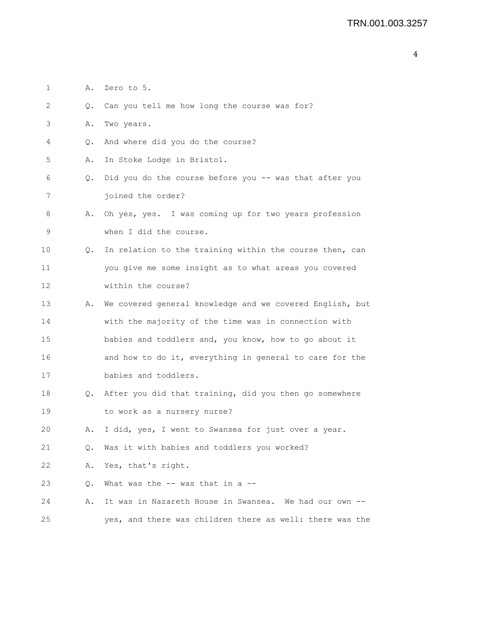```
1 A. Zero to 5.
2 Q. Can you tell me how long the course was for?
3 A. Two years.
4 Q. And where did you do the course?
5 A. In Stoke Lodge in Bristol.
6 Q. Did you do the course before you -- was that after you
7 joined the order?
8 A. Oh yes, yes. I was coming up for two years profession
9 when I did the course.
10 Q. In relation to the training within the course then, can
11 you give me some insight as to what areas you covered
12 within the course?
13 A. We covered general knowledge and we covered English, but
14 with the majority of the time was in connection with
15 babies and toddlers and, you know, how to go about it
16 and how to do it, everything in general to care for the
17 babies and toddlers.
18 Q. After you did that training, did you then go somewhere
19 to work as a nursery nurse?
20 A. I did, yes, I went to Swansea for just over a year.
21 Q. Was it with babies and toddlers you worked?
22 A. Yes, that's right.
23 Q. What was the -- was that in a --24 A. It was in Nazareth House in Swansea. We had our own --
25 yes, and there was children there as well: there was the
```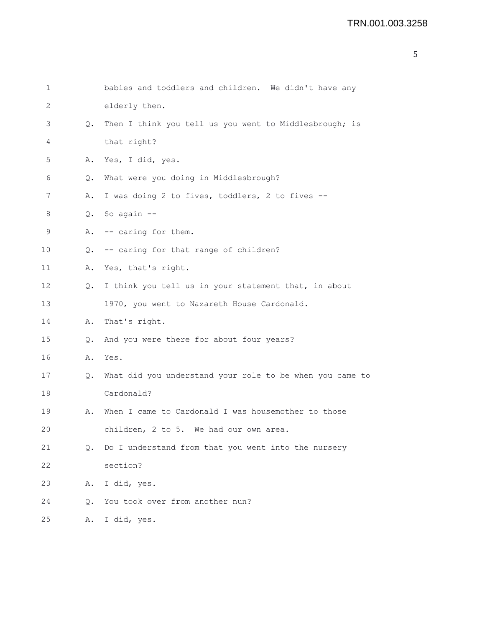| 1  |               | babies and toddlers and children. We didn't have any     |
|----|---------------|----------------------------------------------------------|
| 2  |               | elderly then.                                            |
| 3  | Q.            | Then I think you tell us you went to Middlesbrough; is   |
| 4  |               | that right?                                              |
| 5  | Α.            | Yes, I did, yes.                                         |
| 6  | Q.            | What were you doing in Middlesbrough?                    |
| 7  | Α.            | I was doing 2 to fives, toddlers, 2 to fives --          |
| 8  |               | Q. So again --                                           |
| 9  |               | A. -- caring for them.                                   |
| 10 | $\circ$ .     | -- caring for that range of children?                    |
| 11 | Α.            | Yes, that's right.                                       |
| 12 | Q.            | I think you tell us in your statement that, in about     |
| 13 |               | 1970, you went to Nazareth House Cardonald.              |
| 14 | Α.            | That's right.                                            |
| 15 | $Q_{\bullet}$ | And you were there for about four years?                 |
| 16 | Α.            | Yes.                                                     |
| 17 | Q.            | What did you understand your role to be when you came to |
| 18 |               | Cardonald?                                               |
| 19 | Α.            | When I came to Cardonald I was housemother to those      |
| 20 |               | children, 2 to 5. We had our own area.                   |
| 21 | Q.            | Do I understand from that you went into the nursery      |
| 22 |               | section?                                                 |
| 23 | Α.            | I did, yes.                                              |
| 24 | О.            | You took over from another nun?                          |
| 25 | Α.            | I did, yes.                                              |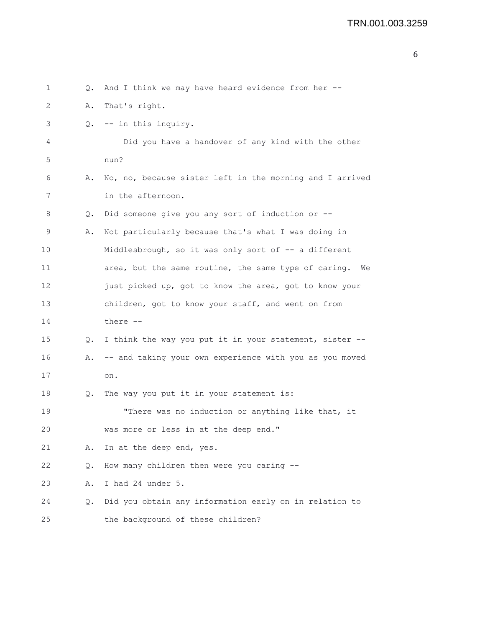| 1  | Q. | And I think we may have heard evidence from her --         |
|----|----|------------------------------------------------------------|
| 2  | Α. | That's right.                                              |
| 3  | Q. | -- in this inquiry.                                        |
| 4  |    | Did you have a handover of any kind with the other         |
| 5  |    | nun?                                                       |
| 6  | Α. | No, no, because sister left in the morning and I arrived   |
| 7  |    | in the afternoon.                                          |
| 8  | Q. | Did someone give you any sort of induction or --           |
| 9  | Α. | Not particularly because that's what I was doing in        |
| 10 |    | Middlesbrough, so it was only sort of -- a different       |
| 11 |    | area, but the same routine, the same type of caring.<br>We |
| 12 |    | just picked up, got to know the area, got to know your     |
| 13 |    | children, got to know your staff, and went on from         |
| 14 |    | there --                                                   |
| 15 | Q. | I think the way you put it in your statement, sister --    |
| 16 | Α. | -- and taking your own experience with you as you moved    |
| 17 |    | on.                                                        |
| 18 | Q. | The way you put it in your statement is:                   |
| 19 |    | "There was no induction or anything like that, it          |
| 20 |    | was more or less in at the deep end."                      |
| 21 | Α. | In at the deep end, yes.                                   |
| 22 | Q. | How many children then were you caring --                  |
| 23 | Α. | I had 24 under 5.                                          |
| 24 | О. | Did you obtain any information early on in relation to     |
| 25 |    | the background of these children?                          |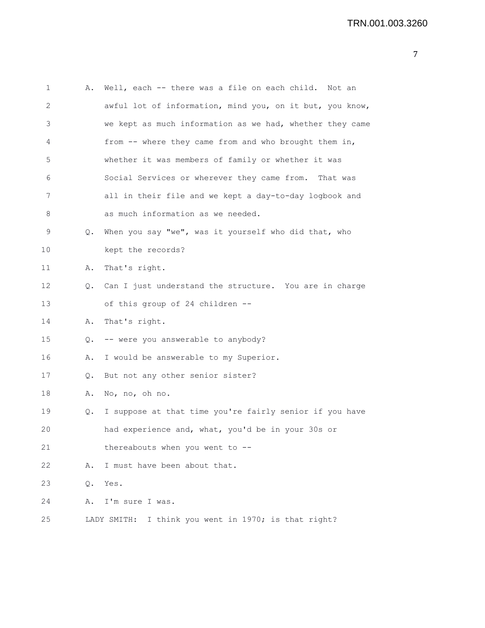| $\mathbf 1$ | Α.        | Well, each -- there was a file on each child. Not an     |
|-------------|-----------|----------------------------------------------------------|
| 2           |           | awful lot of information, mind you, on it but, you know, |
| 3           |           | we kept as much information as we had, whether they came |
| 4           |           | from -- where they came from and who brought them in,    |
| 5           |           | whether it was members of family or whether it was       |
| 6           |           | Social Services or wherever they came from. That was     |
| 7           |           | all in their file and we kept a day-to-day logbook and   |
| 8           |           | as much information as we needed.                        |
| 9           | Q.        | When you say "we", was it yourself who did that, who     |
| 10          |           | kept the records?                                        |
| 11          | Α.        | That's right.                                            |
| 12          | $\circ$ . | Can I just understand the structure. You are in charge   |
| 13          |           | of this group of 24 children --                          |
| 14          | Α.        | That's right.                                            |
| 15          |           | Q. -- were you answerable to anybody?                    |
| 16          | Α.        | I would be answerable to my Superior.                    |
| 17          | Q.        | But not any other senior sister?                         |
| 18          | Α.        | No, no, oh no.                                           |
| 19          | Q.        | I suppose at that time you're fairly senior if you have  |
| 20          |           | had experience and, what, you'd be in your 30s or        |
| 21          |           | thereabouts when you went to --                          |
| 22          | Α.        | I must have been about that.                             |
| 23          | Q.        | Yes.                                                     |
| 24          | Α.        | I'm sure I was.                                          |
| 25          |           | I think you went in 1970; is that right?<br>LADY SMITH:  |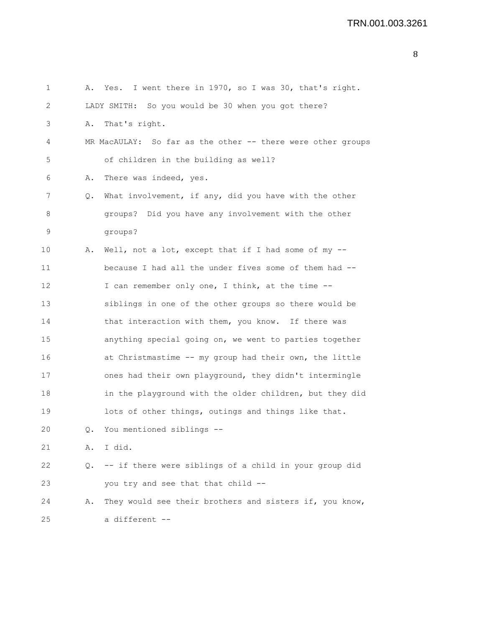```
1 A. Yes. I went there in 1970, so I was 30, that's right.
2 LADY SMITH: So you would be 30 when you got there?
3 A. That's right.
4 MR MacAULAY: So far as the other -- there were other groups
5 of children in the building as well?
6 A. There was indeed, yes.
7 Q. What involvement, if any, did you have with the other
8 groups? Did you have any involvement with the other
9 groups?
10 A. Well, not a lot, except that if I had some of my --
11 because I had all the under fives some of them had --
12 I can remember only one, I think, at the time --
13 siblings in one of the other groups so there would be
14 that interaction with them, you know. If there was
15 anything special going on, we went to parties together
16 at Christmastime -- my group had their own, the little
17 ones had their own playground, they didn't intermingle
18 in the playground with the older children, but they did
19 lots of other things, outings and things like that.
20 Q. You mentioned siblings --
21 A. I did.
22 Q. -- if there were siblings of a child in your group did
23 you try and see that that child --
24 A. They would see their brothers and sisters if, you know,
25 a different --
```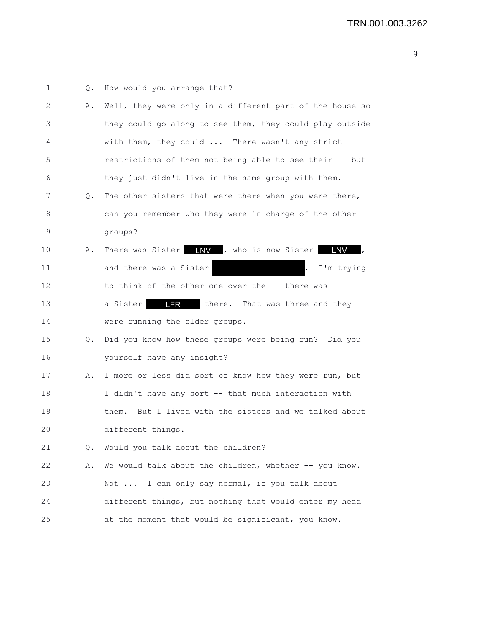| 1  | Q.            | How would you arrange that?                                   |
|----|---------------|---------------------------------------------------------------|
| 2  | Α.            | Well, they were only in a different part of the house so      |
| 3  |               | they could go along to see them, they could play outside      |
| 4  |               | with them, they could  There wasn't any strict                |
| 5  |               | restrictions of them not being able to see their -- but       |
| 6  |               | they just didn't live in the same group with them.            |
| 7  | Q.            | The other sisters that were there when you were there,        |
| 8  |               | can you remember who they were in charge of the other         |
| 9  |               | groups?                                                       |
| 10 | Α.            | There was Sister <b>INV</b> , who is now Sister<br><b>LNV</b> |
| 11 |               | and there was a Sister<br>I'm trying<br>$\cdot$               |
| 12 |               | to think of the other one over the -- there was               |
| 13 |               | <b>LFR</b><br>a Sister<br>there. That was three and they      |
| 14 |               | were running the older groups.                                |
| 15 | $Q_{\bullet}$ | Did you know how these groups were being run? Did you         |
| 16 |               | yourself have any insight?                                    |
| 17 | Α.            | I more or less did sort of know how they were run, but        |
| 18 |               | I didn't have any sort -- that much interaction with          |
| 19 |               | But I lived with the sisters and we talked about<br>them.     |
| 20 |               | different things.                                             |
| 21 | Q.            | Would you talk about the children?                            |
| 22 | Α.            | We would talk about the children, whether -- you know.        |
| 23 |               | Not  I can only say normal, if you talk about                 |
| 24 |               | different things, but nothing that would enter my head        |
| 25 |               | at the moment that would be significant, you know.            |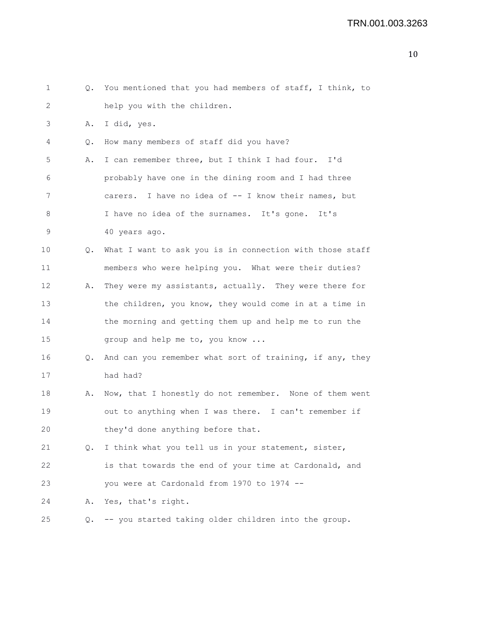```
1 Q. You mentioned that you had members of staff, I think, to
2 help you with the children. 
3 A. I did, yes.
4 Q. How many members of staff did you have?
5 A. I can remember three, but I think I had four. I'd
6 probably have one in the dining room and I had three
7 carers. I have no idea of -- I know their names, but
8 I have no idea of the surnames. It's gone. It's
9 40 years ago.
10 Q. What I want to ask you is in connection with those staff
11 members who were helping you. What were their duties?
12 A. They were my assistants, actually. They were there for 
13 the children, you know, they would come in at a time in
14 the morning and getting them up and help me to run the
15 group and help me to, you know ...
16 Q. And can you remember what sort of training, if any, they
17 had had?
18 A. Now, that I honestly do not remember. None of them went
19 out to anything when I was there. I can't remember if
20 they'd done anything before that.
21 Q. I think what you tell us in your statement, sister,
22 is that towards the end of your time at Cardonald, and
23 you were at Cardonald from 1970 to 1974 --
24 A. Yes, that's right.
25 Q. -- you started taking older children into the group.
```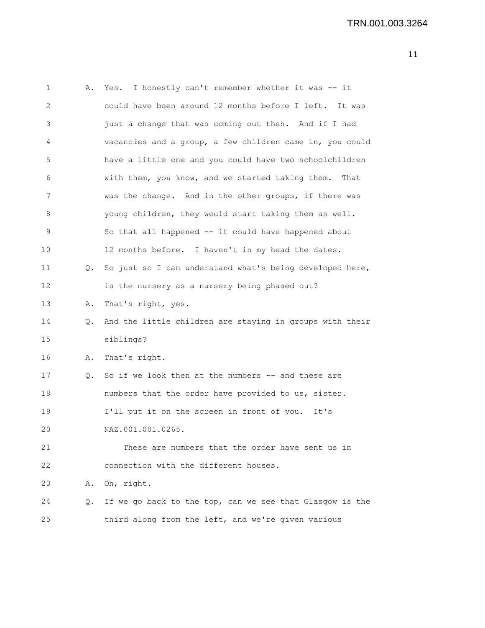```
1 A. Yes. I honestly can't remember whether it was -- it
2 could have been around 12 months before I left. It was
3 just a change that was coming out then. And if I had
4 vacancies and a group, a few children came in, you could
5 have a little one and you could have two schoolchildren
6 with them, you know, and we started taking them. That
7 was the change. And in the other groups, if there was
8 young children, they would start taking them as well.
9 So that all happened -- it could have happened about
10 12 months before. I haven't in my head the dates.
11 Q. So just so I can understand what's being developed here,
12 is the nursery as a nursery being phased out?
13 A. That's right, yes.
14 Q. And the little children are staying in groups with their
15 siblings?
16 A. That's right.
17 Q. So if we look then at the numbers -- and these are
18 numbers that the order have provided to us, sister.
19 I'll put it on the screen in front of you. It's
20 NAZ.001.001.0265.
21 These are numbers that the order have sent us in
22 connection with the different houses.
23 A. Oh, right.
24 Q. If we go back to the top, can we see that Glasgow is the
25 third along from the left, and we're given various
```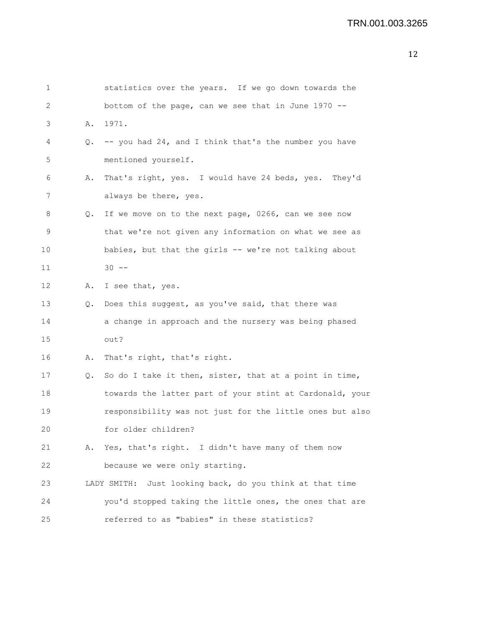| $\mathbf 1$ |    | statistics over the years. If we go down towards the     |
|-------------|----|----------------------------------------------------------|
| 2           |    | bottom of the page, can we see that in June 1970 --      |
| 3           | Α. | 1971.                                                    |
| 4           | Q. | -- you had 24, and I think that's the number you have    |
| $\mathsf S$ |    | mentioned yourself.                                      |
| 6           | Α. | That's right, yes. I would have 24 beds, yes. They'd     |
| 7           |    | always be there, yes.                                    |
| 8           | Q. | If we move on to the next page, 0266, can we see now     |
| 9           |    | that we're not given any information on what we see as   |
| 10          |    | babies, but that the girls -- we're not talking about    |
| 11          |    | $30 - -$                                                 |
| 12          | Α. | I see that, yes.                                         |
| 13          | Q. | Does this suggest, as you've said, that there was        |
| 14          |    | a change in approach and the nursery was being phased    |
| 15          |    | out?                                                     |
| 16          | Α. | That's right, that's right.                              |
| 17          | Q. | So do I take it then, sister, that at a point in time,   |
| 18          |    | towards the latter part of your stint at Cardonald, your |
| 19          |    | responsibility was not just for the little ones but also |
| 20          |    | for older children?                                      |
| 21          | Α. | Yes, that's right. I didn't have many of them now        |
| 22          |    | because we were only starting.                           |
| 23          |    | LADY SMITH: Just looking back, do you think at that time |
| 24          |    | you'd stopped taking the little ones, the ones that are  |
| 25          |    | referred to as "babies" in these statistics?             |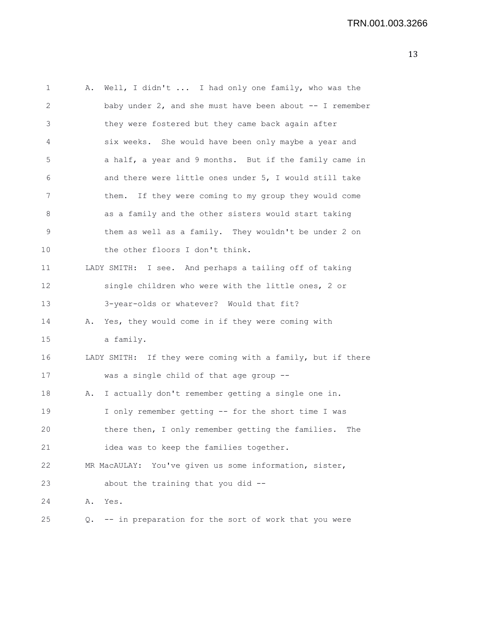| 1  | Α. | Well, I didn't  I had only one family, who was the             |
|----|----|----------------------------------------------------------------|
| 2  |    | baby under $2$ , and she must have been about $-$ - I remember |
| 3  |    | they were fostered but they came back again after              |
| 4  |    | six weeks. She would have been only maybe a year and           |
| 5  |    | a half, a year and 9 months. But if the family came in         |
| 6  |    | and there were little ones under 5, I would still take         |
| 7  |    | If they were coming to my group they would come<br>them.       |
| 8  |    | as a family and the other sisters would start taking           |
| 9  |    | them as well as a family. They wouldn't be under 2 on          |
| 10 |    | the other floors I don't think.                                |
| 11 |    | LADY SMITH: I see. And perhaps a tailing off of taking         |
| 12 |    | single children who were with the little ones, 2 or            |
| 13 |    | 3-year-olds or whatever? Would that fit?                       |
| 14 |    | A. Yes, they would come in if they were coming with            |
| 15 |    | a family.                                                      |
| 16 |    | LADY SMITH: If they were coming with a family, but if there    |
| 17 |    | was a single child of that age group --                        |
| 18 | Α. | I actually don't remember getting a single one in.             |
| 19 |    | I only remember getting -- for the short time I was            |
| 20 |    | there then, I only remember getting the families.<br>The       |
| 21 |    | idea was to keep the families together.                        |
| 22 |    | MR MacAULAY: You've given us some information, sister,         |
| 23 |    | about the training that you did --                             |
| 24 | Α. | Yes.                                                           |
| 25 | Q. | -- in preparation for the sort of work that you were           |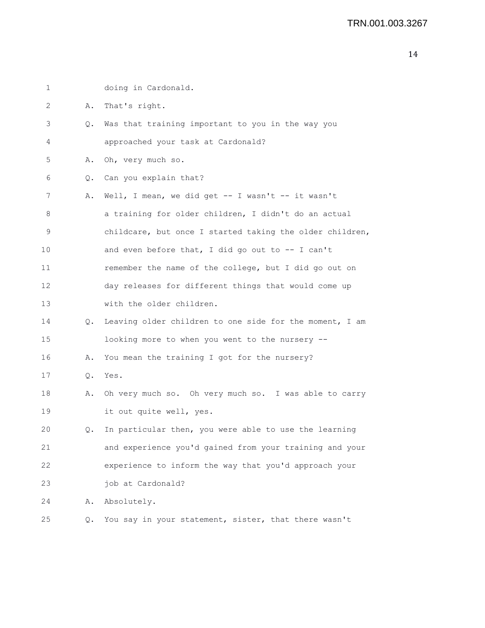| 1  |           | doing in Cardonald.                                      |
|----|-----------|----------------------------------------------------------|
| 2  | Α.        | That's right.                                            |
| 3  | Q.        | Was that training important to you in the way you        |
| 4  |           | approached your task at Cardonald?                       |
| 5  | Α.        | Oh, very much so.                                        |
| 6  | Q.        | Can you explain that?                                    |
| 7  | Α.        | Well, I mean, we did get -- I wasn't -- it wasn't        |
| 8  |           | a training for older children, I didn't do an actual     |
| 9  |           | childcare, but once I started taking the older children, |
| 10 |           | and even before that, I did go out to -- I can't         |
| 11 |           | remember the name of the college, but I did go out on    |
| 12 |           | day releases for different things that would come up     |
| 13 |           | with the older children.                                 |
| 14 | $\circ$ . | Leaving older children to one side for the moment, I am  |
| 15 |           | looking more to when you went to the nursery --          |
| 16 | Α.        | You mean the training I got for the nursery?             |
| 17 | Q.        | Yes.                                                     |
| 18 | Α.        | Oh very much so. Oh very much so. I was able to carry    |
| 19 |           | it out quite well, yes.                                  |
| 20 | Q.        | In particular then, you were able to use the learning    |
| 21 |           | and experience you'd gained from your training and your  |
| 22 |           | experience to inform the way that you'd approach your    |
| 23 |           | job at Cardonald?                                        |
| 24 | Α.        | Absolutely.                                              |
| 25 | Q.        | You say in your statement, sister, that there wasn't     |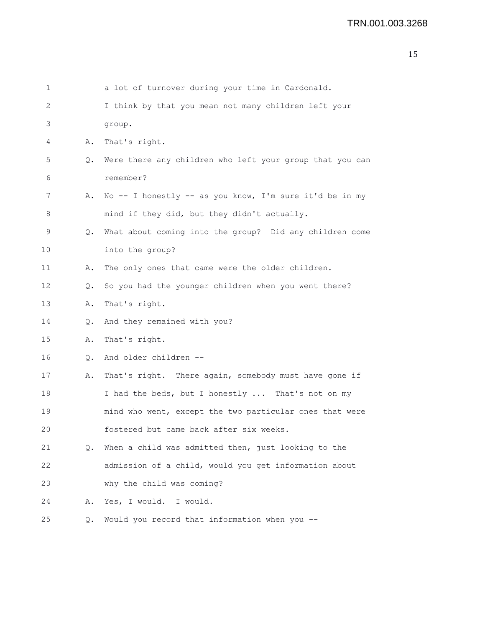| 1  |               | a lot of turnover during your time in Cardonald.           |
|----|---------------|------------------------------------------------------------|
| 2  |               | I think by that you mean not many children left your       |
| 3  |               | group.                                                     |
| 4  | Α.            | That's right.                                              |
| 5  | Q.            | Were there any children who left your group that you can   |
| 6  |               | remember?                                                  |
| 7  | Α.            | No -- I honestly -- as you know, I'm sure it'd be in my    |
| 8  |               | mind if they did, but they didn't actually.                |
| 9  |               | Q. What about coming into the group? Did any children come |
| 10 |               | into the group?                                            |
| 11 | Α.            | The only ones that came were the older children.           |
| 12 | Q.            | So you had the younger children when you went there?       |
| 13 | Α.            | That's right.                                              |
| 14 | Q.            | And they remained with you?                                |
| 15 | Α.            | That's right.                                              |
| 16 | $Q_{\bullet}$ | And older children --                                      |
| 17 | Α.            | That's right. There again, somebody must have gone if      |
| 18 |               | I had the beds, but I honestly  That's not on my           |
| 19 |               | mind who went, except the two particular ones that were    |
| 20 |               | fostered but came back after six weeks.                    |
| 21 | Q.            | When a child was admitted then, just looking to the        |
| 22 |               | admission of a child, would you get information about      |
| 23 |               | why the child was coming?                                  |
| 24 | Α.            | Yes, I would.<br>I would.                                  |
| 25 | Q.            | Would you record that information when you --              |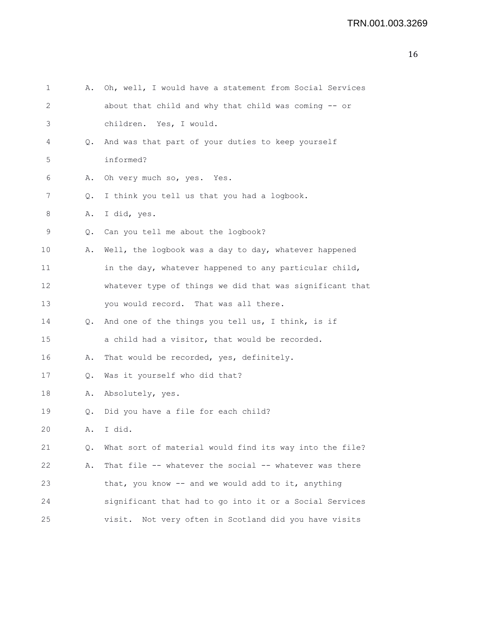| 1  | Α. | Oh, well, I would have a statement from Social Services  |
|----|----|----------------------------------------------------------|
| 2  |    | about that child and why that child was coming -- or     |
| 3  |    | children. Yes, I would.                                  |
| 4  | Q. | And was that part of your duties to keep yourself        |
| 5  |    | informed?                                                |
| 6  | Α. | Oh very much so, yes. Yes.                               |
| 7  | Q. | I think you tell us that you had a logbook.              |
| 8  | Α. | I did, yes.                                              |
| 9  | Q. | Can you tell me about the logbook?                       |
| 10 | Α. | Well, the logbook was a day to day, whatever happened    |
| 11 |    | in the day, whatever happened to any particular child,   |
| 12 |    | whatever type of things we did that was significant that |
| 13 |    | you would record. That was all there.                    |
| 14 | Q. | And one of the things you tell us, I think, is if        |
| 15 |    | a child had a visitor, that would be recorded.           |
| 16 | Α. | That would be recorded, yes, definitely.                 |
| 17 | Q. | Was it yourself who did that?                            |
| 18 | Α. | Absolutely, yes.                                         |
| 19 | Q. | Did you have a file for each child?                      |
| 20 | Α. | I did.                                                   |
| 21 | Q. | What sort of material would find its way into the file?  |
| 22 | Α. | That file -- whatever the social -- whatever was there   |
| 23 |    | that, you know -- and we would add to it, anything       |
| 24 |    | significant that had to go into it or a Social Services  |
| 25 |    | Not very often in Scotland did you have visits<br>visit. |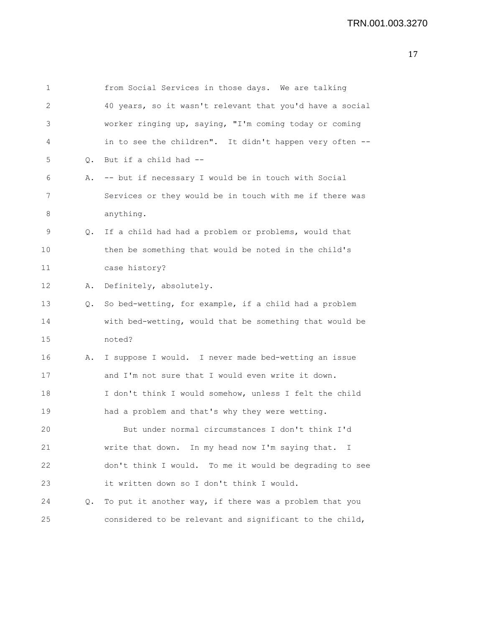| $\mathbf 1$ |    | from Social Services in those days. We are talking       |
|-------------|----|----------------------------------------------------------|
| 2           |    | 40 years, so it wasn't relevant that you'd have a social |
| 3           |    | worker ringing up, saying, "I'm coming today or coming   |
| 4           |    | in to see the children". It didn't happen very often --  |
| 5           | Q. | But if a child had --                                    |
| 6           | Α. | -- but if necessary I would be in touch with Social      |
| 7           |    | Services or they would be in touch with me if there was  |
| 8           |    | anything.                                                |
| 9           | Q. | If a child had had a problem or problems, would that     |
| 10          |    | then be something that would be noted in the child's     |
| 11          |    | case history?                                            |
| 12          | Α. | Definitely, absolutely.                                  |
| 13          | Q. | So bed-wetting, for example, if a child had a problem    |
| 14          |    | with bed-wetting, would that be something that would be  |
| 15          |    | noted?                                                   |
| 16          | Α. | I suppose I would. I never made bed-wetting an issue     |
| 17          |    | and I'm not sure that I would even write it down.        |
| 18          |    | I don't think I would somehow, unless I felt the child   |
| 19          |    | had a problem and that's why they were wetting.          |
| 20          |    | But under normal circumstances I don't think I'd         |
| 21          |    | write that down. In my head now I'm saying that. I       |
| 22          |    | don't think I would. To me it would be degrading to see  |
| 23          |    | it written down so I don't think I would.                |
| 24          | Q. | To put it another way, if there was a problem that you   |
| 25          |    | considered to be relevant and significant to the child,  |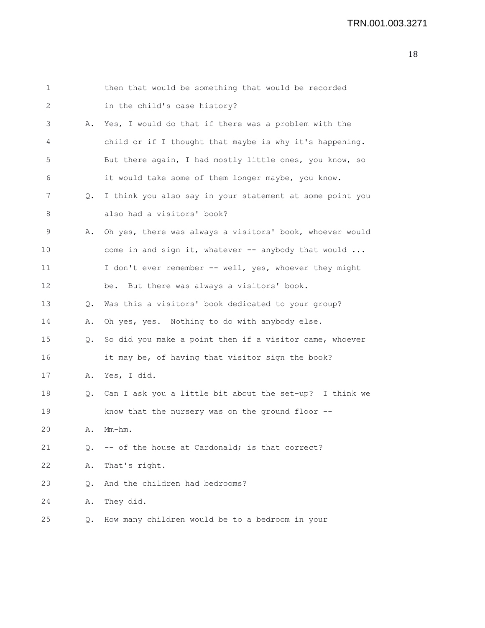| $\mathbf{1}$ |    | then that would be something that would be recorded      |
|--------------|----|----------------------------------------------------------|
| 2            |    | in the child's case history?                             |
| 3            | Α. | Yes, I would do that if there was a problem with the     |
| 4            |    | child or if I thought that maybe is why it's happening.  |
| 5            |    | But there again, I had mostly little ones, you know, so  |
| 6            |    | it would take some of them longer maybe, you know.       |
| 7            | Q. | I think you also say in your statement at some point you |
| 8            |    | also had a visitors' book?                               |
| 9            | Α. | Oh yes, there was always a visitors' book, whoever would |
| 10           |    | come in and sign it, whatever -- anybody that would      |
| 11           |    | I don't ever remember -- well, yes, whoever they might   |
| 12           |    | be. But there was always a visitors' book.               |
| 13           | Q. | Was this a visitors' book dedicated to your group?       |
| 14           | Α. | Oh yes, yes. Nothing to do with anybody else.            |
| 15           | Q. | So did you make a point then if a visitor came, whoever  |
| 16           |    | it may be, of having that visitor sign the book?         |
| 17           | Α. | Yes, I did.                                              |
| 18           | Q. | Can I ask you a little bit about the set-up? I think we  |
| 19           |    | know that the nursery was on the ground floor --         |
| 20           | Α. | Mm-hm.                                                   |
| 21           | Q. | -- of the house at Cardonald; is that correct?           |
| 22           | Α. | That's right.                                            |
| 23           | Q. | And the children had bedrooms?                           |
| 24           | Α. | They did.                                                |
| 25           | Q. | How many children would be to a bedroom in your          |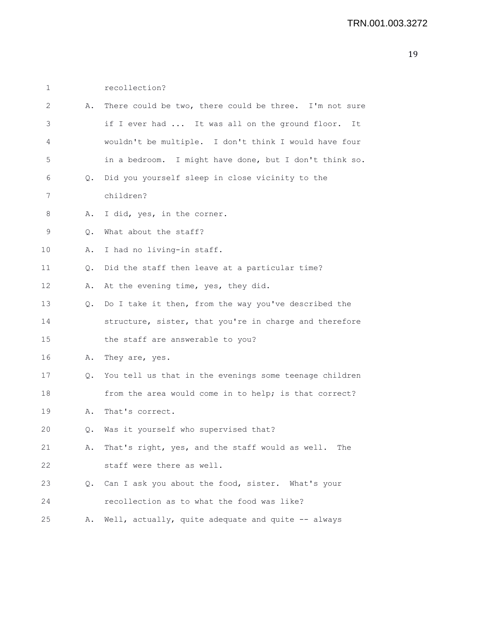1 recollection? 2 A. There could be two, there could be three. I'm not sure 3 if I ever had ... It was all on the ground floor. It 4 wouldn't be multiple. I don't think I would have four 5 in a bedroom. I might have done, but I don't think so. 6 Q. Did you yourself sleep in close vicinity to the 7 children? 8 A. I did, yes, in the corner. 9 Q. What about the staff? 10 A. I had no living-in staff. 11 Q. Did the staff then leave at a particular time? 12 A. At the evening time, yes, they did. 13 Q. Do I take it then, from the way you've described the 14 structure, sister, that you're in charge and therefore 15 the staff are answerable to you? 16 A. They are, yes. 17 Q. You tell us that in the evenings some teenage children 18 from the area would come in to help; is that correct? 19 A. That's correct. 20 Q. Was it yourself who supervised that? 21 A. That's right, yes, and the staff would as well. The 22 staff were there as well. 23 Q. Can I ask you about the food, sister. What's your 24 recollection as to what the food was like? 25 A. Well, actually, quite adequate and quite -- always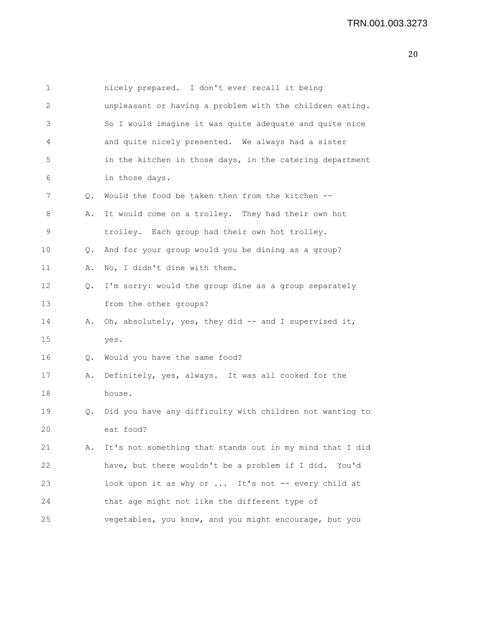| $\mathbf 1$ |    | nicely prepared. I don't ever recall it being            |
|-------------|----|----------------------------------------------------------|
| 2           |    | unpleasant or having a problem with the children eating. |
| 3           |    | So I would imagine it was quite adequate and quite nice  |
| 4           |    | and quite nicely presented. We always had a sister       |
| 5           |    | in the kitchen in those days, in the catering department |
| 6           |    | in those days.                                           |
| 7           | Q. | Would the food be taken then from the kitchen --         |
| 8           | Α. | It would come on a trolley. They had their own hot       |
| 9           |    | trolley. Each group had their own hot trolley.           |
| 10          | Q. | And for your group would you be dining as a group?       |
| 11          | Α. | No, I didn't dine with them.                             |
| 12          | Q. | I'm sorry: would the group dine as a group separately    |
| 13          |    | from the other groups?                                   |
| 14          | Α. | Oh, absolutely, yes, they did -- and I supervised it,    |
| 15          |    | yes.                                                     |
| 16          | Q. | Would you have the same food?                            |
| 17          | Α. | Definitely, yes, always. It was all cooked for the       |
| 18          |    | house.                                                   |
| 19          | Q. | Did you have any difficulty with children not wanting to |
| 20          |    | eat food?                                                |
| 21          | Α. | It's not something that stands out in my mind that I did |
| 22          |    | have, but there wouldn't be a problem if I did. You'd    |
| 23          |    | look upon it as why or  It's not -- every child at       |
| 24          |    | that age might not like the different type of            |
| 25          |    | vegetables, you know, and you might encourage, but you   |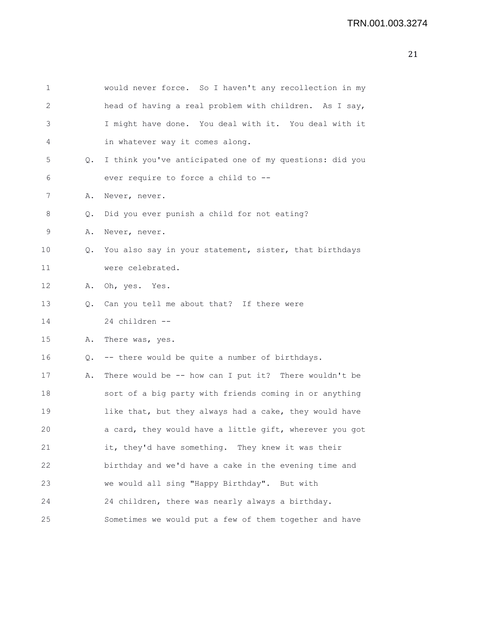| $\mathbf 1$ |    | would never force. So I haven't any recollection in my  |
|-------------|----|---------------------------------------------------------|
| 2           |    | head of having a real problem with children. As I say,  |
| 3           |    | I might have done. You deal with it. You deal with it   |
| 4           |    | in whatever way it comes along.                         |
| 5           | Q. | I think you've anticipated one of my questions: did you |
| 6           |    | ever require to force a child to --                     |
| 7           | Α. | Never, never.                                           |
| 8           | Q. | Did you ever punish a child for not eating?             |
| 9           | Α. | Never, never.                                           |
| 10          | Q. | You also say in your statement, sister, that birthdays  |
| 11          |    | were celebrated.                                        |
| 12          | Α. | Oh, yes. Yes.                                           |
| 13          | Q. | Can you tell me about that? If there were               |
| 14          |    | 24 children --                                          |
| 15          | Α. | There was, yes.                                         |
| 16          | Q. | -- there would be quite a number of birthdays.          |
| 17          | Α. | There would be -- how can I put it? There wouldn't be   |
| 18          |    | sort of a big party with friends coming in or anything  |
| 19          |    | like that, but they always had a cake, they would have  |
| 20          |    | a card, they would have a little gift, wherever you got |
| 21          |    | it, they'd have something. They knew it was their       |
| 22          |    | birthday and we'd have a cake in the evening time and   |
| 23          |    | we would all sing "Happy Birthday". But with            |
| 24          |    | 24 children, there was nearly always a birthday.        |
| 25          |    | Sometimes we would put a few of them together and have  |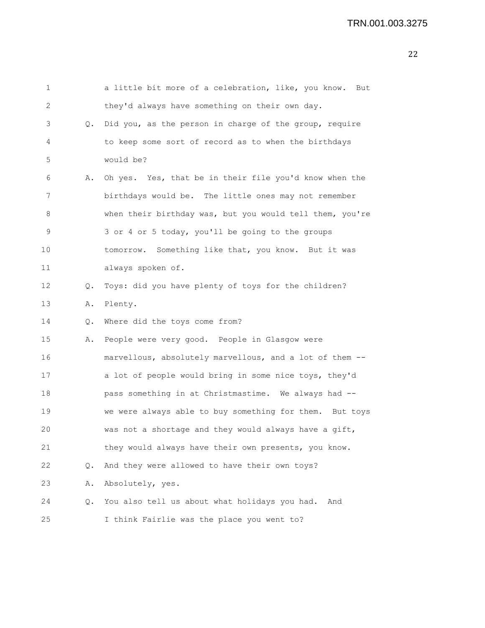| 1                 |           | a little bit more of a celebration, like, you know. But  |
|-------------------|-----------|----------------------------------------------------------|
| 2                 |           | they'd always have something on their own day.           |
| 3                 | Q.        | Did you, as the person in charge of the group, require   |
| 4                 |           | to keep some sort of record as to when the birthdays     |
| 5                 |           | would be?                                                |
| 6                 | Α.        | Oh yes. Yes, that be in their file you'd know when the   |
| 7                 |           | birthdays would be. The little ones may not remember     |
| 8                 |           | when their birthday was, but you would tell them, you're |
| 9                 |           | 3 or 4 or 5 today, you'll be going to the groups         |
| 10                |           | tomorrow. Something like that, you know. But it was      |
| 11                |           | always spoken of.                                        |
| $12 \overline{ }$ | Q.        | Toys: did you have plenty of toys for the children?      |
| 13                | Α.        | Plenty.                                                  |
| 14                | $\circ$ . | Where did the toys come from?                            |
| 15                | Α.        | People were very good. People in Glasgow were            |
| 16                |           | marvellous, absolutely marvellous, and a lot of them --  |
| 17                |           | a lot of people would bring in some nice toys, they'd    |
| 18                |           | pass something in at Christmastime. We always had --     |
| 19                |           | we were always able to buy something for them. But toys  |
| 20                |           | was not a shortage and they would always have a gift,    |
| 21                |           | they would always have their own presents, you know.     |
| 22                | Q.        | And they were allowed to have their own toys?            |
| 23                | Α.        | Absolutely, yes.                                         |
| 24                | Q.        | You also tell us about what holidays you had.<br>And     |
| 25                |           | I think Fairlie was the place you went to?               |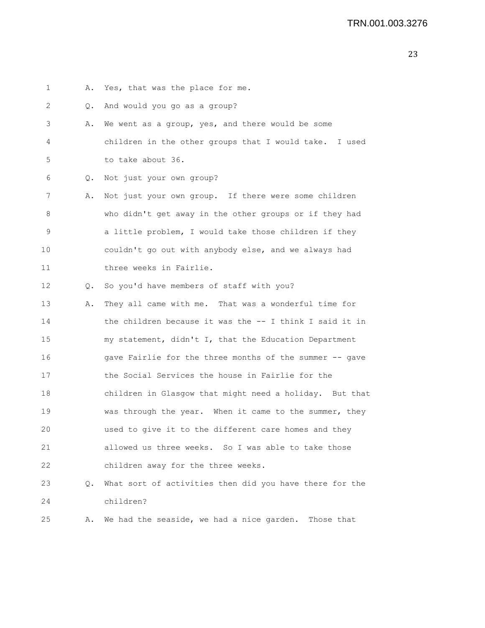1 A. Yes, that was the place for me. 2 Q. And would you go as a group? 3 A. We went as a group, yes, and there would be some 4 children in the other groups that I would take. I used 5 to take about 36. 6 Q. Not just your own group? 7 A. Not just your own group. If there were some children 8 who didn't get away in the other groups or if they had 9 a little problem, I would take those children if they 10 couldn't go out with anybody else, and we always had 11 three weeks in Fairlie. 12 Q. So you'd have members of staff with you? 13 A. They all came with me. That was a wonderful time for 14 the children because it was the -- I think I said it in 15 my statement, didn't I, that the Education Department 16 gave Fairlie for the three months of the summer -- gave 17 the Social Services the house in Fairlie for the 18 children in Glasgow that might need a holiday. But that 19 was through the year. When it came to the summer, they 20 used to give it to the different care homes and they 21 allowed us three weeks. So I was able to take those 22 children away for the three weeks. 23 Q. What sort of activities then did you have there for the 24 children? 25 A. We had the seaside, we had a nice garden. Those that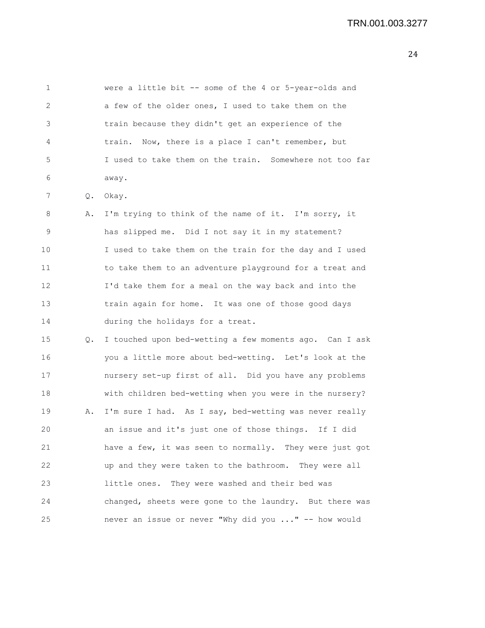1 were a little bit -- some of the 4 or 5-year-olds and 2 a few of the older ones, I used to take them on the 3 train because they didn't get an experience of the 4 train. Now, there is a place I can't remember, but 5 I used to take them on the train. Somewhere not too far 6 away. 7 Q. Okay. 8 A. I'm trying to think of the name of it. I'm sorry, it 9 has slipped me. Did I not say it in my statement? 10 I used to take them on the train for the day and I used 11 to take them to an adventure playground for a treat and 12 I'd take them for a meal on the way back and into the 13 train again for home. It was one of those good days 14 during the holidays for a treat. 15 Q. I touched upon bed-wetting a few moments ago. Can I ask 16 you a little more about bed-wetting. Let's look at the 17 nursery set-up first of all. Did you have any problems 18 with children bed-wetting when you were in the nursery? 19 A. I'm sure I had. As I say, bed-wetting was never really 20 an issue and it's just one of those things. If I did 21 have a few, it was seen to normally. They were just got 22 up and they were taken to the bathroom. They were all 23 little ones. They were washed and their bed was

24 changed, sheets were gone to the laundry. But there was

25 never an issue or never "Why did you ..." -- how would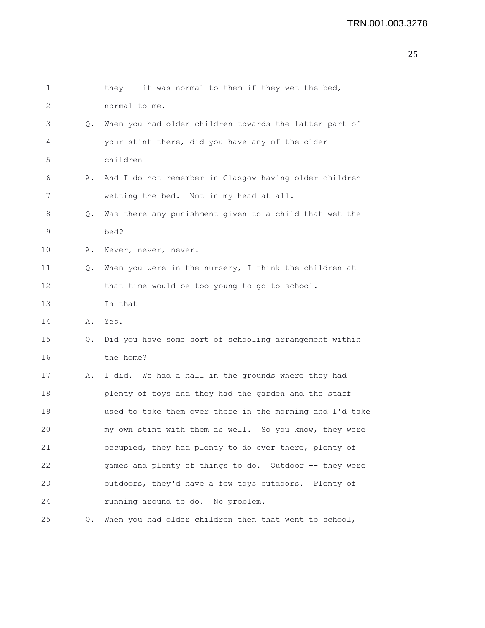| 1  |           | they -- it was normal to them if they wet the bed,       |
|----|-----------|----------------------------------------------------------|
| 2  |           | normal to me.                                            |
| 3  | Q.        | When you had older children towards the latter part of   |
| 4  |           | your stint there, did you have any of the older          |
| 5  |           | children --                                              |
| 6  | Α.        | And I do not remember in Glasgow having older children   |
| 7  |           | wetting the bed. Not in my head at all.                  |
| 8  | $\circ$ . | Was there any punishment given to a child that wet the   |
| 9  |           | bed?                                                     |
| 10 | Α.        | Never, never, never.                                     |
| 11 | Q.        | When you were in the nursery, I think the children at    |
| 12 |           | that time would be too young to go to school.            |
| 13 |           | Is that $--$                                             |
| 14 | Α.        | Yes.                                                     |
| 15 | Q.        | Did you have some sort of schooling arrangement within   |
| 16 |           | the home?                                                |
| 17 | Α.        | I did. We had a hall in the grounds where they had       |
| 18 |           | plenty of toys and they had the garden and the staff     |
| 19 |           | used to take them over there in the morning and I'd take |
| 20 |           | my own stint with them as well. So you know, they were   |
| 21 |           | occupied, they had plenty to do over there, plenty of    |
| 22 |           | games and plenty of things to do. Outdoor -- they were   |
| 23 |           | outdoors, they'd have a few toys outdoors. Plenty of     |
| 24 |           | running around to do. No problem.                        |
| 25 | Q.        | When you had older children then that went to school,    |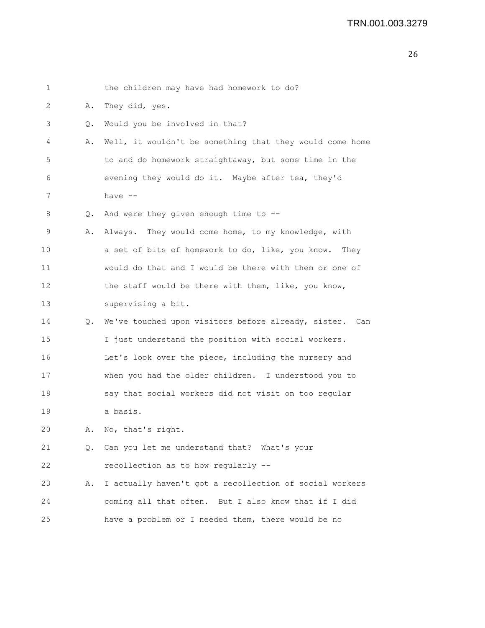| 1       |       | the children may have had homework to do?                |
|---------|-------|----------------------------------------------------------|
| 2       | Α.    | They did, yes.                                           |
| 3       | Q.    | Would you be involved in that?                           |
| 4       | Α.    | Well, it wouldn't be something that they would come home |
| 5       |       | to and do homework straightaway, but some time in the    |
| 6       |       | evening they would do it. Maybe after tea, they'd        |
| 7       |       | have $--$                                                |
| 8       | $Q$ . | And were they given enough time to --                    |
| 9       | Α.    | Always. They would come home, to my knowledge, with      |
| $10 \,$ |       | a set of bits of homework to do, like, you know. They    |
| 11      |       | would do that and I would be there with them or one of   |
| 12      |       | the staff would be there with them, like, you know,      |
| 13      |       | supervising a bit.                                       |
| 14      | Q.    | We've touched upon visitors before already, sister. Can  |
| 15      |       | I just understand the position with social workers.      |
| 16      |       | Let's look over the piece, including the nursery and     |
| 17      |       | when you had the older children. I understood you to     |
| 18      |       | say that social workers did not visit on too regular     |
| 19      |       | a basis.                                                 |
| 20      | Α.    | No, that's right.                                        |
| 21      | Q.    | Can you let me understand that? What's your              |
| 22      |       | recollection as to how regularly --                      |
| 23      | Α.    | I actually haven't got a recollection of social workers  |
| 24      |       | coming all that often. But I also know that if I did     |
| 25      |       | have a problem or I needed them, there would be no       |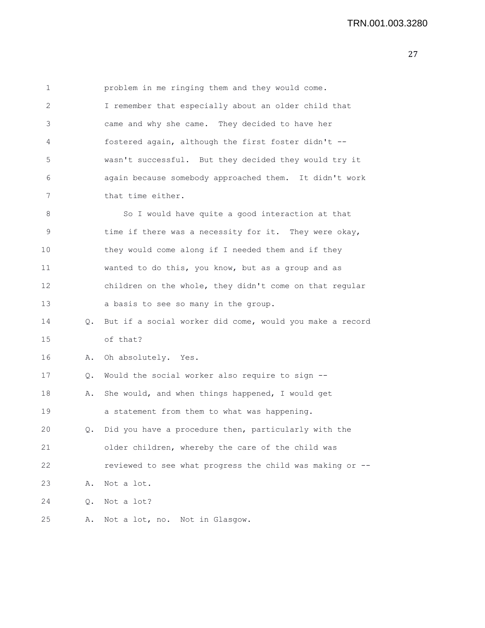| $\mathbf 1$ |    | problem in me ringing them and they would come.          |
|-------------|----|----------------------------------------------------------|
| 2           |    | I remember that especially about an older child that     |
| 3           |    | came and why she came. They decided to have her          |
| 4           |    | fostered again, although the first foster didn't --      |
| $\mathsf S$ |    | wasn't successful. But they decided they would try it    |
| 6           |    | again because somebody approached them. It didn't work   |
| 7           |    | that time either.                                        |
| 8           |    | So I would have quite a good interaction at that         |
| 9           |    | time if there was a necessity for it. They were okay,    |
| 10          |    | they would come along if I needed them and if they       |
| 11          |    | wanted to do this, you know, but as a group and as       |
| 12          |    | children on the whole, they didn't come on that regular  |
| 13          |    | a basis to see so many in the group.                     |
| 14          | Q. | But if a social worker did come, would you make a record |
| 15          |    | of that?                                                 |
| 16          | Α. | Oh absolutely. Yes.                                      |
| 17          | Q. | Would the social worker also require to sign --          |
| 18          | Α. | She would, and when things happened, I would get         |
| 19          |    | a statement from them to what was happening.             |
| 20          | 0. | Did you have a procedure then, particularly with the     |
| 21          |    | older children, whereby the care of the child was        |
| 22          |    | reviewed to see what progress the child was making or -- |
| 23          | Α. | Not a lot.                                               |
| 24          | Q. | Not a lot?                                               |
| 25          | Α. | Not a lot, no. Not in Glasgow.                           |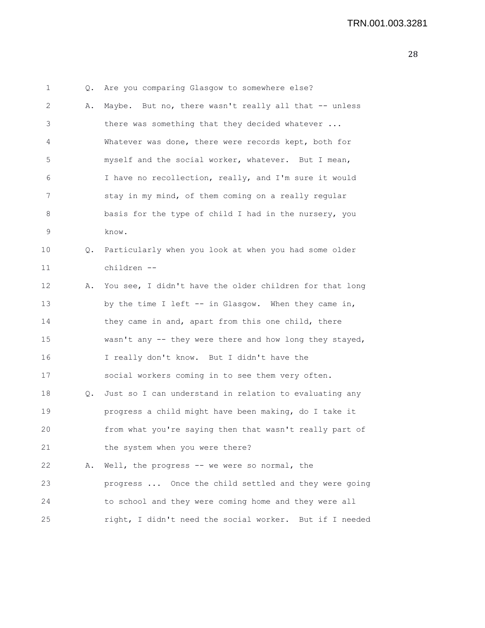1 Q. Are you comparing Glasgow to somewhere else? 2 A. Maybe. But no, there wasn't really all that -- unless 3 there was something that they decided whatever ... 4 Whatever was done, there were records kept, both for 5 myself and the social worker, whatever. But I mean, 6 I have no recollection, really, and I'm sure it would 7 stay in my mind, of them coming on a really regular 8 basis for the type of child I had in the nursery, you 9 know. 10 Q. Particularly when you look at when you had some older 11 children -- 12 A. You see, I didn't have the older children for that long 13 by the time I left -- in Glasgow. When they came in, 14 they came in and, apart from this one child, there 15 wasn't any -- they were there and how long they stayed, 16 I really don't know. But I didn't have the 17 social workers coming in to see them very often. 18 Q. Just so I can understand in relation to evaluating any 19 progress a child might have been making, do I take it 20 from what you're saying then that wasn't really part of 21 the system when you were there? 22 A. Well, the progress -- we were so normal, the 23 progress ... Once the child settled and they were going 24 to school and they were coming home and they were all 25 right, I didn't need the social worker. But if I needed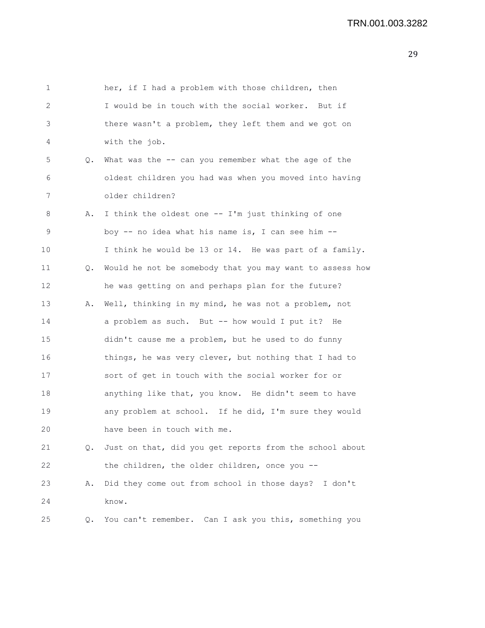| 1  |    | her, if I had a problem with those children, then        |
|----|----|----------------------------------------------------------|
| 2  |    | I would be in touch with the social worker. But if       |
| 3  |    | there wasn't a problem, they left them and we got on     |
| 4  |    | with the job.                                            |
| 5  | Q. | What was the -- can you remember what the age of the     |
| 6  |    | oldest children you had was when you moved into having   |
| 7  |    | older children?                                          |
| 8  | Α. | I think the oldest one -- I'm just thinking of one       |
| 9  |    | boy -- no idea what his name is, I can see him --        |
| 10 |    | I think he would be 13 or 14. He was part of a family.   |
| 11 | Q. | Would he not be somebody that you may want to assess how |
| 12 |    | he was getting on and perhaps plan for the future?       |
| 13 | Α. | Well, thinking in my mind, he was not a problem, not     |
| 14 |    | a problem as such. But -- how would I put it? He         |
| 15 |    | didn't cause me a problem, but he used to do funny       |
| 16 |    | things, he was very clever, but nothing that I had to    |
| 17 |    | sort of get in touch with the social worker for or       |
| 18 |    | anything like that, you know. He didn't seem to have     |
| 19 |    | any problem at school. If he did, I'm sure they would    |
| 20 |    | have been in touch with me.                              |
| 21 | Q. | Just on that, did you get reports from the school about  |
| 22 |    | the children, the older children, once you --            |
| 23 | Α. | Did they come out from school in those days? I don't     |
| 24 |    | know.                                                    |
| 25 | Q. | You can't remember. Can I ask you this, something you    |
|    |    |                                                          |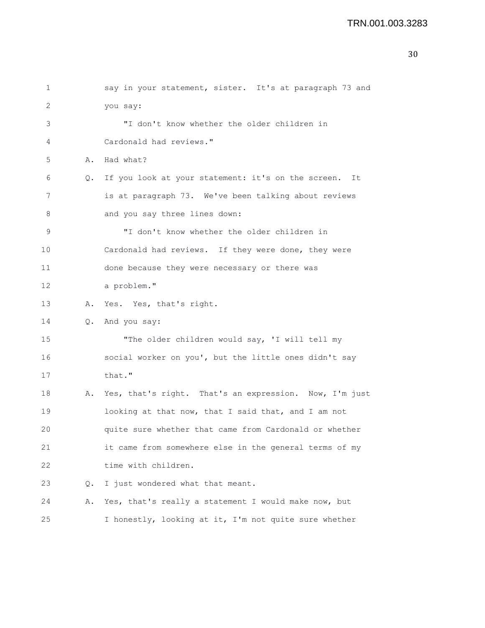| 1           |    | say in your statement, sister. It's at paragraph 73 and  |
|-------------|----|----------------------------------------------------------|
| 2           |    | you say:                                                 |
| 3           |    | "I don't know whether the older children in              |
| 4           |    | Cardonald had reviews."                                  |
| 5           | Α. | Had what?                                                |
| 6           | Q. | If you look at your statement: it's on the screen.<br>It |
| 7           |    | is at paragraph 73. We've been talking about reviews     |
| 8           |    | and you say three lines down:                            |
| $\mathsf 9$ |    | "I don't know whether the older children in              |
| 10          |    | Cardonald had reviews. If they were done, they were      |
| 11          |    | done because they were necessary or there was            |
| 12          |    | a problem."                                              |
| 13          | Α. | Yes. Yes, that's right.                                  |
| 14          | Q. | And you say:                                             |
| 15          |    | "The older children would say, 'I will tell my           |
| 16          |    | social worker on you', but the little ones didn't say    |
| 17          |    | that."                                                   |
| 18          | Α. | Yes, that's right. That's an expression. Now, I'm just   |
| 19          |    | looking at that now, that I said that, and I am not      |
| $20$        |    | quite sure whether that came from Cardonald or whether   |
| 21          |    | it came from somewhere else in the general terms of my   |
| 22          |    | time with children.                                      |
| 23          | Q. | I just wondered what that meant.                         |
| 24          | Α. | Yes, that's really a statement I would make now, but     |
| 25          |    | I honestly, looking at it, I'm not quite sure whether    |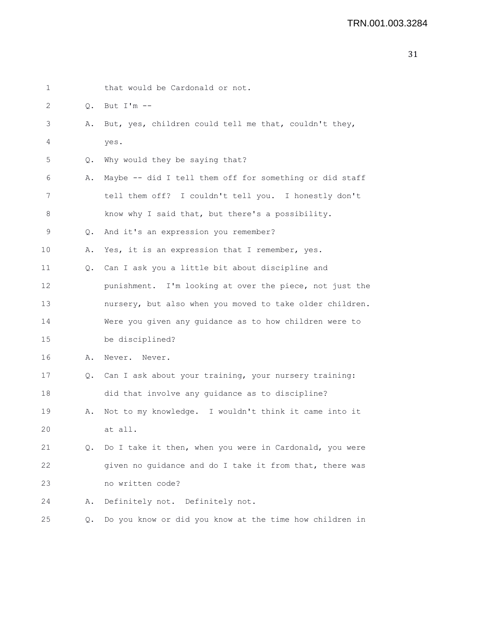| 1  |           | that would be Cardonald or not.                          |
|----|-----------|----------------------------------------------------------|
| 2  | $\circ$ . | But $I'm --$                                             |
| 3  | Α.        | But, yes, children could tell me that, couldn't they,    |
| 4  |           | yes.                                                     |
| 5  | Q.        | Why would they be saying that?                           |
| 6  | Α.        | Maybe -- did I tell them off for something or did staff  |
| 7  |           | tell them off? I couldn't tell you. I honestly don't     |
| 8  |           | know why I said that, but there's a possibility.         |
| 9  | Q.        | And it's an expression you remember?                     |
| 10 | Α.        | Yes, it is an expression that I remember, yes.           |
| 11 | Q.        | Can I ask you a little bit about discipline and          |
| 12 |           | punishment. I'm looking at over the piece, not just the  |
| 13 |           | nursery, but also when you moved to take older children. |
| 14 |           | Were you given any guidance as to how children were to   |
| 15 |           | be disciplined?                                          |
| 16 | Α.        | Never. Never.                                            |
| 17 | Q.        | Can I ask about your training, your nursery training:    |
| 18 |           | did that involve any guidance as to discipline?          |
| 19 | Α.        | Not to my knowledge. I wouldn't think it came into it    |
| 20 |           | at all.                                                  |
| 21 | $\circ$ . | Do I take it then, when you were in Cardonald, you were  |
| 22 |           | given no guidance and do I take it from that, there was  |
| 23 |           | no written code?                                         |
| 24 | Α.        | Definitely not. Definitely not.                          |
| 25 | Q.        | Do you know or did you know at the time how children in  |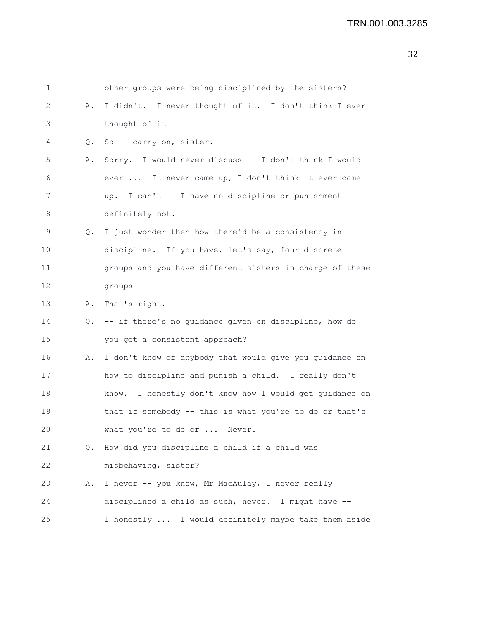| $\mathbf{1}$ |    | other groups were being disciplined by the sisters?      |
|--------------|----|----------------------------------------------------------|
| 2            | Α. | I didn't. I never thought of it. I don't think I ever    |
| 3            |    | thought of it --                                         |
| 4            | Q. | So -- carry on, sister.                                  |
| 5            | Α. | Sorry. I would never discuss -- I don't think I would    |
| 6            |    | ever  It never came up, I don't think it ever came       |
| 7            |    | up. I can't -- I have no discipline or punishment --     |
| 8            |    | definitely not.                                          |
| 9            |    | Q. I just wonder then how there'd be a consistency in    |
| 10           |    | discipline. If you have, let's say, four discrete        |
| 11           |    | groups and you have different sisters in charge of these |
| 12           |    | groups --                                                |
| 13           | Α. | That's right.                                            |
| 14           |    | Q. -- if there's no guidance given on discipline, how do |
| 15           |    | you get a consistent approach?                           |
| 16           | Α. | I don't know of anybody that would give you guidance on  |
| 17           |    | how to discipline and punish a child. I really don't     |
| 18           |    | know. I honestly don't know how I would get guidance on  |
| 19           |    | that if somebody -- this is what you're to do or that's  |
| 20           |    | what you're to do or  Never.                             |
| 21           | Q. | How did you discipline a child if a child was            |
| 22           |    | misbehaving, sister?                                     |
| 23           | Α. | I never -- you know, Mr MacAulay, I never really         |
| 24           |    | disciplined a child as such, never. I might have --      |
| 25           |    | I honestly  I would definitely maybe take them aside     |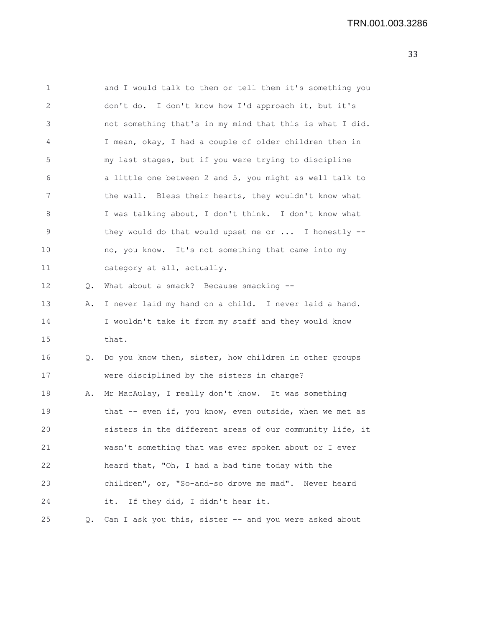| 1              |       | and I would talk to them or tell them it's something you |
|----------------|-------|----------------------------------------------------------|
| $\sqrt{2}$     |       | don't do. I don't know how I'd approach it, but it's     |
| $\mathfrak{Z}$ |       | not something that's in my mind that this is what I did. |
| 4              |       | I mean, okay, I had a couple of older children then in   |
| 5              |       | my last stages, but if you were trying to discipline     |
| 6              |       | a little one between 2 and 5, you might as well talk to  |
| 7              |       | the wall. Bless their hearts, they wouldn't know what    |
| 8              |       | I was talking about, I don't think. I don't know what    |
| 9              |       | they would do that would upset me or  I honestly --      |
| 10             |       | no, you know. It's not something that came into my       |
| 11             |       | category at all, actually.                               |
| 12             | $Q$ . | What about a smack? Because smacking --                  |
| 13             | Α.    | I never laid my hand on a child. I never laid a hand.    |
| 14             |       | I wouldn't take it from my staff and they would know     |
| 15             |       | that.                                                    |
| 16             | Q.    | Do you know then, sister, how children in other groups   |
| 17             |       | were disciplined by the sisters in charge?               |
| 18             | Α.    | Mr MacAulay, I really don't know. It was something       |
| 19             |       | that -- even if, you know, even outside, when we met as  |
| 20             |       | sisters in the different areas of our community life, it |
| 21             |       | wasn't something that was ever spoken about or I ever    |
| 22             |       | heard that, "Oh, I had a bad time today with the         |
| 23             |       | children", or, "So-and-so drove me mad". Never heard     |
| 24             |       | If they did, I didn't hear it.<br>it.                    |
| 25             | Q.    | Can I ask you this, sister -- and you were asked about   |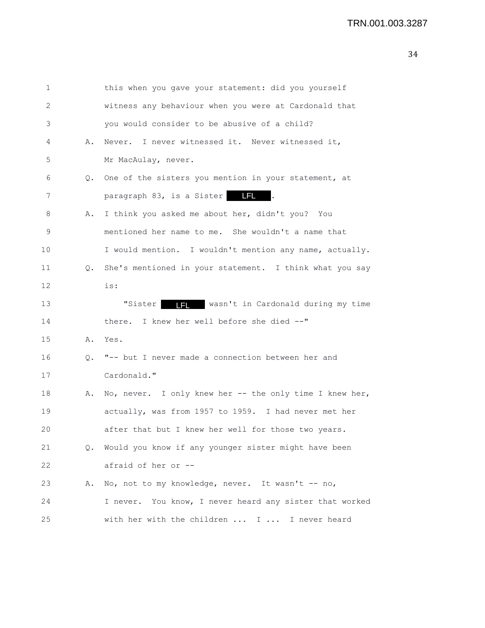1 this when you gave your statement: did you yourself 2 witness any behaviour when you were at Cardonald that 3 you would consider to be abusive of a child? 4 A. Never. I never witnessed it. Never witnessed it, 5 Mr MacAulay, never. 6 Q. One of the sisters you mention in your statement, at 7 **paragraph 83, is a Sister IFL**. 8 A. I think you asked me about her, didn't you? You 9 mentioned her name to me. She wouldn't a name that 10 I would mention. I wouldn't mention any name, actually. 11 Q. She's mentioned in your statement. I think what you say 12 is: 13 **"Sister III** wasn't in Cardonald during my time 14 there. I knew her well before she died --" 15 A. Yes. 16 Q. "-- but I never made a connection between her and 17 Cardonald." 18 A. No, never. I only knew her -- the only time I knew her, 19 actually, was from 1957 to 1959. I had never met her 20 after that but I knew her well for those two years. 21 Q. Would you know if any younger sister might have been 22 afraid of her or -- 23 A. No, not to my knowledge, never. It wasn't -- no, 24 I never. You know, I never heard any sister that worked 25 with her with the children ... I ... I never heard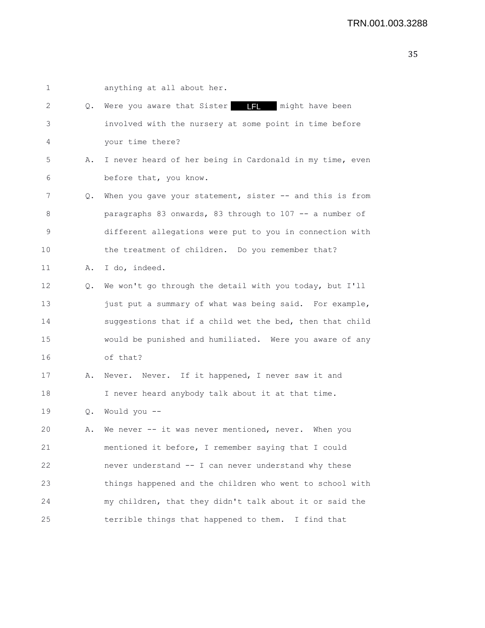| 1  |    | anything at all about her.                               |
|----|----|----------------------------------------------------------|
| 2  | Q. | Were you aware that Sister         might have been       |
| 3  |    | involved with the nursery at some point in time before   |
| 4  |    | your time there?                                         |
| 5  | Α. | I never heard of her being in Cardonald in my time, even |
| 6  |    | before that, you know.                                   |
| 7  | Q. | When you gave your statement, sister -- and this is from |
| 8  |    | paragraphs 83 onwards, 83 through to 107 -- a number of  |
| 9  |    | different allegations were put to you in connection with |
| 10 |    | the treatment of children. Do you remember that?         |
| 11 | Α. | I do, indeed.                                            |
| 12 | Q. | We won't go through the detail with you today, but I'll  |
| 13 |    | just put a summary of what was being said. For example,  |
| 14 |    | suggestions that if a child wet the bed, then that child |
| 15 |    | would be punished and humiliated. Were you aware of any  |
| 16 |    | of that?                                                 |
| 17 | Α. | Never. Never. If it happened, I never saw it and         |
| 18 |    | I never heard anybody talk about it at that time.        |
| 19 |    | Q. Would you --                                          |
| 20 | Α. | We never -- it was never mentioned, never. When you      |
| 21 |    | mentioned it before, I remember saying that I could      |
| 22 |    | never understand -- I can never understand why these     |
| 23 |    | things happened and the children who went to school with |
| 24 |    | my children, that they didn't talk about it or said the  |
| 25 |    | terrible things that happened to them. I find that       |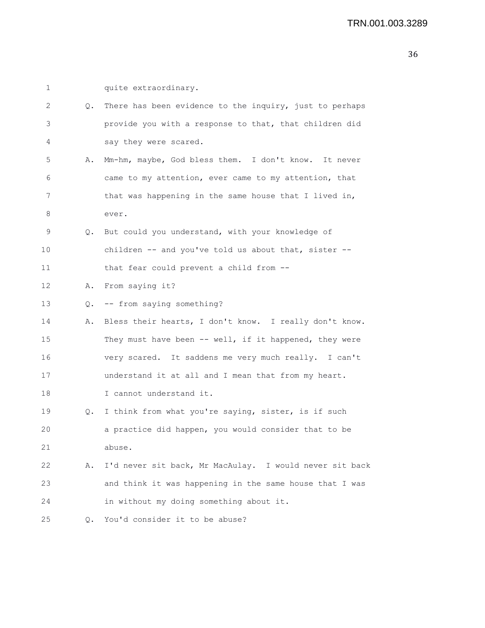| 1  |           | quite extraordinary.                                    |
|----|-----------|---------------------------------------------------------|
| 2  | Q.        | There has been evidence to the inquiry, just to perhaps |
| 3  |           | provide you with a response to that, that children did  |
| 4  |           | say they were scared.                                   |
| 5  | Α.        | Mm-hm, maybe, God bless them. I don't know. It never    |
| 6  |           | came to my attention, ever came to my attention, that   |
| 7  |           | that was happening in the same house that I lived in,   |
| 8  |           | ever.                                                   |
| 9  |           | Q. But could you understand, with your knowledge of     |
| 10 |           | children -- and you've told us about that, sister --    |
| 11 |           | that fear could prevent a child from --                 |
| 12 | Α.        | From saying it?                                         |
| 13 | Q.        | -- from saying something?                               |
| 14 | Α.        | Bless their hearts, I don't know. I really don't know.  |
| 15 |           | They must have been -- well, if it happened, they were  |
| 16 |           | very scared. It saddens me very much really. I can't    |
| 17 |           | understand it at all and I mean that from my heart.     |
| 18 |           | I cannot understand it.                                 |
| 19 | Q.        | I think from what you're saying, sister, is if such     |
| 20 |           | a practice did happen, you would consider that to be    |
| 21 |           | abuse.                                                  |
| 22 | Α.        | I'd never sit back, Mr MacAulay. I would never sit back |
| 23 |           | and think it was happening in the same house that I was |
| 24 |           | in without my doing something about it.                 |
| 25 | $\circ$ . | You'd consider it to be abuse?                          |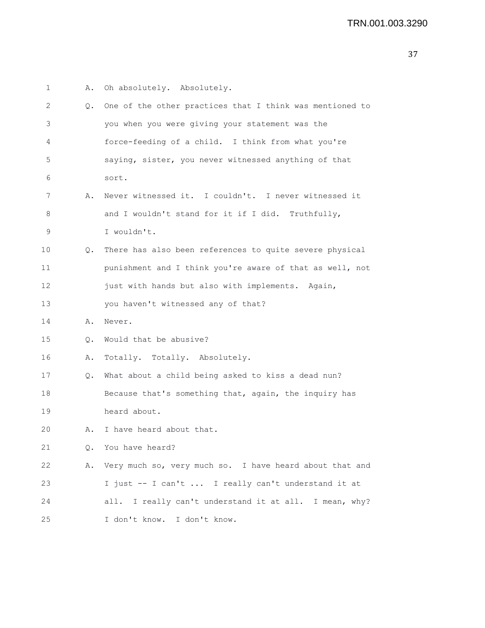| 1  | Α.        | Oh absolutely. Absolutely.                                |
|----|-----------|-----------------------------------------------------------|
| 2  | Q.        | One of the other practices that I think was mentioned to  |
| 3  |           | you when you were giving your statement was the           |
| 4  |           | force-feeding of a child. I think from what you're        |
| 5  |           | saying, sister, you never witnessed anything of that      |
| 6  |           | sort.                                                     |
| 7  | Α.        | Never witnessed it. I couldn't. I never witnessed it      |
| 8  |           | and I wouldn't stand for it if I did. Truthfully,         |
| 9  |           | I wouldn't.                                               |
| 10 | Q.        | There has also been references to quite severe physical   |
| 11 |           | punishment and I think you're aware of that as well, not  |
| 12 |           | just with hands but also with implements. Again,          |
| 13 |           | you haven't witnessed any of that?                        |
| 14 | Α.        | Never.                                                    |
| 15 | $\circ$ . | Would that be abusive?                                    |
| 16 | Α.        | Totally. Totally. Absolutely.                             |
| 17 | $Q$ .     | What about a child being asked to kiss a dead nun?        |
| 18 |           | Because that's something that, again, the inquiry has     |
| 19 |           | heard about.                                              |
| 20 | Α.        | I have heard about that.                                  |
| 21 | Q.        | You have heard?                                           |
| 22 | Α.        | Very much so, very much so. I have heard about that and   |
| 23 |           | I just -- I can't  I really can't understand it at        |
| 24 |           | I really can't understand it at all. I mean, why?<br>all. |
| 25 |           | I don't know. I don't know.                               |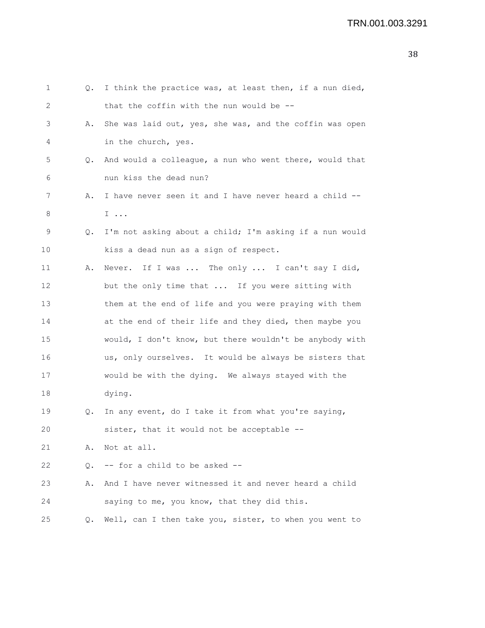| 1  | Q.        | I think the practice was, at least then, if a nun died, |
|----|-----------|---------------------------------------------------------|
| 2  |           | that the coffin with the nun would be --                |
| 3  | Α.        | She was laid out, yes, she was, and the coffin was open |
| 4  |           | in the church, yes.                                     |
| 5  | Q.        | And would a colleague, a nun who went there, would that |
| 6  |           | nun kiss the dead nun?                                  |
| 7  | Α.        | I have never seen it and I have never heard a child --  |
| 8  |           | $I \ldots$                                              |
| 9  | Q.        | I'm not asking about a child; I'm asking if a nun would |
| 10 |           | kiss a dead nun as a sign of respect.                   |
| 11 | Α.        | Never. If I was  The only  I can't say I did,           |
| 12 |           | but the only time that  If you were sitting with        |
| 13 |           | them at the end of life and you were praying with them  |
| 14 |           | at the end of their life and they died, then maybe you  |
| 15 |           | would, I don't know, but there wouldn't be anybody with |
| 16 |           | us, only ourselves. It would be always be sisters that  |
| 17 |           | would be with the dying. We always stayed with the      |
| 18 |           | dying.                                                  |
| 19 | Q.        | In any event, do I take it from what you're saying,     |
| 20 |           | sister, that it would not be acceptable --              |
| 21 | Α.        | Not at all.                                             |
| 22 | $\circ$ . | -- for a child to be asked --                           |
| 23 | Α.        | And I have never witnessed it and never heard a child   |
| 24 |           | saying to me, you know, that they did this.             |
| 25 | Q.        | Well, can I then take you, sister, to when you went to  |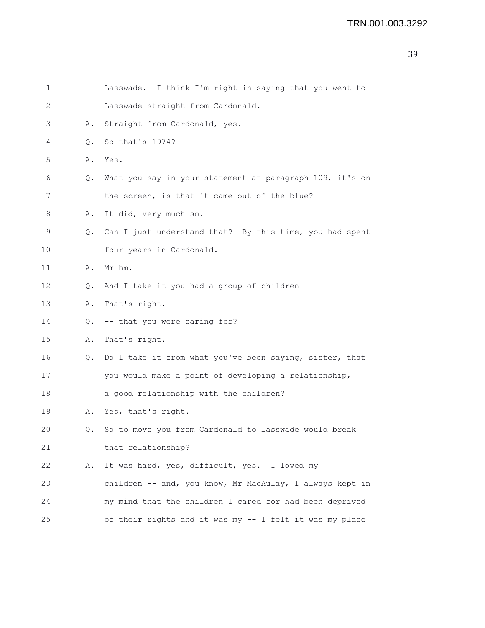| 1  |               | Lasswade. I think I'm right in saying that you went to     |
|----|---------------|------------------------------------------------------------|
| 2  |               | Lasswade straight from Cardonald.                          |
| 3  | Α.            | Straight from Cardonald, yes.                              |
| 4  | $\circ$ .     | So that's 1974?                                            |
| 5  | Α.            | Yes.                                                       |
| 6  | Q.            | What you say in your statement at paragraph 109, it's on   |
| 7  |               | the screen, is that it came out of the blue?               |
| 8  | Α.            | It did, very much so.                                      |
| 9  |               | Q. Can I just understand that? By this time, you had spent |
| 10 |               | four years in Cardonald.                                   |
| 11 | Α.            | $Mm-hm$ .                                                  |
| 12 | Q.            | And I take it you had a group of children --               |
| 13 | Α.            | That's right.                                              |
| 14 | Q.            | -- that you were caring for?                               |
| 15 | Α.            | That's right.                                              |
| 16 | $Q_{\bullet}$ | Do I take it from what you've been saying, sister, that    |
| 17 |               | you would make a point of developing a relationship,       |
| 18 |               | a good relationship with the children?                     |
| 19 | Α.            | Yes, that's right.                                         |
| 20 | Q.            | So to move you from Cardonald to Lasswade would break      |
| 21 |               | that relationship?                                         |
| 22 | Α.            | It was hard, yes, difficult, yes. I loved my               |
| 23 |               | children -- and, you know, Mr MacAulay, I always kept in   |
| 24 |               | my mind that the children I cared for had been deprived    |
| 25 |               | of their rights and it was my -- I felt it was my place    |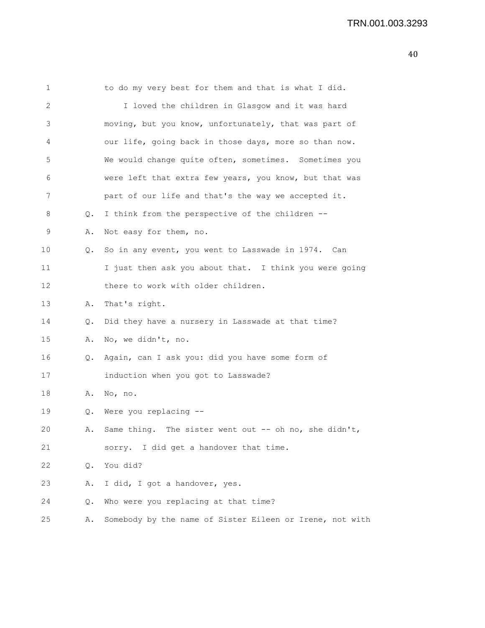| 1  |               | to do my very best for them and that is what I did.      |
|----|---------------|----------------------------------------------------------|
| 2  |               | I loved the children in Glasgow and it was hard          |
| 3  |               | moving, but you know, unfortunately, that was part of    |
| 4  |               | our life, going back in those days, more so than now.    |
| 5  |               | We would change quite often, sometimes. Sometimes you    |
| 6  |               | were left that extra few years, you know, but that was   |
| 7  |               | part of our life and that's the way we accepted it.      |
| 8  | Q.            | I think from the perspective of the children --          |
| 9  | Α.            | Not easy for them, no.                                   |
| 10 | Q.            | So in any event, you went to Lasswade in 1974. Can       |
| 11 |               | I just then ask you about that. I think you were going   |
| 12 |               | there to work with older children.                       |
| 13 | Α.            | That's right.                                            |
| 14 | Q.            | Did they have a nursery in Lasswade at that time?        |
| 15 | Α.            | No, we didn't, no.                                       |
| 16 | Q.            | Again, can I ask you: did you have some form of          |
| 17 |               | induction when you got to Lasswade?                      |
| 18 | Α.            | No, no.                                                  |
| 19 | Q.            | Were you replacing --                                    |
| 20 | Α.            | Same thing. The sister went out -- oh no, she didn't,    |
| 21 |               | sorry. I did get a handover that time.                   |
| 22 | $Q_{\bullet}$ | You did?                                                 |
| 23 | Α.            | I did, I got a handover, yes.                            |
| 24 | Q.            | Who were you replacing at that time?                     |
| 25 | Α.            | Somebody by the name of Sister Eileen or Irene, not with |
|    |               |                                                          |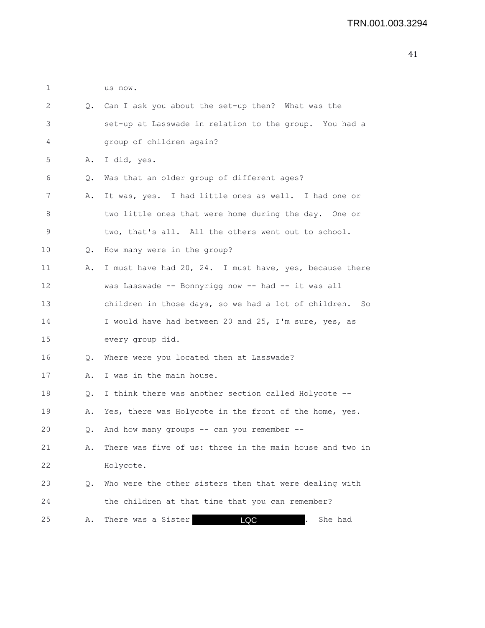1 us now. 2 Q. Can I ask you about the set-up then? What was the 3 set-up at Lasswade in relation to the group. You had a 4 group of children again? 5 A. I did, yes. 6 Q. Was that an older group of different ages? 7 A. It was, yes. I had little ones as well. I had one or 8 two little ones that were home during the day. One or 9 two, that's all. All the others went out to school. 10 Q. How many were in the group? 11 A. I must have had 20, 24. I must have, yes, because there 12 was Lasswade -- Bonnyrigg now -- had -- it was all 13 children in those days, so we had a lot of children. So 14 I would have had between 20 and 25, I'm sure, yes, as 15 every group did. 16 Q. Where were you located then at Lasswade? 17 A. I was in the main house. 18 Q. I think there was another section called Holycote -- 19 A. Yes, there was Holycote in the front of the home, yes. 20 Q. And how many groups -- can you remember -- 21 A. There was five of us: three in the main house and two in 22 Holycote. 23 Q. Who were the other sisters then that were dealing with 24 the children at that time that you can remember? 25 A. There was a Sister **100 CO** . She had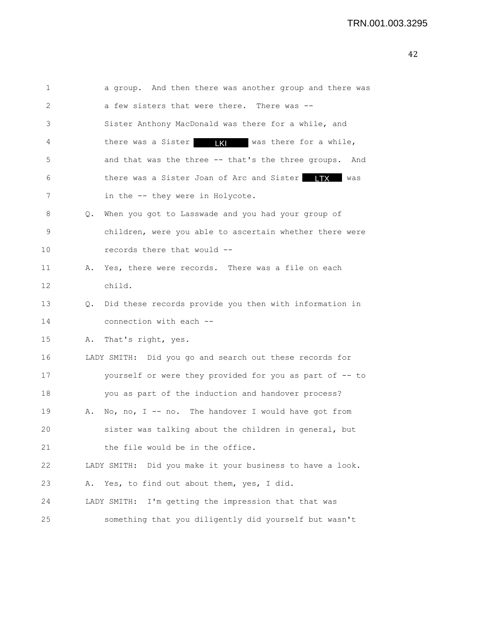| 1  |    | a group. And then there was another group and there was      |
|----|----|--------------------------------------------------------------|
| 2  |    | a few sisters that were there. There was --                  |
| 3  |    | Sister Anthony MacDonald was there for a while, and          |
| 4  |    | there was a Sister <b>IX</b> was there for a while,          |
| 5  |    | and that was the three -- that's the three groups. And       |
| 6  |    | there was a Sister Joan of Arc and Sister TTX Was            |
| 7  |    | in the -- they were in Holycote.                             |
| 8  | Q. | When you got to Lasswade and you had your group of           |
| 9  |    | children, were you able to ascertain whether there were      |
| 10 |    | records there that would --                                  |
| 11 | Α. | Yes, there were records. There was a file on each            |
| 12 |    | child.                                                       |
| 13 | Q. | Did these records provide you then with information in       |
| 14 |    | connection with each --                                      |
| 15 | Α. | That's right, yes.                                           |
| 16 |    | LADY SMITH: Did you go and search out these records for      |
| 17 |    | yourself or were they provided for you as part of -- to      |
| 18 |    | you as part of the induction and handover process?           |
| 19 | Α. | No, no, I -- no. The handover I would have got from          |
| 20 |    | sister was talking about the children in general, but        |
| 21 |    | the file would be in the office.                             |
| 22 |    | Did you make it your business to have a look.<br>LADY SMITH: |
| 23 | Α. | Yes, to find out about them, yes, I did.                     |
| 24 |    | I'm getting the impression that that was<br>LADY SMITH:      |
| 25 |    | something that you diligently did yourself but wasn't        |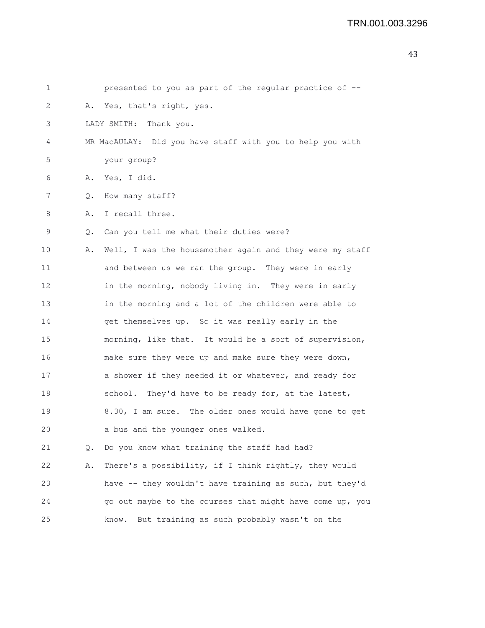| 1  |               | presented to you as part of the regular practice of --    |
|----|---------------|-----------------------------------------------------------|
| 2  |               | A. Yes, that's right, yes.                                |
| 3  |               | LADY SMITH: Thank you.                                    |
| 4  |               | MR MacAULAY: Did you have staff with you to help you with |
| 5  |               | your group?                                               |
| 6  |               | A. Yes, I did.                                            |
| 7  | $Q_{\bullet}$ | How many staff?                                           |
| 8  | Α.            | I recall three.                                           |
| 9  | Q.            | Can you tell me what their duties were?                   |
| 10 | Α.            | Well, I was the housemother again and they were my staff  |
| 11 |               | and between us we ran the group. They were in early       |
| 12 |               | in the morning, nobody living in. They were in early      |
| 13 |               | in the morning and a lot of the children were able to     |
| 14 |               | get themselves up. So it was really early in the          |
| 15 |               | morning, like that. It would be a sort of supervision,    |
| 16 |               | make sure they were up and make sure they were down,      |
| 17 |               | a shower if they needed it or whatever, and ready for     |
| 18 |               | school. They'd have to be ready for, at the latest,       |
| 19 |               | 8.30, I am sure. The older ones would have gone to get    |
| 20 |               | a bus and the younger ones walked.                        |
| 21 | Q.            | Do you know what training the staff had had?              |
| 22 | Α.            | There's a possibility, if I think rightly, they would     |
| 23 |               | have -- they wouldn't have training as such, but they'd   |
| 24 |               | go out maybe to the courses that might have come up, you  |
| 25 |               | But training as such probably wasn't on the<br>know.      |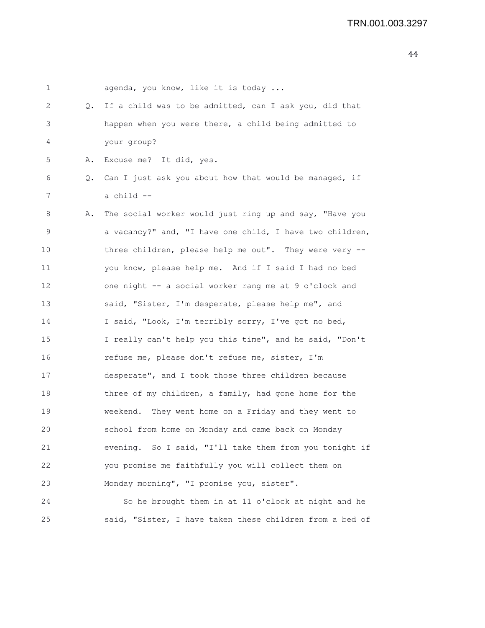| 1                 |    | agenda, you know, like it is today                       |
|-------------------|----|----------------------------------------------------------|
| 2                 | Q. | If a child was to be admitted, can I ask you, did that   |
| 3                 |    | happen when you were there, a child being admitted to    |
| 4                 |    | your group?                                              |
| 5                 | Α. | Excuse me? It did, yes.                                  |
| 6                 | Q. | Can I just ask you about how that would be managed, if   |
| 7                 |    | a child --                                               |
| 8                 | Α. | The social worker would just ring up and say, "Have you  |
| 9                 |    | a vacancy?" and, "I have one child, I have two children, |
| 10                |    | three children, please help me out". They were very --   |
| 11                |    | you know, please help me. And if I said I had no bed     |
| $12 \overline{ }$ |    | one night -- a social worker rang me at 9 o'clock and    |
| 13                |    | said, "Sister, I'm desperate, please help me", and       |
| 14                |    | I said, "Look, I'm terribly sorry, I've got no bed,      |
| 15                |    | I really can't help you this time", and he said, "Don't  |
| 16                |    | refuse me, please don't refuse me, sister, I'm           |
| 17                |    | desperate", and I took those three children because      |
| 18                |    | three of my children, a family, had gone home for the    |
| 19                |    | weekend. They went home on a Friday and they went to     |
| 20                |    | school from home on Monday and came back on Monday       |
| 21                |    | evening. So I said, "I'll take them from you tonight if  |
| 22                |    | you promise me faithfully you will collect them on       |
| 23                |    | Monday morning", "I promise you, sister".                |
| 24                |    | So he brought them in at 11 o'clock at night and he      |

25 said, "Sister, I have taken these children from a bed of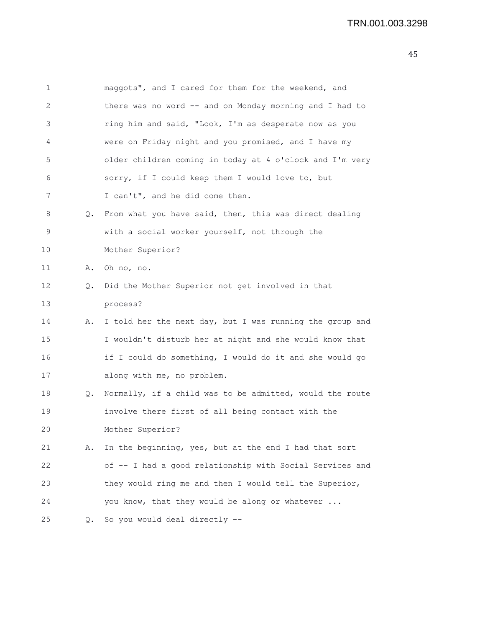| 45 |
|----|
|----|

| $\mathbf 1$       |    | maggots", and I cared for them for the weekend, and      |
|-------------------|----|----------------------------------------------------------|
| 2                 |    | there was no word -- and on Monday morning and I had to  |
| 3                 |    | ring him and said, "Look, I'm as desperate now as you    |
| 4                 |    | were on Friday night and you promised, and I have my     |
| 5                 |    | older children coming in today at 4 o'clock and I'm very |
| 6                 |    | sorry, if I could keep them I would love to, but         |
| 7                 |    | I can't", and he did come then.                          |
| 8                 | Q. | From what you have said, then, this was direct dealing   |
| 9                 |    | with a social worker yourself, not through the           |
| 10                |    | Mother Superior?                                         |
| 11                | Α. | Oh no, no.                                               |
| $12 \overline{ }$ | Q. | Did the Mother Superior not get involved in that         |
| 13                |    | process?                                                 |
| 14                | Α. | I told her the next day, but I was running the group and |
| 15                |    | I wouldn't disturb her at night and she would know that  |
| 16                |    | if I could do something, I would do it and she would go  |
| 17                |    | along with me, no problem.                               |
| 18                | Q. | Normally, if a child was to be admitted, would the route |
| 19                |    | involve there first of all being contact with the        |
| 20                |    | Mother Superior?                                         |
| 21                | Α. | In the beginning, yes, but at the end I had that sort    |
| 22                |    | of -- I had a good relationship with Social Services and |
| 23                |    | they would ring me and then I would tell the Superior,   |
| 24                |    | you know, that they would be along or whatever           |
| 25                |    | Q. So you would deal directly --                         |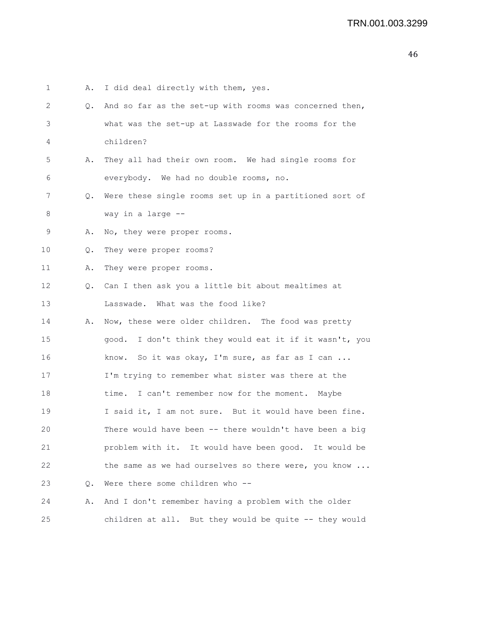| 1  | Α. | I did deal directly with them, yes.                     |
|----|----|---------------------------------------------------------|
| 2  | Q. | And so far as the set-up with rooms was concerned then, |
| 3  |    | what was the set-up at Lasswade for the rooms for the   |
| 4  |    | children?                                               |
| 5  | Α. | They all had their own room. We had single rooms for    |
| 6  |    | everybody. We had no double rooms, no.                  |
| 7  | Q. | Were these single rooms set up in a partitioned sort of |
| 8  |    | way in a large --                                       |
| 9  | Α. | No, they were proper rooms.                             |
| 10 | Q. | They were proper rooms?                                 |
| 11 | Α. | They were proper rooms.                                 |
| 12 | Q. | Can I then ask you a little bit about mealtimes at      |
| 13 |    | Lasswade. What was the food like?                       |
| 14 | Α. | Now, these were older children. The food was pretty     |
| 15 |    | good. I don't think they would eat it if it wasn't, you |
| 16 |    | know. So it was okay, I'm sure, as far as I can         |
| 17 |    | I'm trying to remember what sister was there at the     |
| 18 |    | time. I can't remember now for the moment. Maybe        |
| 19 |    | I said it, I am not sure. But it would have been fine.  |
| 20 |    | There would have been -- there wouldn't have been a big |
| 21 |    | problem with it. It would have been good. It would be   |
| 22 |    | the same as we had ourselves so there were, you know    |
| 23 | Q. | Were there some children who --                         |
| 24 | Α. | And I don't remember having a problem with the older    |
| 25 |    | children at all. But they would be quite -- they would  |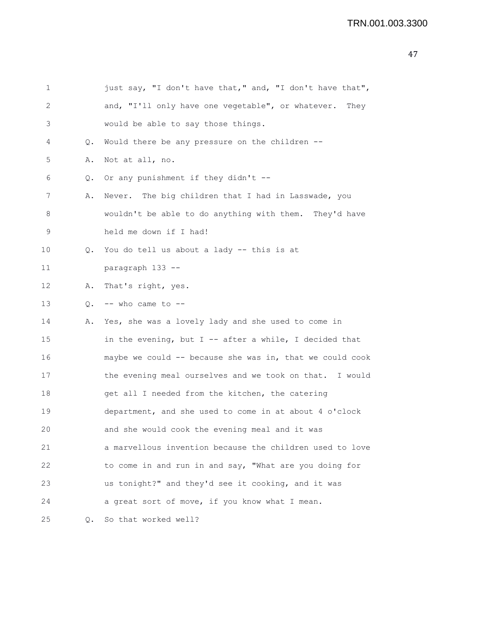```
1 just say, "I don't have that," and, "I don't have that",
2 and, "I'll only have one vegetable", or whatever. They
3 would be able to say those things.
4 Q. Would there be any pressure on the children --
5 A. Not at all, no.
6 Q. Or any punishment if they didn't --
7 A. Never. The big children that I had in Lasswade, you
8 wouldn't be able to do anything with them. They'd have
9 held me down if I had!
10 Q. You do tell us about a lady -- this is at
11 paragraph 133 --
12 A. That's right, yes.
13 Q. - - who came to --
14 A. Yes, she was a lovely lady and she used to come in
15 in the evening, but I -- after a while, I decided that
16 maybe we could -- because she was in, that we could cook
17 the evening meal ourselves and we took on that. I would
18 get all I needed from the kitchen, the catering
19 department, and she used to come in at about 4 o'clock
20 and she would cook the evening meal and it was
21 a marvellous invention because the children used to love
22 to come in and run in and say, "What are you doing for
23 us tonight?" and they'd see it cooking, and it was
24 a great sort of move, if you know what I mean.
25 Q. So that worked well?
```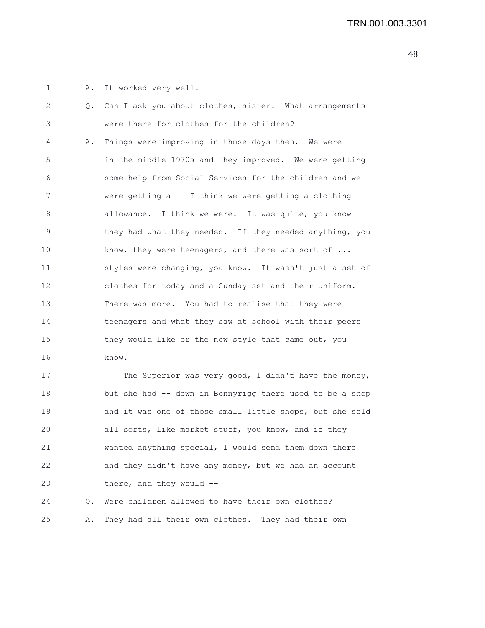1 A. It worked very well.

| 2  | 0. | Can I ask you about clothes, sister. What arrangements   |
|----|----|----------------------------------------------------------|
| 3  |    | were there for clothes for the children?                 |
| 4  | Α. | Things were improving in those days then. We were        |
| 5  |    | in the middle 1970s and they improved. We were getting   |
| 6  |    | some help from Social Services for the children and we   |
| 7  |    | were getting $a - I$ think we were getting a clothing    |
| 8  |    | allowance. I think we were. It was quite, you know --    |
| 9  |    | they had what they needed. If they needed anything, you  |
| 10 |    | know, they were teenagers, and there was sort of         |
| 11 |    | styles were changing, you know. It wasn't just a set of  |
| 12 |    | clothes for today and a Sunday set and their uniform.    |
| 13 |    | There was more. You had to realise that they were        |
| 14 |    | teenagers and what they saw at school with their peers   |
| 15 |    | they would like or the new style that came out, you      |
| 16 |    | know.                                                    |
| 17 |    | The Superior was very good, I didn't have the money,     |
| 18 |    | but she had -- down in Bonnyrigg there used to be a shop |
| 19 |    | and it was one of those small little shops, but she sold |
| 20 |    | all sorts, like market stuff, you know, and if they      |
| 21 |    | wanted anything special, I would send them down there    |
| 22 |    | and they didn't have any money, but we had an account    |
|    |    |                                                          |

23 there, and they would --

24 Q. Were children allowed to have their own clothes? 25 A. They had all their own clothes. They had their own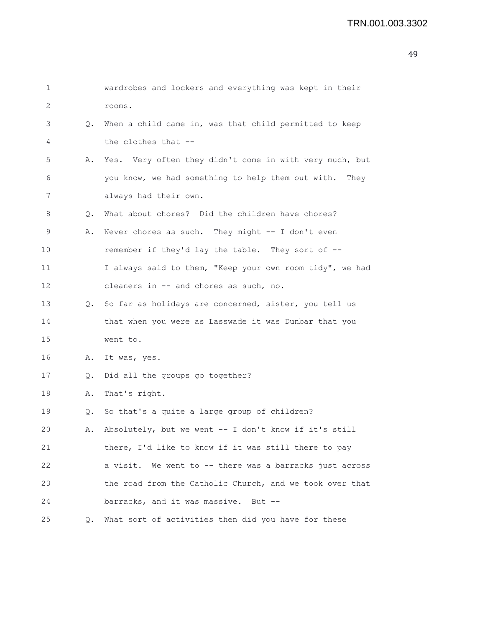| 1  |    | wardrobes and lockers and everything was kept in their    |
|----|----|-----------------------------------------------------------|
| 2  |    | rooms.                                                    |
| 3  | Q. | When a child came in, was that child permitted to keep    |
| 4  |    | the clothes that --                                       |
| 5  | Α. | Yes. Very often they didn't come in with very much, but   |
| 6  |    | you know, we had something to help them out with.<br>They |
| 7  |    | always had their own.                                     |
| 8  | Q. | What about chores? Did the children have chores?          |
| 9  | Α. | Never chores as such. They might -- I don't even          |
| 10 |    | remember if they'd lay the table. They sort of --         |
| 11 |    | I always said to them, "Keep your own room tidy", we had  |
| 12 |    | cleaners in -- and chores as such, no.                    |
| 13 |    | Q. So far as holidays are concerned, sister, you tell us  |
| 14 |    | that when you were as Lasswade it was Dunbar that you     |
| 15 |    | went to.                                                  |
| 16 | Α. | It was, yes.                                              |
| 17 | Q. | Did all the groups go together?                           |
| 18 | Α. | That's right.                                             |
| 19 | Q. | So that's a quite a large group of children?              |
| 20 | Α. | Absolutely, but we went -- I don't know if it's still     |
| 21 |    | there, I'd like to know if it was still there to pay      |
| 22 |    | a visit. We went to -- there was a barracks just across   |
| 23 |    | the road from the Catholic Church, and we took over that  |
| 24 |    | barracks, and it was massive. But --                      |
| 25 | Q. | What sort of activities then did you have for these       |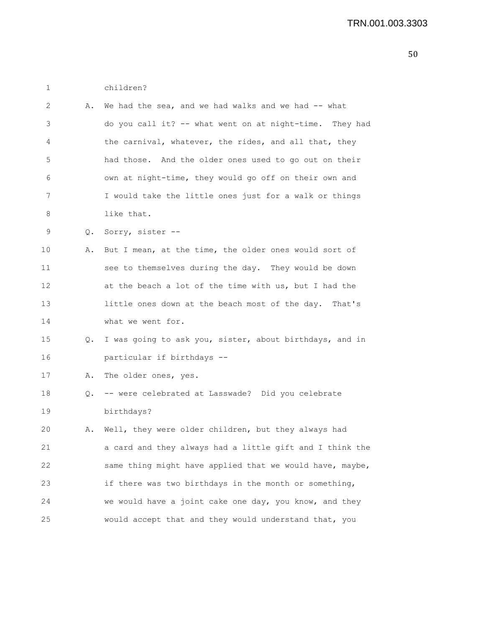1 children?

| 2  | Α. | We had the sea, and we had walks and we had $-$ - what   |
|----|----|----------------------------------------------------------|
| 3  |    | do you call it? -- what went on at night-time. They had  |
| 4  |    | the carnival, whatever, the rides, and all that, they    |
| 5  |    | had those. And the older ones used to go out on their    |
| 6  |    | own at night-time, they would go off on their own and    |
| 7  |    | I would take the little ones just for a walk or things   |
| 8  |    | like that.                                               |
| 9  | Q. | Sorry, sister --                                         |
| 10 | Α. | But I mean, at the time, the older ones would sort of    |
| 11 |    | see to themselves during the day. They would be down     |
| 12 |    | at the beach a lot of the time with us, but I had the    |
| 13 |    | little ones down at the beach most of the day. That's    |
| 14 |    | what we went for.                                        |
| 15 | Q. | I was going to ask you, sister, about birthdays, and in  |
| 16 |    | particular if birthdays --                               |
| 17 | Α. | The older ones, yes.                                     |
| 18 | Q. | -- were celebrated at Lasswade? Did you celebrate        |
| 19 |    | birthdays?                                               |
| 20 | Α. | Well, they were older children, but they always had      |
| 21 |    | a card and they always had a little gift and I think the |
| 22 |    | same thing might have applied that we would have, maybe, |
| 23 |    | if there was two birthdays in the month or something,    |
| 24 |    | we would have a joint cake one day, you know, and they   |
| 25 |    | would accept that and they would understand that, you    |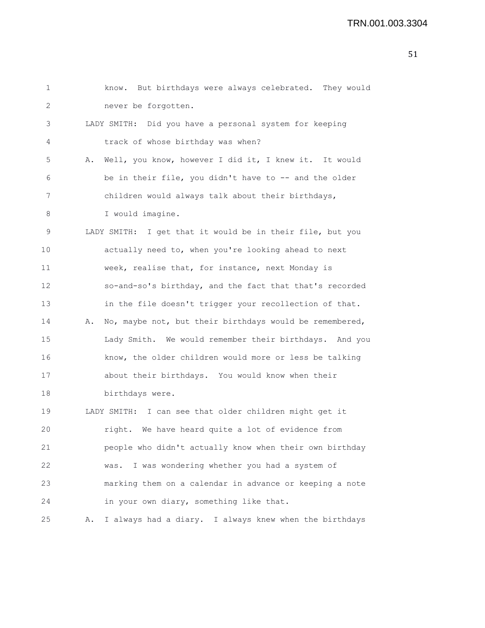```
1 know. But birthdays were always celebrated. They would
2 never be forgotten.
3 LADY SMITH: Did you have a personal system for keeping
4 track of whose birthday was when?
5 A. Well, you know, however I did it, I knew it. It would
6 be in their file, you didn't have to -- and the older
7 children would always talk about their birthdays,
8 I would imagine.
9 LADY SMITH: I get that it would be in their file, but you
10 actually need to, when you're looking ahead to next
11 week, realise that, for instance, next Monday is
12 so-and-so's birthday, and the fact that that's recorded
13 in the file doesn't trigger your recollection of that.
14 A. No, maybe not, but their birthdays would be remembered,
15 Lady Smith. We would remember their birthdays. And you
16 know, the older children would more or less be talking
17 about their birthdays. You would know when their
18 birthdays were.
19 LADY SMITH: I can see that older children might get it
20 right. We have heard quite a lot of evidence from
21 people who didn't actually know when their own birthday
22 was. I was wondering whether you had a system of
23 marking them on a calendar in advance or keeping a note
24 in your own diary, something like that.
25 A. I always had a diary. I always knew when the birthdays
```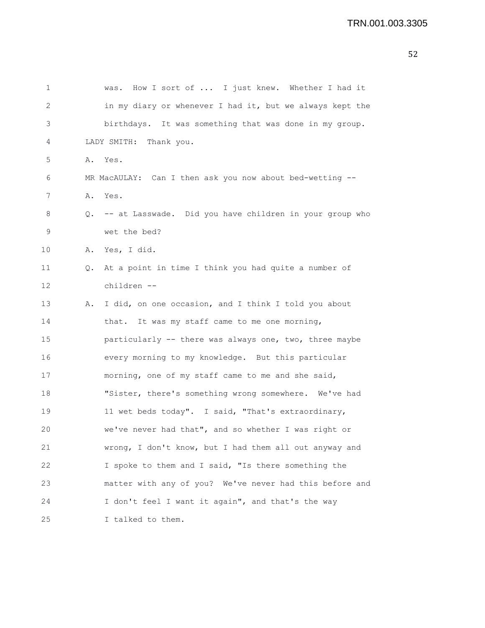| 1  |    | How I sort of  I just knew. Whether I had it<br>was.       |
|----|----|------------------------------------------------------------|
| 2  |    | in my diary or whenever I had it, but we always kept the   |
| 3  |    | birthdays. It was something that was done in my group.     |
| 4  |    | LADY SMITH: Thank you.                                     |
| 5  |    | A. Yes.                                                    |
| 6  |    | MR MacAULAY: Can I then ask you now about bed-wetting --   |
| 7  |    | A. Yes.                                                    |
| 8  |    | Q. -- at Lasswade. Did you have children in your group who |
| 9  |    | wet the bed?                                               |
| 10 |    | A. Yes, I did.                                             |
| 11 | Q. | At a point in time I think you had quite a number of       |
| 12 |    | children --                                                |
| 13 | Α. | I did, on one occasion, and I think I told you about       |
| 14 |    | that. It was my staff came to me one morning,              |
| 15 |    | particularly -- there was always one, two, three maybe     |
| 16 |    | every morning to my knowledge. But this particular         |
| 17 |    | morning, one of my staff came to me and she said,          |
| 18 |    | "Sister, there's something wrong somewhere. We've had      |
| 19 |    | 11 wet beds today". I said, "That's extraordinary,         |
| 20 |    | we've never had that", and so whether I was right or       |
| 21 |    | wrong, I don't know, but I had them all out anyway and     |
| 22 |    | I spoke to them and I said, "Is there something the        |
| 23 |    | matter with any of you? We've never had this before and    |
| 24 |    | I don't feel I want it again", and that's the way          |
| 25 |    | I talked to them.                                          |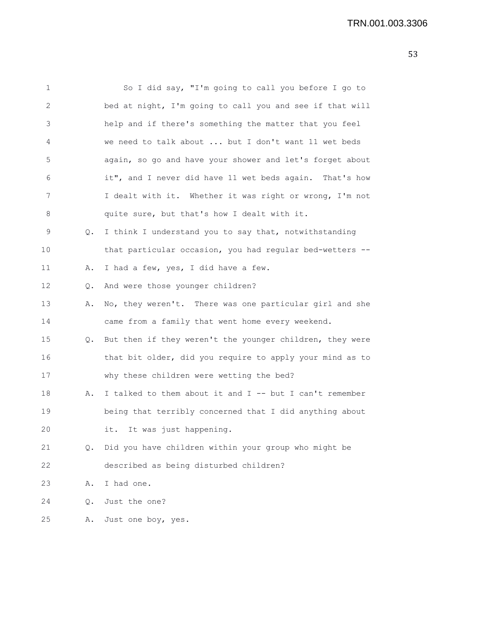| $\mathbf 1$ |           | So I did say, "I'm going to call you before I go to      |
|-------------|-----------|----------------------------------------------------------|
| 2           |           | bed at night, I'm going to call you and see if that will |
| 3           |           | help and if there's something the matter that you feel   |
| 4           |           | we need to talk about  but I don't want 11 wet beds      |
| 5           |           | again, so go and have your shower and let's forget about |
| 6           |           | it", and I never did have 11 wet beds again. That's how  |
| 7           |           | I dealt with it. Whether it was right or wrong, I'm not  |
| 8           |           | quite sure, but that's how I dealt with it.              |
| $\mathsf 9$ | Q.        | I think I understand you to say that, notwithstanding    |
| 10          |           | that particular occasion, you had regular bed-wetters -- |
| 11          | Α.        | I had a few, yes, I did have a few.                      |
| 12          | $\circ$ . | And were those younger children?                         |
| 13          | Α.        | No, they weren't. There was one particular girl and she  |
| 14          |           | came from a family that went home every weekend.         |
| 15          | Q.        | But then if they weren't the younger children, they were |
| 16          |           | that bit older, did you require to apply your mind as to |
| 17          |           | why these children were wetting the bed?                 |
| 18          | Α.        | I talked to them about it and I -- but I can't remember  |
| 19          |           | being that terribly concerned that I did anything about  |
| 20          |           | it. It was just happening.                               |
| 21          | Q.        | Did you have children within your group who might be     |
| 22          |           | described as being disturbed children?                   |
| 23          | Α.        | I had one.                                               |
| 24          | Q.        | Just the one?                                            |
| 25          | Α.        | Just one boy, yes.                                       |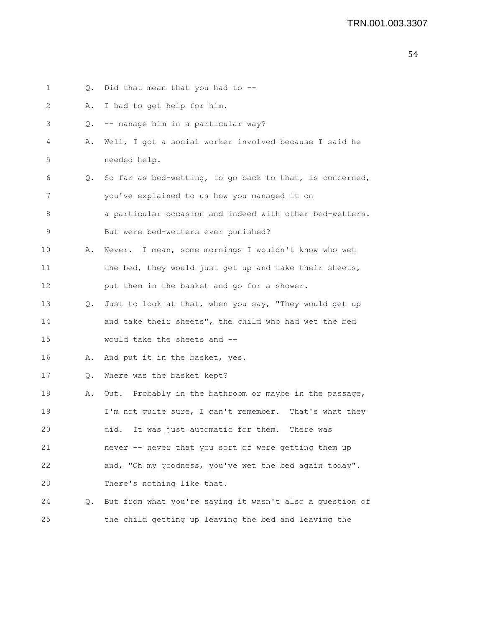| 1  | Q. | Did that mean that you had to --                         |
|----|----|----------------------------------------------------------|
| 2  | Α. | I had to get help for him.                               |
| 3  | Q. | -- manage him in a particular way?                       |
| 4  | Α. | Well, I got a social worker involved because I said he   |
| 5  |    | needed help.                                             |
| 6  | Q. | So far as bed-wetting, to go back to that, is concerned, |
| 7  |    | you've explained to us how you managed it on             |
| 8  |    | a particular occasion and indeed with other bed-wetters. |
| 9  |    | But were bed-wetters ever punished?                      |
| 10 | Α. | Never. I mean, some mornings I wouldn't know who wet     |
| 11 |    | the bed, they would just get up and take their sheets,   |
| 12 |    | put them in the basket and go for a shower.              |
| 13 | Q. | Just to look at that, when you say, "They would get up   |
| 14 |    | and take their sheets", the child who had wet the bed    |
| 15 |    | would take the sheets and --                             |
| 16 | Α. | And put it in the basket, yes.                           |
| 17 | Q. | Where was the basket kept?                               |
| 18 | Α. | Out. Probably in the bathroom or maybe in the passage,   |
| 19 |    | I'm not quite sure, I can't remember. That's what they   |
| 20 |    | did.<br>It was just automatic for them.<br>There was     |
| 21 |    | never -- never that you sort of were getting them up     |
| 22 |    | and, "Oh my goodness, you've wet the bed again today".   |
| 23 |    | There's nothing like that.                               |
| 24 | Q. | But from what you're saying it wasn't also a question of |
| 25 |    | the child getting up leaving the bed and leaving the     |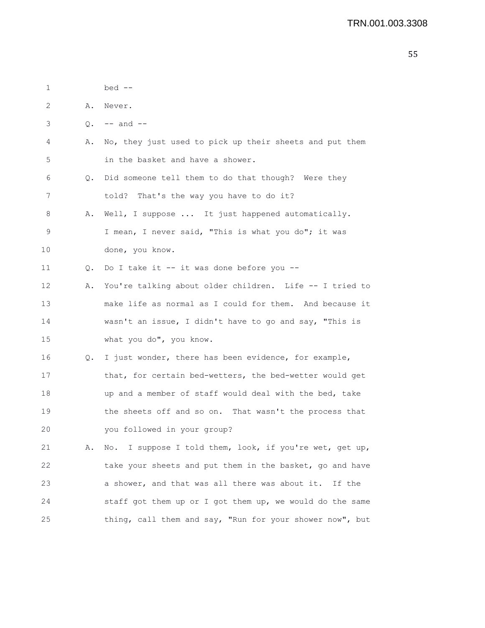| 1  |    | bed --                                                   |
|----|----|----------------------------------------------------------|
| 2  | Α. | Never.                                                   |
| 3  |    | $Q. \t-- and --$                                         |
| 4  | Α. | No, they just used to pick up their sheets and put them  |
| 5  |    | in the basket and have a shower.                         |
| 6  | Q. | Did someone tell them to do that though? Were they       |
| 7  |    | told? That's the way you have to do it?                  |
| 8  | Α. | Well, I suppose  It just happened automatically.         |
| 9  |    | I mean, I never said, "This is what you do"; it was      |
| 10 |    | done, you know.                                          |
| 11 | Q. | Do I take it -- it was done before you --                |
| 12 | Α. | You're talking about older children. Life -- I tried to  |
| 13 |    | make life as normal as I could for them. And because it  |
| 14 |    | wasn't an issue, I didn't have to go and say, "This is   |
| 15 |    | what you do", you know.                                  |
| 16 | Q. | I just wonder, there has been evidence, for example,     |
| 17 |    | that, for certain bed-wetters, the bed-wetter would get  |
| 18 |    | up and a member of staff would deal with the bed, take   |
| 19 |    | the sheets off and so on. That wasn't the process that   |
| 20 |    | you followed in your group?                              |
| 21 | Α. | No. I suppose I told them, look, if you're wet, get up,  |
| 22 |    | take your sheets and put them in the basket, go and have |
| 23 |    | a shower, and that was all there was about it. If the    |
| 24 |    | staff got them up or I got them up, we would do the same |
| 25 |    | thing, call them and say, "Run for your shower now", but |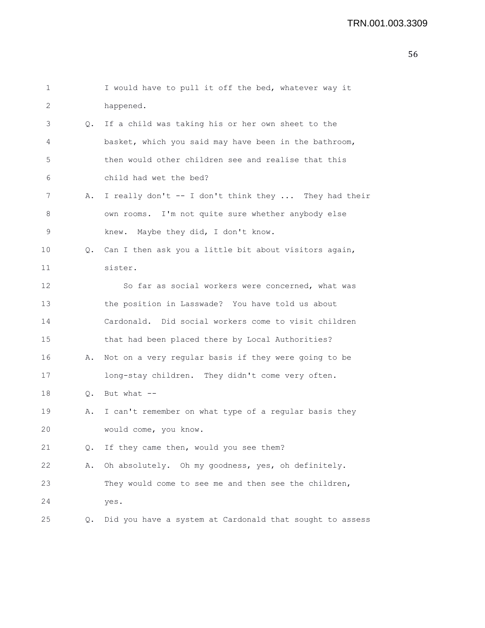| 1  |    | I would have to pull it off the bed, whatever way it     |
|----|----|----------------------------------------------------------|
| 2  |    | happened.                                                |
| 3  | 0. | If a child was taking his or her own sheet to the        |
| 4  |    | basket, which you said may have been in the bathroom,    |
| 5  |    | then would other children see and realise that this      |
| 6  |    | child had wet the bed?                                   |
| 7  | Α. | I really don't -- I don't think they  They had their     |
| 8  |    | own rooms. I'm not quite sure whether anybody else       |
| 9  |    | knew. Maybe they did, I don't know.                      |
| 10 |    | Q. Can I then ask you a little bit about visitors again, |
| 11 |    | sister.                                                  |
| 12 |    | So far as social workers were concerned, what was        |
| 13 |    | the position in Lasswade? You have told us about         |
| 14 |    | Cardonald. Did social workers come to visit children     |
| 15 |    | that had been placed there by Local Authorities?         |
| 16 | Α. | Not on a very regular basis if they were going to be     |
| 17 |    | long-stay children. They didn't come very often.         |
| 18 |    | Q. But what $--$                                         |
| 19 | Α. | I can't remember on what type of a regular basis they    |
| 20 |    | would come, you know.                                    |
| 21 | Q. | If they came then, would you see them?                   |
| 22 | Α. | Oh absolutely. Oh my goodness, yes, oh definitely.       |
| 23 |    | They would come to see me and then see the children,     |
| 24 |    | yes.                                                     |
| 25 | О. | Did you have a system at Cardonald that sought to assess |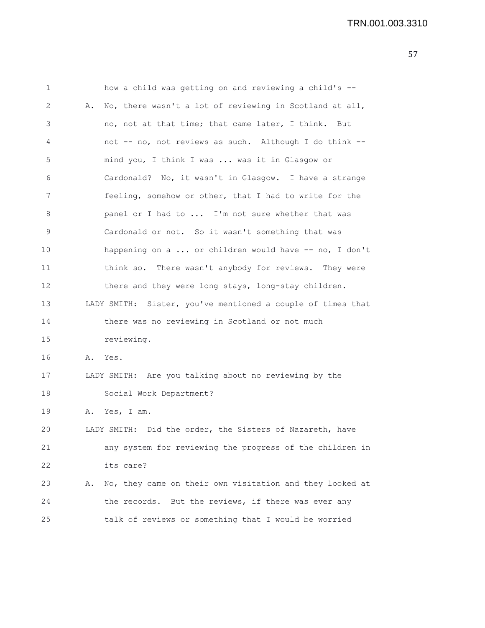| $\mathbf 1$ |    | how a child was getting on and reviewing a child's --       |
|-------------|----|-------------------------------------------------------------|
| 2           | Α. | No, there wasn't a lot of reviewing in Scotland at all,     |
| 3           |    | no, not at that time; that came later, I think. But         |
| 4           |    | not -- no, not reviews as such. Although I do think --      |
| 5           |    | mind you, I think I was  was it in Glasgow or               |
| 6           |    | Cardonald? No, it wasn't in Glasgow. I have a strange       |
| 7           |    | feeling, somehow or other, that I had to write for the      |
| 8           |    | panel or I had to  I'm not sure whether that was            |
| 9           |    | Cardonald or not. So it wasn't something that was           |
| 10          |    | happening on a  or children would have -- no, I don't       |
| 11          |    | think so. There wasn't anybody for reviews. They were       |
| 12          |    | there and they were long stays, long-stay children.         |
| 13          |    | LADY SMITH: Sister, you've mentioned a couple of times that |
| 14          |    | there was no reviewing in Scotland or not much              |
| 15          |    | reviewing.                                                  |
| 16          | Α. | Yes.                                                        |
| 17          |    | LADY SMITH: Are you talking about no reviewing by the       |
| 18          |    | Social Work Department?                                     |
| 19          |    | A. Yes, I am.                                               |
| 20          |    | LADY SMITH: Did the order, the Sisters of Nazareth, have    |
| 21          |    | any system for reviewing the progress of the children in    |
| 22          |    | its care?                                                   |
| 23          | Α. | No, they came on their own visitation and they looked at    |
| 24          |    | the records. But the reviews, if there was ever any         |
| 25          |    | talk of reviews or something that I would be worried        |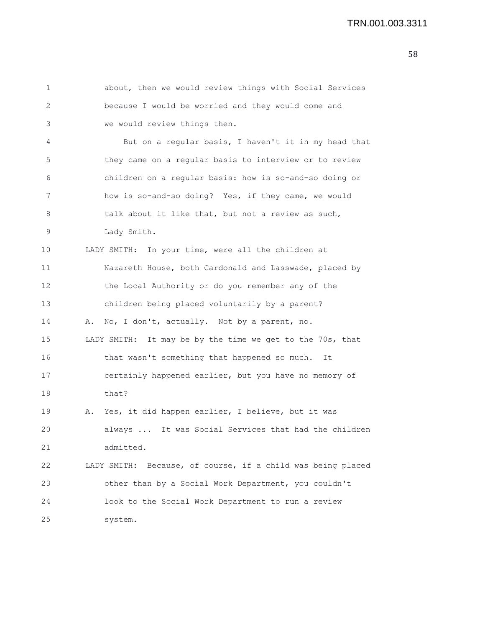| 1               | about, then we would review things with Social Services      |
|-----------------|--------------------------------------------------------------|
| 2               | because I would be worried and they would come and           |
| 3               | we would review things then.                                 |
| 4               | But on a regular basis, I haven't it in my head that         |
| 5               | they came on a regular basis to interview or to review       |
| 6               | children on a regular basis: how is so-and-so doing or       |
| 7               | how is so-and-so doing? Yes, if they came, we would          |
| 8               | talk about it like that, but not a review as such,           |
| 9               | Lady Smith.                                                  |
| 10              | LADY SMITH: In your time, were all the children at           |
| 11              | Nazareth House, both Cardonald and Lasswade, placed by       |
| 12 <sup>2</sup> | the Local Authority or do you remember any of the            |
| 13              | children being placed voluntarily by a parent?               |
| 14              | No, I don't, actually. Not by a parent, no.<br>Α.            |
| 15              | It may be by the time we get to the 70s, that<br>LADY SMITH: |
| 16              | that wasn't something that happened so much. It              |
| 17              | certainly happened earlier, but you have no memory of        |
| 18              | that?                                                        |
| 19              | Yes, it did happen earlier, I believe, but it was<br>Α.      |
| 20              | It was Social Services that had the children<br>always       |
| 21              | admitted.                                                    |
| 22              | LADY SMITH: Because, of course, if a child was being placed  |
| 23              | other than by a Social Work Department, you couldn't         |
| 24              | look to the Social Work Department to run a review           |
| 25              | system.                                                      |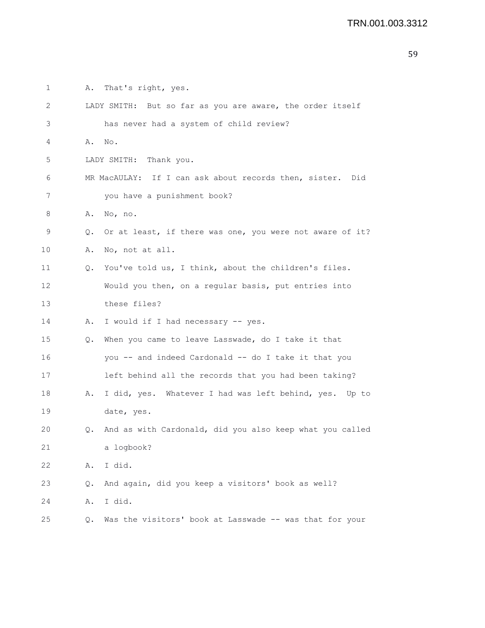1 A. That's right, yes. 2 LADY SMITH: But so far as you are aware, the order itself 3 has never had a system of child review? 4 A. No. 5 LADY SMITH: Thank you. 6 MR MacAULAY: If I can ask about records then, sister. Did 7 you have a punishment book? 8 A. No, no. 9 Q. Or at least, if there was one, you were not aware of it? 10 A. No, not at all. 11 Q. You've told us, I think, about the children's files. 12 Would you then, on a regular basis, put entries into 13 these files? 14 A. I would if I had necessary -- yes. 15 Q. When you came to leave Lasswade, do I take it that 16 you -- and indeed Cardonald -- do I take it that you 17 left behind all the records that you had been taking? 18 A. I did, yes. Whatever I had was left behind, yes. Up to 19 date, yes. 20 Q. And as with Cardonald, did you also keep what you called 21 a logbook? 22 A. I did. 23 Q. And again, did you keep a visitors' book as well? 24 A. I did. 25 Q. Was the visitors' book at Lasswade -- was that for your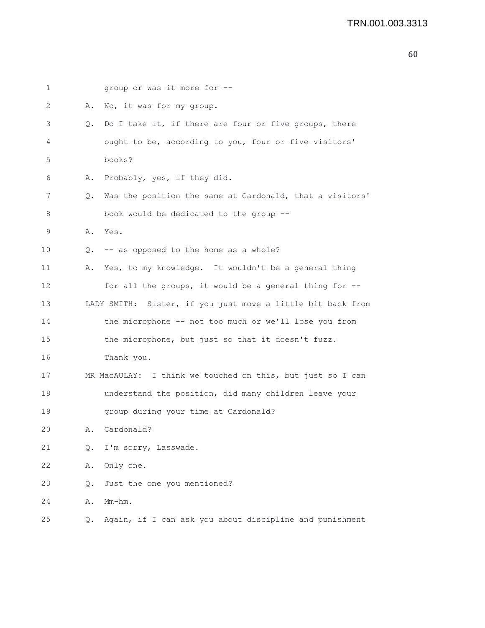| 1               |    | group or was it more for --                                 |
|-----------------|----|-------------------------------------------------------------|
| 2               | Α. | No, it was for my group.                                    |
| 3               | Q. | Do I take it, if there are four or five groups, there       |
| 4               |    | ought to be, according to you, four or five visitors'       |
| 5               |    | books?                                                      |
| 6               | Α. | Probably, yes, if they did.                                 |
| 7               | Q. | Was the position the same at Cardonald, that a visitors'    |
| 8               |    | book would be dedicated to the group --                     |
| 9               | Α. | Yes.                                                        |
| 10              |    | Q. -- as opposed to the home as a whole?                    |
| 11              | Α. | Yes, to my knowledge. It wouldn't be a general thing        |
| 12 <sup>2</sup> |    | for all the groups, it would be a general thing for --      |
| 13              |    | LADY SMITH: Sister, if you just move a little bit back from |
| 14              |    | the microphone -- not too much or we'll lose you from       |
| 15              |    | the microphone, but just so that it doesn't fuzz.           |
| 16              |    | Thank you.                                                  |
| 17              |    | MR MacAULAY: I think we touched on this, but just so I can  |
| 18              |    | understand the position, did many children leave your       |
| 19              |    | group during your time at Cardonald?                        |
| 20              | Α. | Cardonald?                                                  |
| 21              | Q. | I'm sorry, Lasswade.                                        |
| 22              | Α. | Only one.                                                   |
| 23              | Q. | Just the one you mentioned?                                 |
| 24              | Α. | Mm-hm.                                                      |
| 25              | Q. | Again, if I can ask you about discipline and punishment     |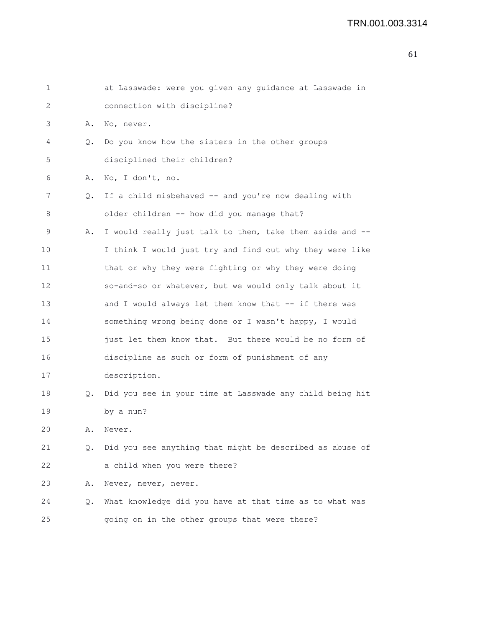| $\mathbf 1$ |    | at Lasswade: were you given any guidance at Lasswade in  |
|-------------|----|----------------------------------------------------------|
| 2           |    | connection with discipline?                              |
| 3           | Α. | No, never.                                               |
| 4           | Q. | Do you know how the sisters in the other groups          |
| 5           |    | disciplined their children?                              |
| 6           | Α. | No, I don't, no.                                         |
| 7           | Q. | If a child misbehaved -- and you're now dealing with     |
| 8           |    | older children -- how did you manage that?               |
| 9           | Α. | I would really just talk to them, take them aside and -- |
| 10          |    | I think I would just try and find out why they were like |
| 11          |    | that or why they were fighting or why they were doing    |
| 12          |    | so-and-so or whatever, but we would only talk about it   |
| 13          |    | and I would always let them know that -- if there was    |
| 14          |    | something wrong being done or I wasn't happy, I would    |
| 15          |    | just let them know that. But there would be no form of   |
| 16          |    | discipline as such or form of punishment of any          |
| 17          |    | description.                                             |
| 18          | Q. | Did you see in your time at Lasswade any child being hit |
| 19          |    | by a nun?                                                |
| 20          | Α. | Never.                                                   |
| 21          | Q. | Did you see anything that might be described as abuse of |
| 22          |    | a child when you were there?                             |

23 A. Never, never, never.

20

24 Q. What knowledge did you have at that time as to what was 25 going on in the other groups that were there?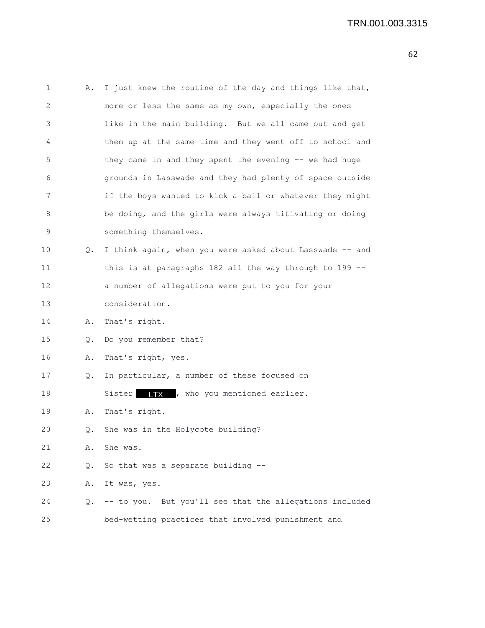| 1  | Α. | I just knew the routine of the day and things like that, |
|----|----|----------------------------------------------------------|
| 2  |    | more or less the same as my own, especially the ones     |
| 3  |    | like in the main building. But we all came out and get   |
| 4  |    | them up at the same time and they went off to school and |
| 5  |    | they came in and they spent the evening -- we had huge   |
| 6  |    | grounds in Lasswade and they had plenty of space outside |
| 7  |    | if the boys wanted to kick a ball or whatever they might |
| 8  |    | be doing, and the girls were always titivating or doing  |
| 9  |    | something themselves.                                    |
| 10 | Q. | I think again, when you were asked about Lasswade -- and |
| 11 |    | this is at paragraphs 182 all the way through to 199 --  |
| 12 |    | a number of allegations were put to you for your         |
| 13 |    | consideration.                                           |
| 14 | Α. | That's right.                                            |
| 15 | Q. | Do you remember that?                                    |
| 16 | Α. | That's right, yes.                                       |
| 17 | Q. | In particular, a number of these focused on              |
| 18 |    | Sister <b>IIX</b> , who you mentioned earlier.           |
| 19 | Α. | That's right.                                            |
| 20 | Q. | She was in the Holycote building?                        |
| 21 | Α. | She was.                                                 |
| 22 | Q. | So that was a separate building --                       |
| 23 | Α. | It was, yes.                                             |
| 24 | Q. | -- to you. But you'll see that the allegations included  |
| 25 |    | bed-wetting practices that involved punishment and       |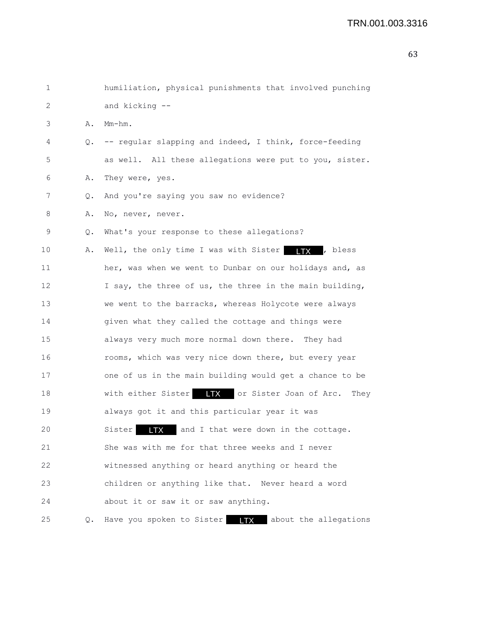```
1 humiliation, physical punishments that involved punching
2 and kicking --
3 A. Mm-hm.
4 Q. -- regular slapping and indeed, I think, force-feeding
5 as well. All these allegations were put to you, sister.
6 A. They were, yes.
7 Q. And you're saying you saw no evidence?
8 A. No, never, never.
9 Q. What's your response to these allegations?
10 A. Well, the only time I was with Sister \Box TX , bless
11 her, was when we went to Dunbar on our holidays and, as
12 I say, the three of us, the three in the main building,
13 we went to the barracks, whereas Holycote were always
14 given what they called the cottage and things were
15 always very much more normal down there. They had
16 rooms, which was very nice down there, but every year
17 one of us in the main building would get a chance to be
18 With either Sister LTX or Sister Joan of Arc. They
19 always got it and this particular year it was
20 Sister LTX and I that were down in the cottage.
21 She was with me for that three weeks and I never
22 witnessed anything or heard anything or heard the
23 children or anything like that. Never heard a word
24 about it or saw it or saw anything.
25 Q. Have you spoken to Sister ITX about the allegations
```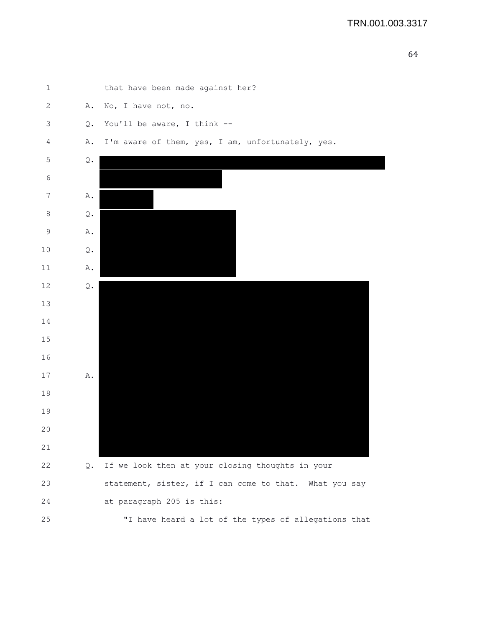

| $\mathbf 1$     |               | that have been made against her?                       |
|-----------------|---------------|--------------------------------------------------------|
| $\mathbf{2}$    | Α.            | No, I have not, no.                                    |
| 3               | Q.            | You'll be aware, I think --                            |
| 4               | Α.            | I'm aware of them, yes, I am, unfortunately, yes.      |
| $\mathbf 5$     | $\mathbb Q$ . |                                                        |
| $\sqrt{6}$      |               |                                                        |
| $7\phantom{.0}$ | Α.            |                                                        |
| $\,8\,$         | Q.            |                                                        |
| $\mathsf 9$     | Α.            |                                                        |
| $10$            | $\mathsf Q$ . |                                                        |
| 11              | Α.            |                                                        |
| 12              | Q.            |                                                        |
| 13              |               |                                                        |
| 14              |               |                                                        |
| 15              |               |                                                        |
| 16              |               |                                                        |
| 17              | Α.            |                                                        |
| 18              |               |                                                        |
| 19              |               |                                                        |
| 20              |               |                                                        |
| 21              |               |                                                        |
| 22              | Q.            | If we look then at your closing thoughts in your       |
| 23              |               | statement, sister, if I can come to that. What you say |
| 24              |               | at paragraph 205 is this:                              |
| 25              |               | "I have heard a lot of the types of allegations that   |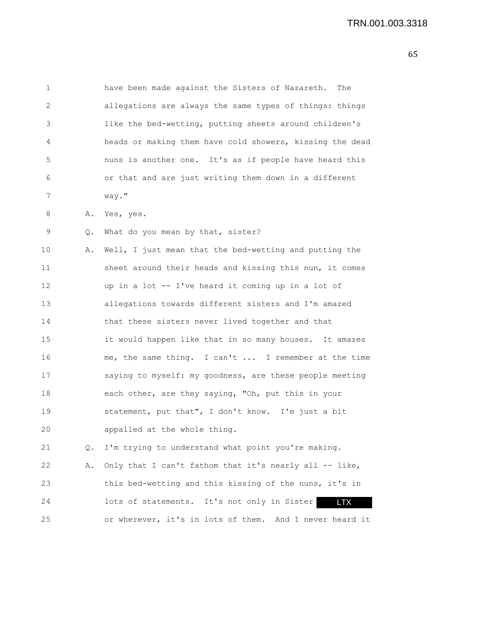| 1  |    | have been made against the Sisters of Nazareth.<br>The    |
|----|----|-----------------------------------------------------------|
| 2  |    | allegations are always the same types of things: things   |
| 3  |    | like the bed-wetting, putting sheets around children's    |
| 4  |    | heads or making them have cold showers, kissing the dead  |
| 5  |    | nuns is another one. It's as if people have heard this    |
| 6  |    | or that and are just writing them down in a different     |
| 7  |    | way."                                                     |
| 8  | Α. | Yes, yes.                                                 |
| 9  | Q. | What do you mean by that, sister?                         |
| 10 | Α. | Well, I just mean that the bed-wetting and putting the    |
| 11 |    | sheet around their heads and kissing this nun, it comes   |
| 12 |    | up in a lot -- I've heard it coming up in a lot of        |
| 13 |    | allegations towards different sisters and I'm amazed      |
| 14 |    | that these sisters never lived together and that          |
| 15 |    | it would happen like that in so many houses. It amazes    |
| 16 |    | me, the same thing. I can't  I remember at the time       |
| 17 |    | saying to myself: my goodness, are these people meeting   |
| 18 |    | each other, are they saying, "Oh, put this in your        |
| 19 |    | statement, put that", I don't know. I'm just a bit        |
| 20 |    | appalled at the whole thing.                              |
| 21 | Q. | I'm trying to understand what point you're making.        |
| 22 | Α. | Only that I can't fathom that it's nearly all -- like,    |
| 23 |    | this bed-wetting and this kissing of the nuns, it's in    |
| 24 |    | lots of statements. It's not only in Sister<br><b>LTX</b> |
| 25 |    | or wherever, it's in lots of them. And I never heard it   |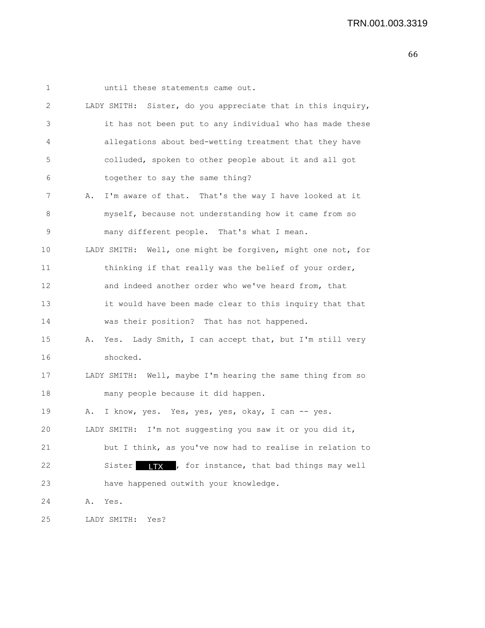| 1    | until these statements came out.                               |
|------|----------------------------------------------------------------|
| 2    | Sister, do you appreciate that in this inquiry,<br>LADY SMITH: |
| 3    | it has not been put to any individual who has made these       |
| 4    | allegations about bed-wetting treatment that they have         |
| 5    | colluded, spoken to other people about it and all got          |
| 6    | together to say the same thing?                                |
| 7    | I'm aware of that. That's the way I have looked at it<br>Α.    |
| 8    | myself, because not understanding how it came from so          |
| 9    | many different people. That's what I mean.                     |
| 10   | LADY SMITH: Well, one might be forgiven, might one not, for    |
| 11   | thinking if that really was the belief of your order,          |
| 12   | and indeed another order who we've heard from, that            |
| 13   | it would have been made clear to this inquiry that that        |
| 14   | was their position? That has not happened.                     |
| 15   | Yes. Lady Smith, I can accept that, but I'm still very<br>Α.   |
| 16   | shocked.                                                       |
| 17   | LADY SMITH: Well, maybe I'm hearing the same thing from so     |
| 18   | many people because it did happen.                             |
| 19   | I know, yes. Yes, yes, yes, okay, I can -- yes.<br>Α.          |
| 20   | I'm not suggesting you saw it or you did it,<br>LADY SMITH:    |
| 21   | but I think, as you've now had to realise in relation to       |
| 22   | ITX , for instance, that bad things may well<br>Sister         |
| 23   | have happened outwith your knowledge.                          |
| 24   | Α.<br>Yes.                                                     |
| $25$ | LADY SMITH:<br>Yes?                                            |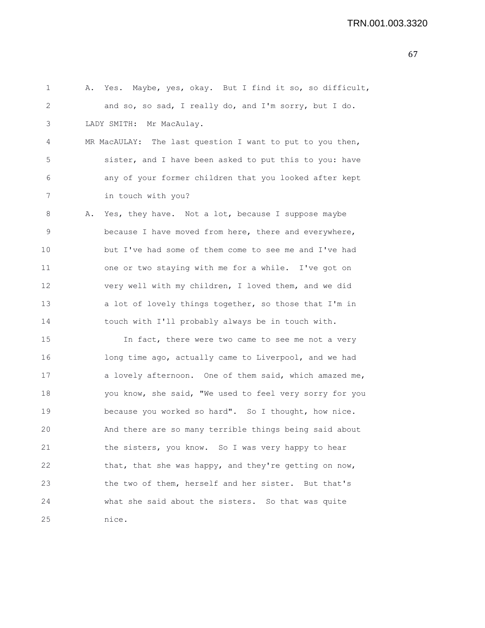1 A. Yes. Maybe, yes, okay. But I find it so, so difficult, 2 and so, so sad, I really do, and I'm sorry, but I do. 3 LADY SMITH: Mr MacAulay. 4 MR MacAULAY: The last question I want to put to you then, 5 sister, and I have been asked to put this to you: have 6 any of your former children that you looked after kept 7 in touch with you? 8 A. Yes, they have. Not a lot, because I suppose maybe 9 because I have moved from here, there and everywhere, 10 but I've had some of them come to see me and I've had 11 one or two staying with me for a while. I've got on 12 very well with my children, I loved them, and we did 13 a lot of lovely things together, so those that I'm in 14 touch with I'll probably always be in touch with. 15 In fact, there were two came to see me not a very 16 long time ago, actually came to Liverpool, and we had 17 a lovely afternoon. One of them said, which amazed me, 18 you know, she said, "We used to feel very sorry for you 19 because you worked so hard". So I thought, how nice. 20 And there are so many terrible things being said about 21 the sisters, you know. So I was very happy to hear 22 that, that she was happy, and they're getting on now, 23 the two of them, herself and her sister. But that's 24 what she said about the sisters. So that was quite 25 nice.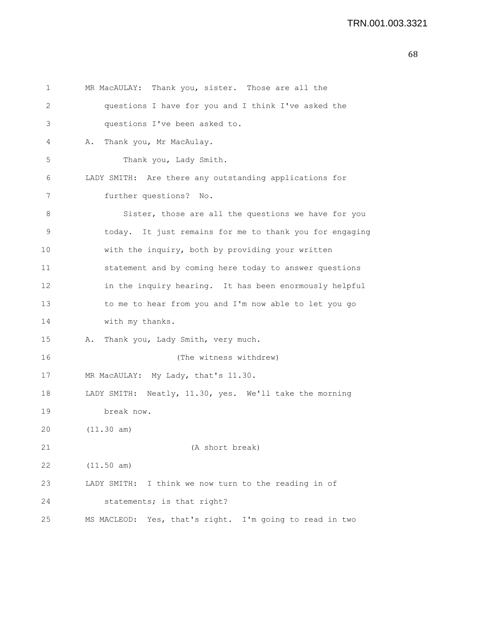```
1 MR MacAULAY: Thank you, sister. Those are all the
2 questions I have for you and I think I've asked the
3 questions I've been asked to.
4 A. Thank you, Mr MacAulay.
5 Thank you, Lady Smith.
6 LADY SMITH: Are there any outstanding applications for
7 further questions? No.
8 Sister, those are all the questions we have for you
9 today. It just remains for me to thank you for engaging
10 with the inquiry, both by providing your written
11 statement and by coming here today to answer questions
12 in the inquiry hearing. It has been enormously helpful
13 to me to hear from you and I'm now able to let you go
14 with my thanks.
15 A. Thank you, Lady Smith, very much.
16 (The witness withdrew)
17 MR MacAULAY: My Lady, that's 11.30.
18 LADY SMITH: Neatly, 11.30, yes. We'll take the morning
19 break now.
20 (11.30 am)
21 (A short break)
22 (11.50 am)
23 LADY SMITH: I think we now turn to the reading in of
24 statements; is that right?
25 MS MACLEOD: Yes, that's right. I'm going to read in two
```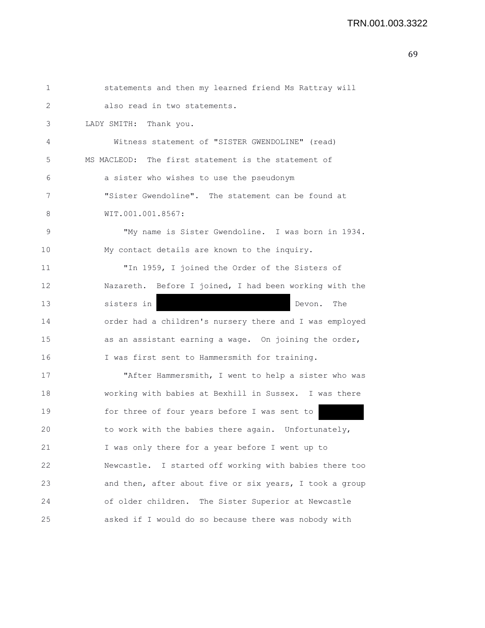```
1 statements and then my learned friend Ms Rattray will
2 also read in two statements.
3 LADY SMITH: Thank you.
4 Witness statement of "SISTER GWENDOLINE" (read)
5 MS MACLEOD: The first statement is the statement of
6 a sister who wishes to use the pseudonym
7 "Sister Gwendoline". The statement can be found at
8 WIT.001.001.8567:
9 "My name is Sister Gwendoline. I was born in 1934.
10 My contact details are known to the inquiry.
11 "In 1959, I joined the Order of the Sisters of
12 Nazareth. Before I joined, I had been working with the
13 sisters in Devon. The
14 order had a children's nursery there and I was employed
15 as an assistant earning a wage. On joining the order,
16 I was first sent to Hammersmith for training.
17 "After Hammersmith, I went to help a sister who was
18 working with babies at Bexhill in Sussex. I was there
19 for three of four years before I was sent to 
20 to work with the babies there again. Unfortunately,
21 I was only there for a year before I went up to
22 Newcastle. I started off working with babies there too
23 and then, after about five or six years, I took a group
24 of older children. The Sister Superior at Newcastle
25 asked if I would do so because there was nobody with
```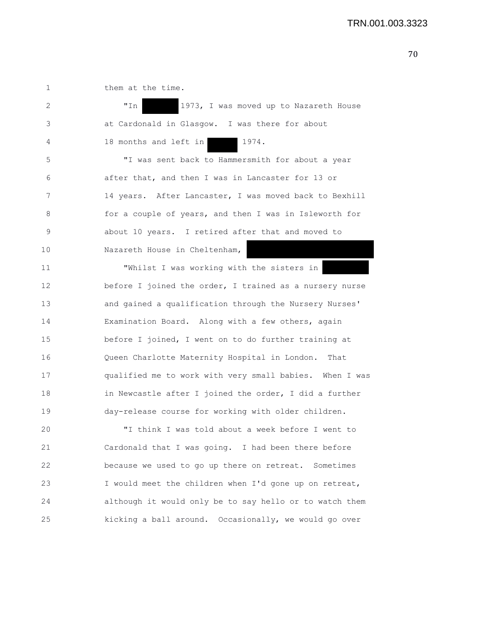1 them at the time. 2 "In 1973, I was moved up to Nazareth House 3 at Cardonald in Glasgow. I was there for about 4 18 months and left in 1974. 5 "I was sent back to Hammersmith for about a year 6 after that, and then I was in Lancaster for 13 or 7 14 years. After Lancaster, I was moved back to Bexhill 8 for a couple of years, and then I was in Isleworth for 9 about 10 years. I retired after that and moved to 10 Nazareth House in Cheltenham, 11 **Whilst I was working with the sisters in** 12 before I joined the order, I trained as a nursery nurse 13 and gained a qualification through the Nursery Nurses' 14 Examination Board. Along with a few others, again 15 before I joined, I went on to do further training at 16 Queen Charlotte Maternity Hospital in London. That 17 qualified me to work with very small babies. When I was 18 in Newcastle after I joined the order, I did a further 19 day-release course for working with older children. 20 "I think I was told about a week before I went to 21 Cardonald that I was going. I had been there before 22 because we used to go up there on retreat. Sometimes 23 I would meet the children when I'd gone up on retreat, 24 although it would only be to say hello or to watch them 25 kicking a ball around. Occasionally, we would go over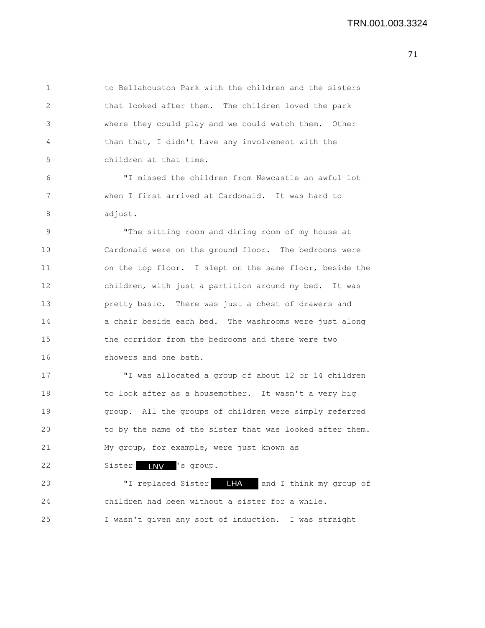1 to Bellahouston Park with the children and the sisters 2 that looked after them. The children loved the park 3 where they could play and we could watch them. Other 4 than that, I didn't have any involvement with the 5 children at that time.

6 "I missed the children from Newcastle an awful lot 7 when I first arrived at Cardonald. It was hard to 8 adjust.

9 "The sitting room and dining room of my house at 10 Cardonald were on the ground floor. The bedrooms were 11 on the top floor. I slept on the same floor, beside the 12 children, with just a partition around my bed. It was 13 pretty basic. There was just a chest of drawers and 14 a chair beside each bed. The washrooms were just along 15 the corridor from the bedrooms and there were two 16 showers and one bath.

17 "I was allocated a group of about 12 or 14 children 18 to look after as a housemother. It wasn't a very big 19 group. All the groups of children were simply referred 20 to by the name of the sister that was looked after them. 21 My group, for example, were just known as

22 Sister **INV** 's group.

23 TI replaced Sister **IFA** and I think my group of 24 children had been without a sister for a while. 25 I wasn't given any sort of induction. I was straight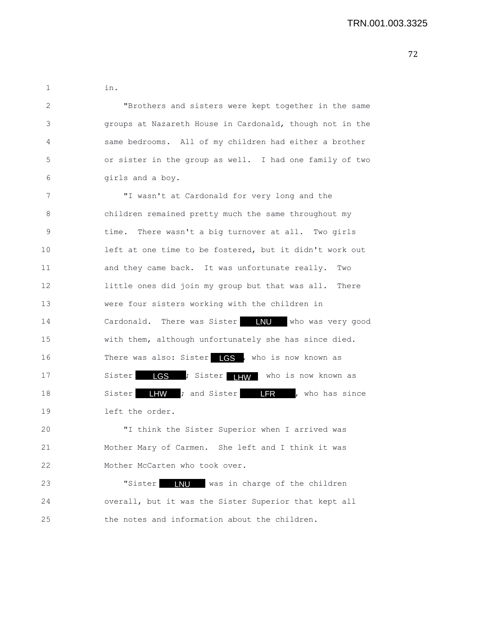1 in.

2 "Brothers and sisters were kept together in the same 3 groups at Nazareth House in Cardonald, though not in the 4 same bedrooms. All of my children had either a brother 5 or sister in the group as well. I had one family of two 6 girls and a boy.

7 "I wasn't at Cardonald for very long and the 8 children remained pretty much the same throughout my 9 time. There wasn't a big turnover at all. Two girls 10 left at one time to be fostered, but it didn't work out 11 and they came back. It was unfortunate really. Two 12 little ones did join my group but that was all. There 13 were four sisters working with the children in 14 Cardonald. There was Sister **INU** who was very good 15 with them, although unfortunately she has since died. 16 There was also: Sister LGS, who is now known as 17 Sister LGS ; Sister LHW who is now known as 18 Sister LHW ; and Sister LFR , who has since 19 left the order.

20 "I think the Sister Superior when I arrived was 21 Mother Mary of Carmen. She left and I think it was 22 Mother McCarten who took over.

23 "Sister **INU** was in charge of the children 24 overall, but it was the Sister Superior that kept all 25 the notes and information about the children.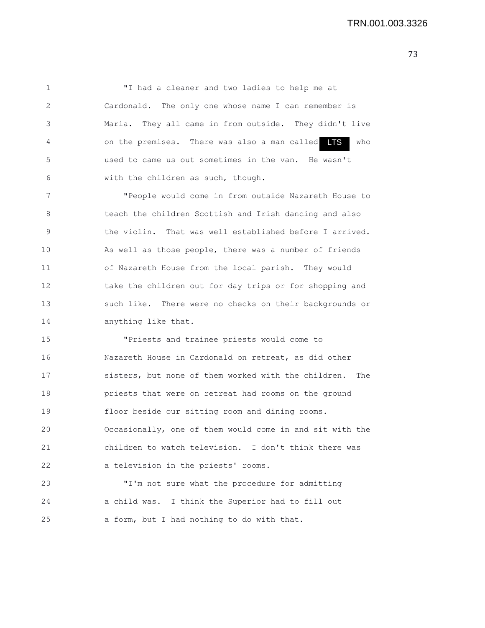1 "I had a cleaner and two ladies to help me at 2 Cardonald. The only one whose name I can remember is 3 Maria. They all came in from outside. They didn't live 4 on the premises. There was also a man called  $\blacksquare$ 5 used to came us out sometimes in the van. He wasn't 6 with the children as such, though. LTS

7 "People would come in from outside Nazareth House to 8 teach the children Scottish and Irish dancing and also 9 the violin. That was well established before I arrived. 10 As well as those people, there was a number of friends 11 of Nazareth House from the local parish. They would 12 take the children out for day trips or for shopping and 13 such like. There were no checks on their backgrounds or 14 **anything like that.** 

15 "Priests and trainee priests would come to 16 Nazareth House in Cardonald on retreat, as did other 17 sisters, but none of them worked with the children. The 18 priests that were on retreat had rooms on the ground 19 floor beside our sitting room and dining rooms. 20 Occasionally, one of them would come in and sit with the 21 children to watch television. I don't think there was 22 a television in the priests' rooms.

23 "I'm not sure what the procedure for admitting 24 a child was. I think the Superior had to fill out 25 a form, but I had nothing to do with that.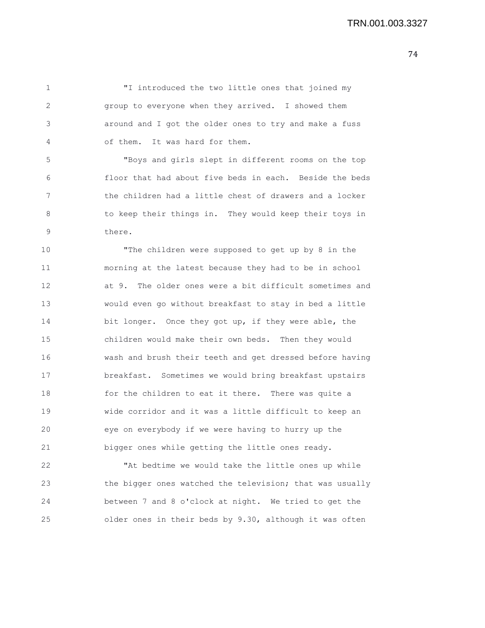1 "I introduced the two little ones that joined my 2 group to everyone when they arrived. I showed them 3 around and I got the older ones to try and make a fuss 4 of them. It was hard for them. 5 "Boys and girls slept in different rooms on the top 6 floor that had about five beds in each. Beside the beds 7 the children had a little chest of drawers and a locker 8 to keep their things in. They would keep their toys in 9 there.

10 "The children were supposed to get up by 8 in the 11 morning at the latest because they had to be in school 12 at 9. The older ones were a bit difficult sometimes and 13 would even go without breakfast to stay in bed a little 14 bit longer. Once they got up, if they were able, the 15 children would make their own beds. Then they would 16 wash and brush their teeth and get dressed before having 17 breakfast. Sometimes we would bring breakfast upstairs 18 for the children to eat it there. There was quite a 19 wide corridor and it was a little difficult to keep an 20 eye on everybody if we were having to hurry up the 21 bigger ones while getting the little ones ready.

22 "At bedtime we would take the little ones up while 23 the bigger ones watched the television; that was usually 24 between 7 and 8 o'clock at night. We tried to get the 25 older ones in their beds by 9.30, although it was often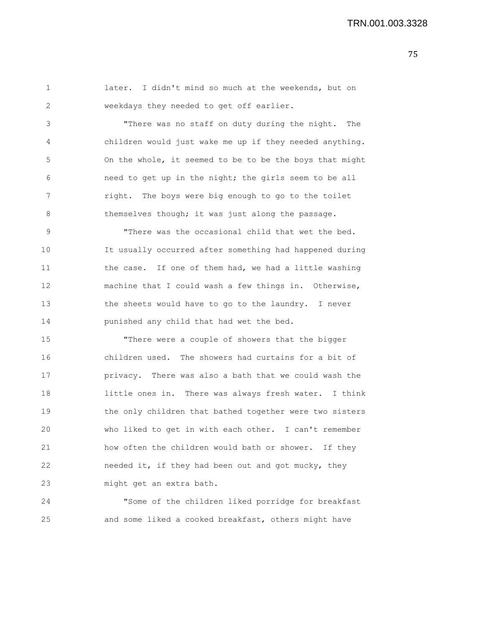1 later. I didn't mind so much at the weekends, but on 2 weekdays they needed to get off earlier.

3 "There was no staff on duty during the night. The 4 children would just wake me up if they needed anything. 5 On the whole, it seemed to be to be the boys that might 6 need to get up in the night; the girls seem to be all 7 right. The boys were big enough to go to the toilet 8 themselves though; it was just along the passage.

9 "There was the occasional child that wet the bed. 10 It usually occurred after something had happened during 11 the case. If one of them had, we had a little washing 12 machine that I could wash a few things in. Otherwise, 13 the sheets would have to go to the laundry. I never 14 punished any child that had wet the bed.

15 "There were a couple of showers that the bigger 16 children used. The showers had curtains for a bit of 17 privacy. There was also a bath that we could wash the 18 little ones in. There was always fresh water. I think 19 the only children that bathed together were two sisters 20 who liked to get in with each other. I can't remember 21 how often the children would bath or shower. If they 22 needed it, if they had been out and got mucky, they 23 might get an extra bath.

24 "Some of the children liked porridge for breakfast 25 and some liked a cooked breakfast, others might have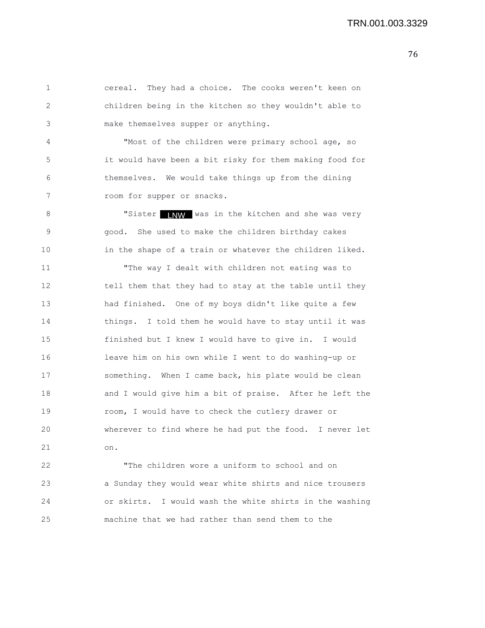1 cereal. They had a choice. The cooks weren't keen on 2 children being in the kitchen so they wouldn't able to 3 make themselves supper or anything. 4 "Most of the children were primary school age, so 5 it would have been a bit risky for them making food for 6 themselves. We would take things up from the dining 7 room for supper or snacks. 8 "Sister INW was in the kitchen and she was very 9 good. She used to make the children birthday cakes 10 in the shape of a train or whatever the children liked. 11 "The way I dealt with children not eating was to 12 tell them that they had to stay at the table until they 13 had finished. One of my boys didn't like quite a few 14 things. I told them he would have to stay until it was 15 finished but I knew I would have to give in. I would 16 leave him on his own while I went to do washing-up or 17 something. When I came back, his plate would be clean 18 and I would give him a bit of praise. After he left the 19 room, I would have to check the cutlery drawer or 20 wherever to find where he had put the food. I never let 21 on. 22 "The children wore a uniform to school and on

23 a Sunday they would wear white shirts and nice trousers 24 or skirts. I would wash the white shirts in the washing 25 machine that we had rather than send them to the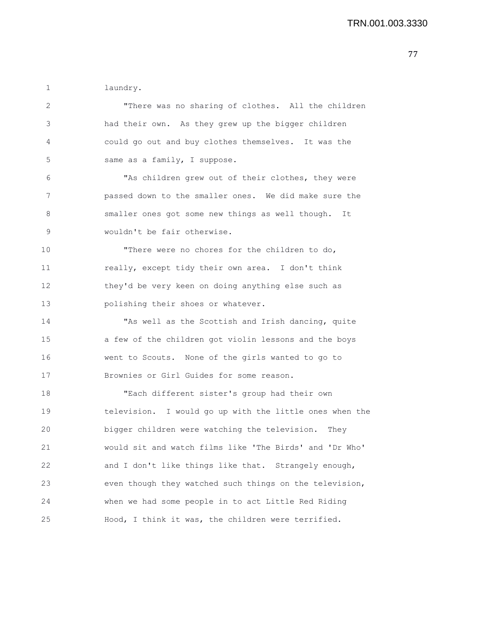1 laundry.

| 2  |                                                         |
|----|---------------------------------------------------------|
|    | "There was no sharing of clothes. All the children      |
| 3  | had their own. As they grew up the bigger children      |
| 4  | could go out and buy clothes themselves. It was the     |
| 5  | same as a family, I suppose.                            |
| 6  | "As children grew out of their clothes, they were       |
| 7  | passed down to the smaller ones. We did make sure the   |
| 8  | smaller ones got some new things as well though. It     |
| 9  | wouldn't be fair otherwise.                             |
| 10 | "There were no chores for the children to do,           |
| 11 | really, except tidy their own area. I don't think       |
| 12 | they'd be very keen on doing anything else such as      |
| 13 | polishing their shoes or whatever.                      |
| 14 | "As well as the Scottish and Irish dancing, quite       |
| 15 | a few of the children got violin lessons and the boys   |
| 16 | went to Scouts. None of the girls wanted to go to       |
| 17 | Brownies or Girl Guides for some reason.                |
| 18 | "Each different sister's group had their own            |
| 19 | television. I would go up with the little ones when the |
| 20 | bigger children were watching the television. They      |
| 21 | would sit and watch films like 'The Birds' and 'Dr Who' |
| 22 | and I don't like things like that. Strangely enough,    |
| 23 | even though they watched such things on the television, |
| 24 | when we had some people in to act Little Red Riding     |
| 25 | Hood, I think it was, the children were terrified.      |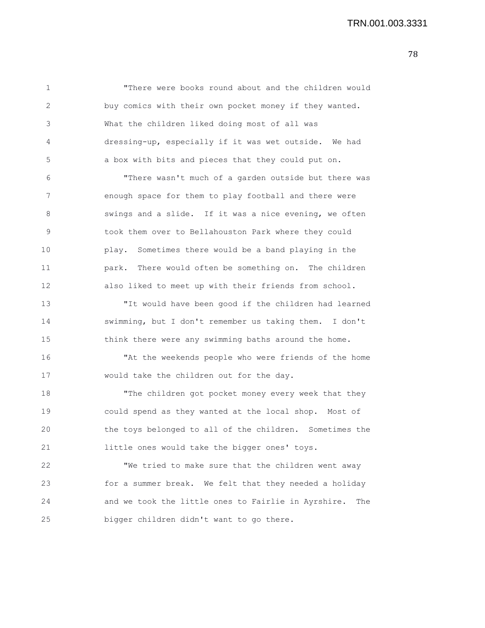2 buy comics with their own pocket money if they wanted. 3 What the children liked doing most of all was 4 dressing-up, especially if it was wet outside. We had 5 a box with bits and pieces that they could put on. 6 "There wasn't much of a garden outside but there was 7 enough space for them to play football and there were 8 Swings and a slide. If it was a nice evening, we often 9 took them over to Bellahouston Park where they could 10 play. Sometimes there would be a band playing in the 11 park. There would often be something on. The children 12 also liked to meet up with their friends from school. 13 "It would have been good if the children had learned 14 swimming, but I don't remember us taking them. I don't 15 think there were any swimming baths around the home. 16 "At the weekends people who were friends of the home 17 would take the children out for the day. 18 The children got pocket money every week that they 19 could spend as they wanted at the local shop. Most of 20 the toys belonged to all of the children. Sometimes the 21 little ones would take the bigger ones' toys. 22 "We tried to make sure that the children went away 23 for a summer break. We felt that they needed a holiday 24 and we took the little ones to Fairlie in Ayrshire. The 25 bigger children didn't want to go there.

1 "There were books round about and the children would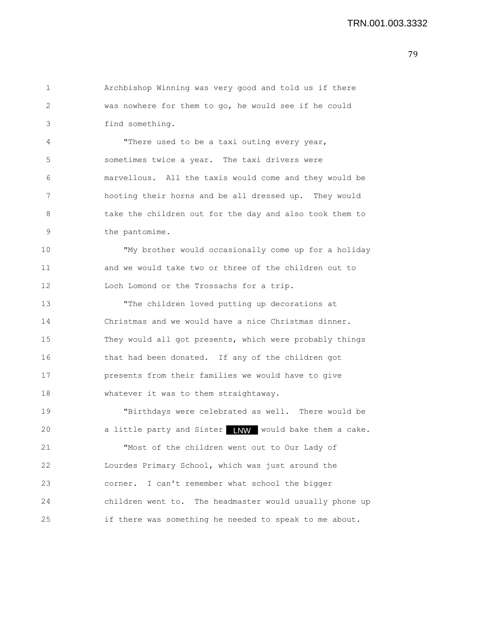1 Archbishop Winning was very good and told us if there 2 was nowhere for them to go, he would see if he could 3 find something. 4 "There used to be a taxi outing every year, 5 sometimes twice a year. The taxi drivers were 6 marvellous. All the taxis would come and they would be 7 hooting their horns and be all dressed up. They would 8 take the children out for the day and also took them to 9 the pantomime. 10 "My brother would occasionally come up for a holiday 11 and we would take two or three of the children out to 12 Loch Lomond or the Trossachs for a trip. 13 "The children loved putting up decorations at 14 Christmas and we would have a nice Christmas dinner. 15 They would all got presents, which were probably things 16 that had been donated. If any of the children got 17 presents from their families we would have to give 18 whatever it was to them straightaway. 19 "Birthdays were celebrated as well. There would be 20 a little party and Sister **NW** would bake them a cake. 21 "Most of the children went out to Our Lady of 22 Lourdes Primary School, which was just around the 23 corner. I can't remember what school the bigger 24 children went to. The headmaster would usually phone up 25 if there was something he needed to speak to me about.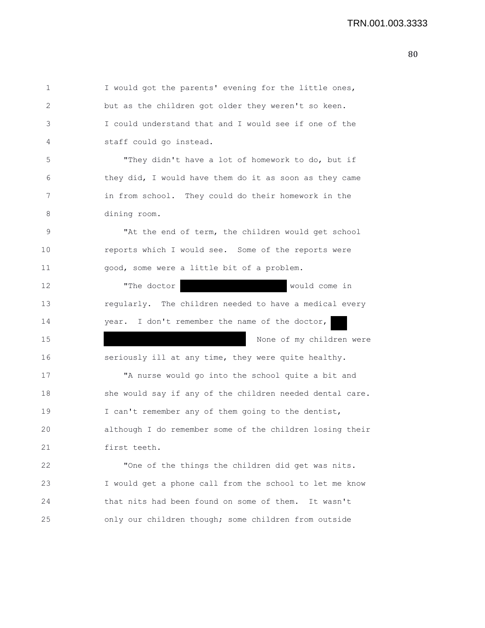| $\mathbf 1$  | I would got the parents' evening for the little ones,    |
|--------------|----------------------------------------------------------|
| $\mathbf{2}$ | but as the children got older they weren't so keen.      |
| 3            | I could understand that and I would see if one of the    |
| 4            | staff could go instead.                                  |
| 5            | "They didn't have a lot of homework to do, but if        |
| 6            | they did, I would have them do it as soon as they came   |
| 7            | in from school. They could do their homework in the      |
| 8            | dining room.                                             |
| 9            | "At the end of term, the children would get school       |
| 10           | reports which I would see. Some of the reports were      |
| 11           | good, some were a little bit of a problem.               |
| 12           | "The doctor<br>would come in                             |
| 13           | regularly. The children needed to have a medical every   |
| 14           | year. I don't remember the name of the doctor,           |
| 15           | None of my children were                                 |
| 16           | seriously ill at any time, they were quite healthy.      |
| 17           | "A nurse would go into the school quite a bit and        |
| 18           | she would say if any of the children needed dental care. |
| 19           | I can't remember any of them going to the dentist,       |
| 20           | although I do remember some of the children losing their |
| 21           | first teeth.                                             |
| 22           | "One of the things the children did get was nits.        |
| 23           | I would get a phone call from the school to let me know  |
| 24           | that nits had been found on some of them. It wasn't      |
| 25           | only our children though; some children from outside     |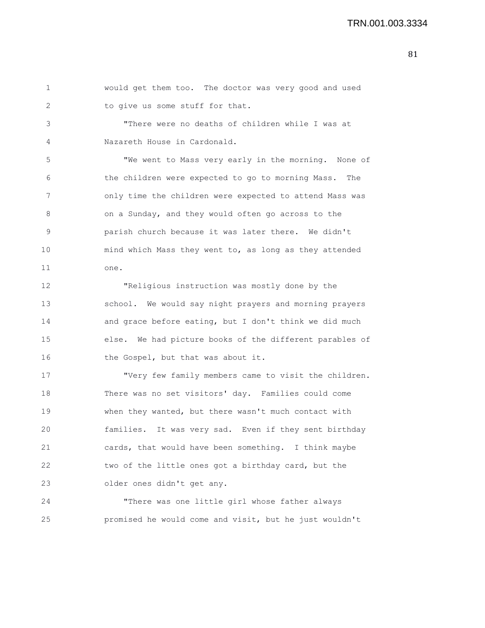1 would get them too. The doctor was very good and used 2 to give us some stuff for that. 3 "There were no deaths of children while I was at 4 Nazareth House in Cardonald. 5 "We went to Mass very early in the morning. None of 6 the children were expected to go to morning Mass. The 7 only time the children were expected to attend Mass was 8 on a Sunday, and they would often go across to the 9 parish church because it was later there. We didn't 10 mind which Mass they went to, as long as they attended 11 one. 12 "Religious instruction was mostly done by the 13 school. We would say night prayers and morning prayers 14 and grace before eating, but I don't think we did much 15 else. We had picture books of the different parables of 16 the Gospel, but that was about it.

17 "Very few family members came to visit the children. 18 There was no set visitors' day. Families could come 19 when they wanted, but there wasn't much contact with 20 families. It was very sad. Even if they sent birthday 21 cards, that would have been something. I think maybe 22 two of the little ones got a birthday card, but the 23 older ones didn't get any.

24 "There was one little girl whose father always 25 promised he would come and visit, but he just wouldn't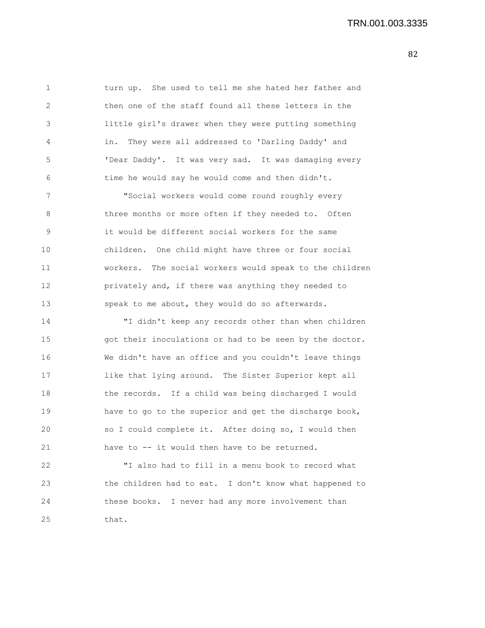1 turn up. She used to tell me she hated her father and 2 then one of the staff found all these letters in the 3 little girl's drawer when they were putting something 4 in. They were all addressed to 'Darling Daddy' and 5 'Dear Daddy'. It was very sad. It was damaging every 6 time he would say he would come and then didn't.

7 "Social workers would come round roughly every 8 three months or more often if they needed to. Often 9 it would be different social workers for the same 10 children. One child might have three or four social 11 workers. The social workers would speak to the children 12 privately and, if there was anything they needed to 13 speak to me about, they would do so afterwards.

14 "I didn't keep any records other than when children 15 got their inoculations or had to be seen by the doctor. 16 We didn't have an office and you couldn't leave things 17 like that lying around. The Sister Superior kept all 18 the records. If a child was being discharged I would 19 have to go to the superior and get the discharge book, 20 so I could complete it. After doing so, I would then 21 have to -- it would then have to be returned.

22 "I also had to fill in a menu book to record what 23 the children had to eat. I don't know what happened to 24 these books. I never had any more involvement than 25 that.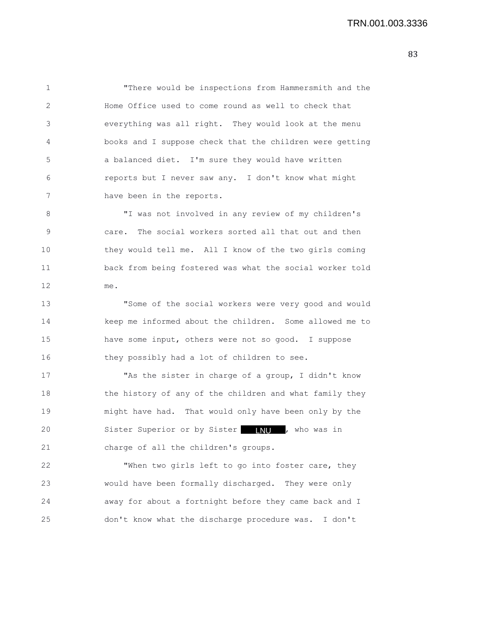1 "There would be inspections from Hammersmith and the 2 Home Office used to come round as well to check that 3 everything was all right. They would look at the menu 4 books and I suppose check that the children were getting 5 a balanced diet. I'm sure they would have written 6 reports but I never saw any. I don't know what might 7 have been in the reports.

8 "I was not involved in any review of my children's 9 care. The social workers sorted all that out and then 10 they would tell me. All I know of the two girls coming 11 back from being fostered was what the social worker told 12 me.

13 "Some of the social workers were very good and would 14 keep me informed about the children. Some allowed me to 15 have some input, others were not so good. I suppose 16 they possibly had a lot of children to see.

17 "As the sister in charge of a group, I didn't know 18 the history of any of the children and what family they 19 might have had. That would only have been only by the 20 Sister Superior or by Sister **NU ,** who was in 21 charge of all the children's groups.

22 "When two girls left to go into foster care, they 23 would have been formally discharged. They were only 24 away for about a fortnight before they came back and I 25 don't know what the discharge procedure was. I don't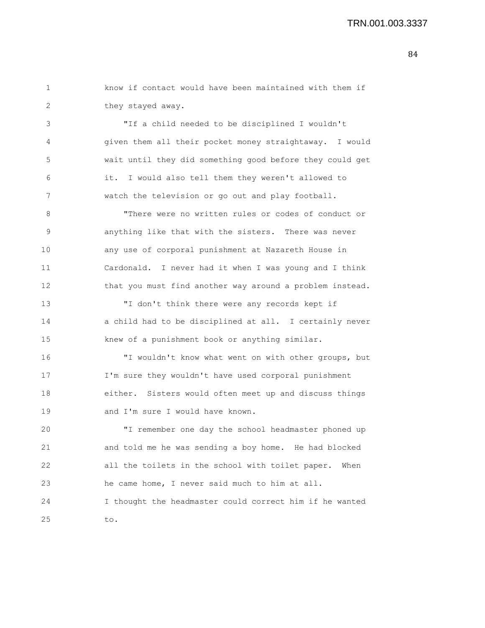## TRN.001.003.3337

1 know if contact would have been maintained with them if 2 they stayed away.

3 "If a child needed to be disciplined I wouldn't 4 given them all their pocket money straightaway. I would 5 wait until they did something good before they could get 6 it. I would also tell them they weren't allowed to 7 watch the television or go out and play football.

8 "There were no written rules or codes of conduct or 9 anything like that with the sisters. There was never 10 any use of corporal punishment at Nazareth House in 11 Cardonald. I never had it when I was young and I think 12 that you must find another way around a problem instead.

13 "I don't think there were any records kept if 14 a child had to be disciplined at all. I certainly never 15 knew of a punishment book or anything similar.

16 "I wouldn't know what went on with other groups, but 17 I'm sure they wouldn't have used corporal punishment 18 either. Sisters would often meet up and discuss things 19 and I'm sure I would have known.

20 "I remember one day the school headmaster phoned up 21 and told me he was sending a boy home. He had blocked 22 all the toilets in the school with toilet paper. When 23 he came home, I never said much to him at all. 24 I thought the headmaster could correct him if he wanted 25 to.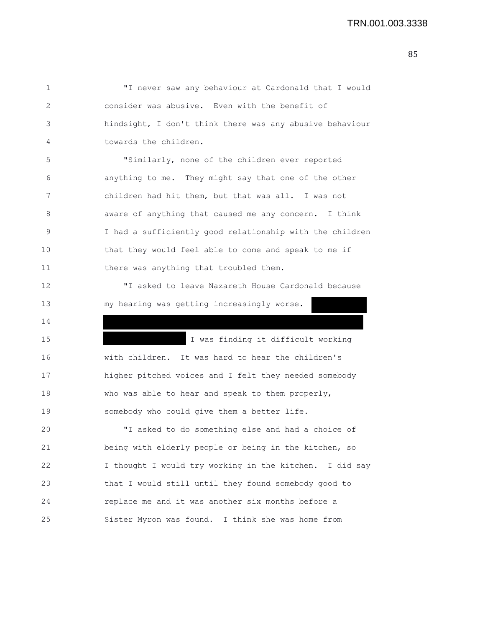1 "I never saw any behaviour at Cardonald that I would 2 consider was abusive. Even with the benefit of 3 hindsight, I don't think there was any abusive behaviour 4 towards the children. 5 "Similarly, none of the children ever reported 6 anything to me. They might say that one of the other 7 children had hit them, but that was all. I was not 8 aware of anything that caused me any concern. I think 9 I had a sufficiently good relationship with the children 10 that they would feel able to come and speak to me if 11 there was anything that troubled them. 12 "I asked to leave Nazareth House Cardonald because 13 my hearing was getting increasingly worse. 14 15 I was finding it difficult working 16 with children. It was hard to hear the children's 17 higher pitched voices and I felt they needed somebody 18 who was able to hear and speak to them properly, 19 somebody who could give them a better life. 20 "I asked to do something else and had a choice of 21 being with elderly people or being in the kitchen, so 22 I thought I would try working in the kitchen. I did say 23 that I would still until they found somebody good to 24 replace me and it was another six months before a 25 Sister Myron was found. I think she was home from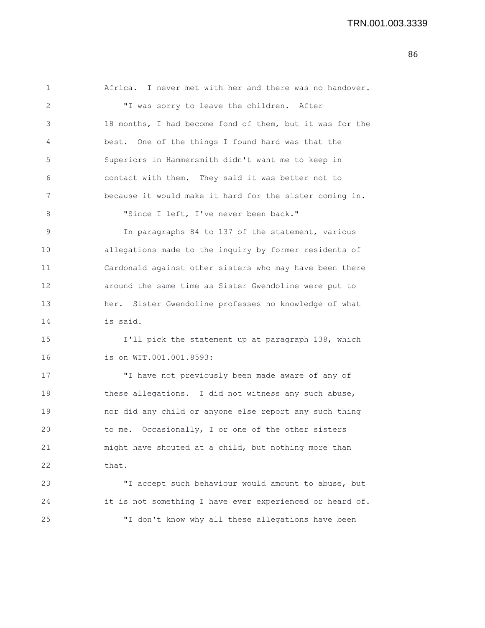1 Africa. I never met with her and there was no handover. 2 "I was sorry to leave the children. After 3 18 months, I had become fond of them, but it was for the 4 best. One of the things I found hard was that the 5 Superiors in Hammersmith didn't want me to keep in 6 contact with them. They said it was better not to 7 because it would make it hard for the sister coming in. 8 "Since I left, I've never been back." 9 In paragraphs 84 to 137 of the statement, various 10 allegations made to the inquiry by former residents of 11 Cardonald against other sisters who may have been there 12 around the same time as Sister Gwendoline were put to 13 her. Sister Gwendoline professes no knowledge of what 14 is said. 15 I'll pick the statement up at paragraph 138, which 16 is on WIT.001.001.8593: 17 "I have not previously been made aware of any of 18 these allegations. I did not witness any such abuse, 19 nor did any child or anyone else report any such thing 20 to me. Occasionally, I or one of the other sisters 21 might have shouted at a child, but nothing more than 22 that. 23 "I accept such behaviour would amount to abuse, but 24 it is not something I have ever experienced or heard of. 25 "I don't know why all these allegations have been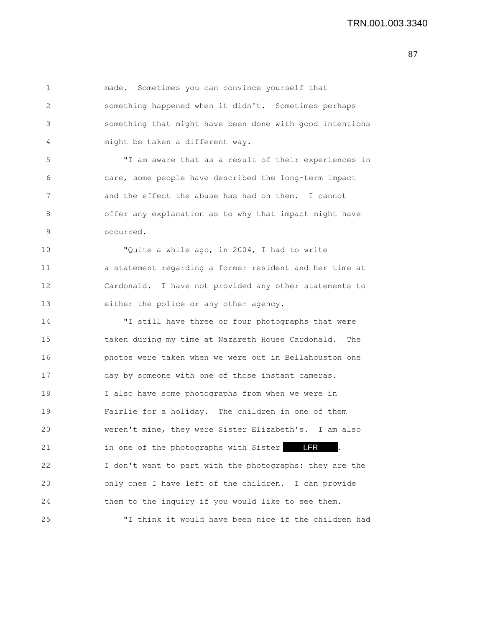1 made. Sometimes you can convince yourself that 2 something happened when it didn't. Sometimes perhaps 3 something that might have been done with good intentions 4 might be taken a different way. 5 "I am aware that as a result of their experiences in 6 care, some people have described the long-term impact 7 and the effect the abuse has had on them. I cannot 8 offer any explanation as to why that impact might have 9 occurred. 10 "Quite a while ago, in 2004, I had to write 11 a statement regarding a former resident and her time at 12 Cardonald. I have not provided any other statements to 13 either the police or any other agency. 14 "I still have three or four photographs that were 15 taken during my time at Nazareth House Cardonald. The 16 photos were taken when we were out in Bellahouston one 17 day by someone with one of those instant cameras. 18 I also have some photographs from when we were in 19 Fairlie for a holiday. The children in one of them 20 weren't mine, they were Sister Elizabeth's. I am also 21 in one of the photographs with Sister **LFR** . 22 I don't want to part with the photographs: they are the 23 only ones I have left of the children. I can provide 24 them to the inquiry if you would like to see them. 25 "I think it would have been nice if the children had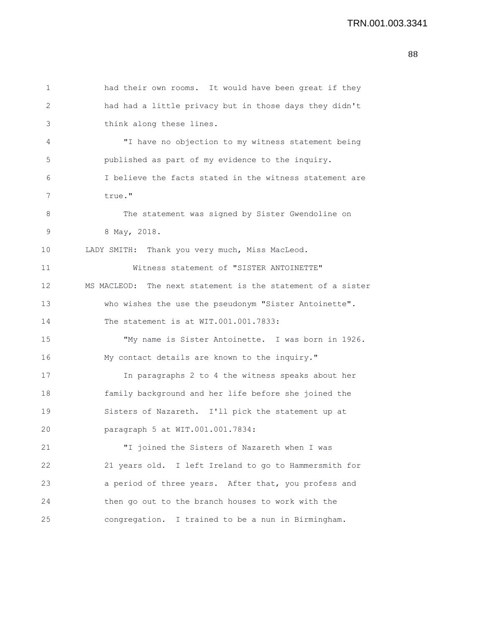```
1 had their own rooms. It would have been great if they
2 had had a little privacy but in those days they didn't
3 think along these lines.
4 "I have no objection to my witness statement being
5 published as part of my evidence to the inquiry.
 6 I believe the facts stated in the witness statement are
7 true."
8 The statement was signed by Sister Gwendoline on
9 8 May, 2018.
10 LADY SMITH: Thank you very much, Miss MacLeod.
11 Witness statement of "SISTER ANTOINETTE"
12 MS MACLEOD: The next statement is the statement of a sister
13 who wishes the use the pseudonym "Sister Antoinette".
14 The statement is at WIT.001.001.7833:
15 "My name is Sister Antoinette. I was born in 1926.
16 My contact details are known to the inquiry."
17 In paragraphs 2 to 4 the witness speaks about her
18 family background and her life before she joined the
19 Sisters of Nazareth. I'll pick the statement up at
20 paragraph 5 at WIT.001.001.7834:
21 "I joined the Sisters of Nazareth when I was
22 21 years old. I left Ireland to go to Hammersmith for
23 a period of three years. After that, you profess and
24 then go out to the branch houses to work with the
25 congregation. I trained to be a nun in Birmingham.
```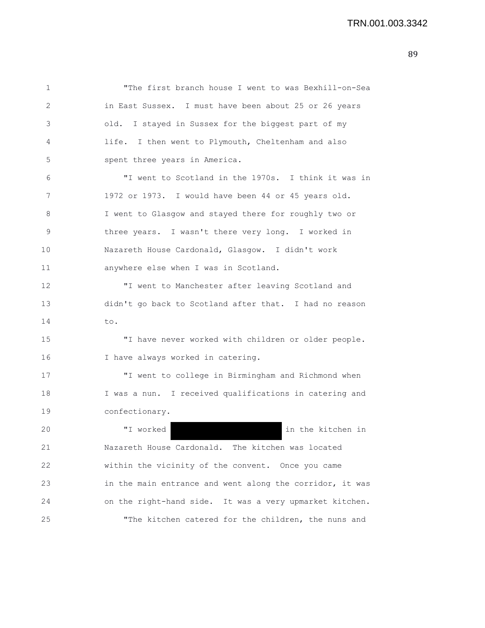1 "The first branch house I went to was Bexhill-on-Sea 2 in East Sussex. I must have been about 25 or 26 years 3 old. I stayed in Sussex for the biggest part of my 4 life. I then went to Plymouth, Cheltenham and also 5 spent three years in America. 6 "I went to Scotland in the 1970s. I think it was in 7 1972 or 1973. I would have been 44 or 45 years old. 8 I went to Glasgow and stayed there for roughly two or 9 three years. I wasn't there very long. I worked in 10 Nazareth House Cardonald, Glasgow. I didn't work 11 anywhere else when I was in Scotland. 12 "I went to Manchester after leaving Scotland and 13 didn't go back to Scotland after that. I had no reason 14 to. 15 "I have never worked with children or older people. 16 I have always worked in catering. 17 "I went to college in Birmingham and Richmond when 18 I was a nun. I received qualifications in catering and 19 confectionary. 20 "I worked in the kitchen in 21 Nazareth House Cardonald. The kitchen was located 22 within the vicinity of the convent. Once you came 23 in the main entrance and went along the corridor, it was 24 on the right-hand side. It was a very upmarket kitchen. 25 "The kitchen catered for the children, the nuns and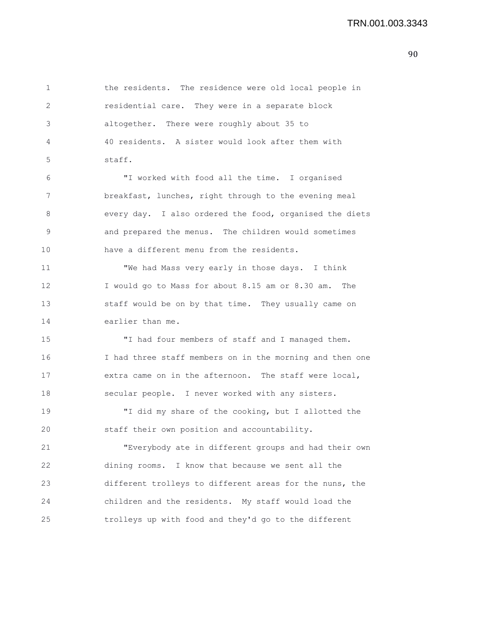1 the residents. The residence were old local people in 2 residential care. They were in a separate block 3 altogether. There were roughly about 35 to 4 40 residents. A sister would look after them with 5 staff. 6 "I worked with food all the time. I organised 7 breakfast, lunches, right through to the evening meal 8 every day. I also ordered the food, organised the diets 9 and prepared the menus. The children would sometimes 10 have a different menu from the residents. 11 "We had Mass very early in those days. I think 12 I would go to Mass for about 8.15 am or 8.30 am. The 13 staff would be on by that time. They usually came on 14 earlier than me. 15 "I had four members of staff and I managed them. 16 I had three staff members on in the morning and then one 17 extra came on in the afternoon. The staff were local, 18 secular people. I never worked with any sisters. 19 "I did my share of the cooking, but I allotted the 20 staff their own position and accountability. 21 "Everybody ate in different groups and had their own 22 dining rooms. I know that because we sent all the 23 different trolleys to different areas for the nuns, the 24 children and the residents. My staff would load the

25 trolleys up with food and they'd go to the different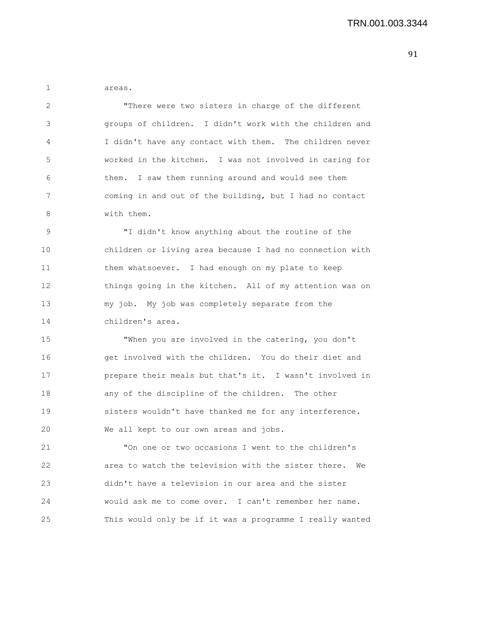1 areas.

2 "There were two sisters in charge of the different 3 groups of children. I didn't work with the children and 4 I didn't have any contact with them. The children never 5 worked in the kitchen. I was not involved in caring for 6 them. I saw them running around and would see them 7 coming in and out of the building, but I had no contact 8 with them.

9 "I didn't know anything about the routine of the 10 children or living area because I had no connection with 11 them whatsoever. I had enough on my plate to keep 12 things going in the kitchen. All of my attention was on 13 my job. My job was completely separate from the 14 children's area.

15 "When you are involved in the catering, you don't 16 get involved with the children. You do their diet and 17 prepare their meals but that's it. I wasn't involved in 18 any of the discipline of the children. The other 19 sisters wouldn't have thanked me for any interference. 20 We all kept to our own areas and jobs.

21 "On one or two occasions I went to the children's 22 area to watch the television with the sister there. We 23 didn't have a television in our area and the sister 24 would ask me to come over. I can't remember her name. 25 This would only be if it was a programme I really wanted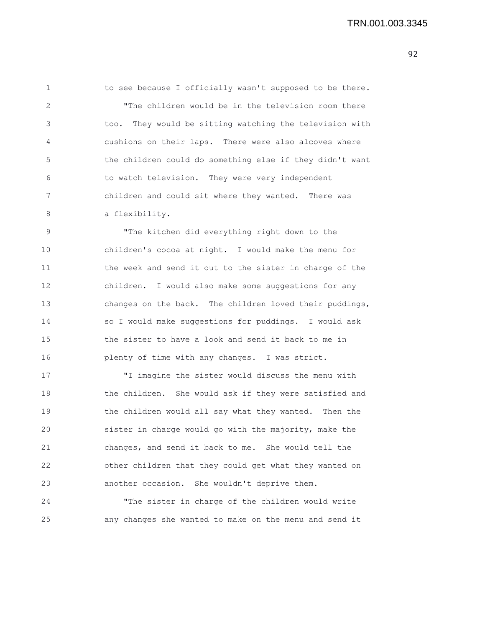1 to see because I officially wasn't supposed to be there. 2 "The children would be in the television room there 3 too. They would be sitting watching the television with 4 cushions on their laps. There were also alcoves where 5 the children could do something else if they didn't want 6 to watch television. They were very independent 7 children and could sit where they wanted. There was 8 a flexibility.

9 "The kitchen did everything right down to the 10 children's cocoa at night. I would make the menu for 11 the week and send it out to the sister in charge of the 12 children. I would also make some suggestions for any 13 changes on the back. The children loved their puddings, 14 so I would make suggestions for puddings. I would ask 15 the sister to have a look and send it back to me in 16 plenty of time with any changes. I was strict.

17 "I imagine the sister would discuss the menu with 18 the children. She would ask if they were satisfied and 19 the children would all say what they wanted. Then the 20 sister in charge would go with the majority, make the 21 changes, and send it back to me. She would tell the 22 other children that they could get what they wanted on 23 another occasion. She wouldn't deprive them.

24 "The sister in charge of the children would write 25 any changes she wanted to make on the menu and send it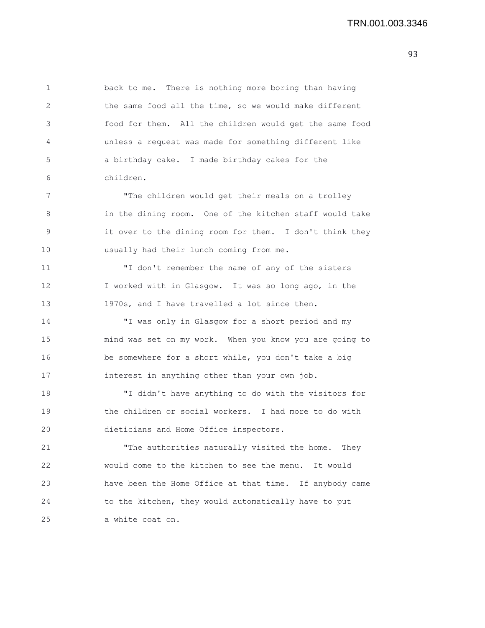1 back to me. There is nothing more boring than having 2 the same food all the time, so we would make different 3 food for them. All the children would get the same food 4 unless a request was made for something different like 5 a birthday cake. I made birthday cakes for the 6 children. 7 The children would get their meals on a trolley

8 in the dining room. One of the kitchen staff would take 9 it over to the dining room for them. I don't think they 10 usually had their lunch coming from me.

11 "I don't remember the name of any of the sisters 12 I worked with in Glasgow. It was so long ago, in the 13 1970s, and I have travelled a lot since then.

14 "I was only in Glasgow for a short period and my 15 mind was set on my work. When you know you are going to 16 be somewhere for a short while, you don't take a big 17 interest in anything other than your own job.

18 "I didn't have anything to do with the visitors for 19 the children or social workers. I had more to do with 20 dieticians and Home Office inspectors.

21 "The authorities naturally visited the home. They 22 would come to the kitchen to see the menu. It would 23 have been the Home Office at that time. If anybody came 24 to the kitchen, they would automatically have to put 25 a white coat on.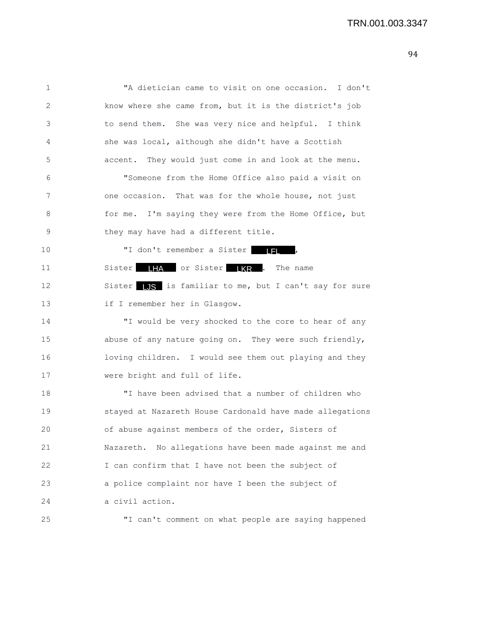1 "A dietician came to visit on one occasion. I don't 2 know where she came from, but it is the district's job 3 to send them. She was very nice and helpful. I think 4 she was local, although she didn't have a Scottish 5 accent. They would just come in and look at the menu. 6 "Someone from the Home Office also paid a visit on 7 one occasion. That was for the whole house, not just 8 for me. I'm saying they were from the Home Office, but 9 they may have had a different title. 10  $"I don't remember a Sister$  | | | 11 Sister **IHA** or Sister **KR** . The name 12 Sister L<sub>JS</sub> is familiar to me, but I can't say for sure 13 if I remember her in Glasgow. 14 "I would be very shocked to the core to hear of any 15 abuse of any nature going on. They were such friendly, 16 loving children. I would see them out playing and they 17 were bright and full of life.

18 "I have been advised that a number of children who 19 stayed at Nazareth House Cardonald have made allegations 20 of abuse against members of the order, Sisters of 21 Nazareth. No allegations have been made against me and 22 I can confirm that I have not been the subject of 23 a police complaint nor have I been the subject of 24 a civil action.

25 "I can't comment on what people are saying happened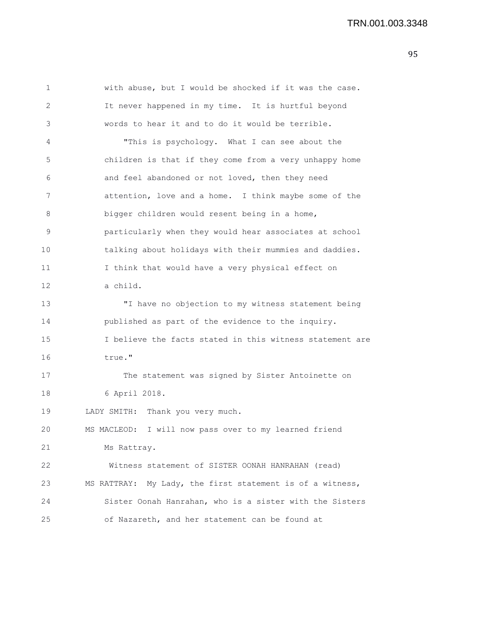| 1  | with abuse, but I would be shocked if it was the case.    |
|----|-----------------------------------------------------------|
| 2  | It never happened in my time. It is hurtful beyond        |
| 3  | words to hear it and to do it would be terrible.          |
| 4  | "This is psychology. What I can see about the             |
| 5  | children is that if they come from a very unhappy home    |
| 6  | and feel abandoned or not loved, then they need           |
| 7  | attention, love and a home. I think maybe some of the     |
| 8  | bigger children would resent being in a home,             |
| 9  | particularly when they would hear associates at school    |
| 10 | talking about holidays with their mummies and daddies.    |
| 11 | I think that would have a very physical effect on         |
| 12 | a child.                                                  |
| 13 | "I have no objection to my witness statement being        |
| 14 | published as part of the evidence to the inquiry.         |
| 15 | I believe the facts stated in this witness statement are  |
| 16 | true."                                                    |
| 17 | The statement was signed by Sister Antoinette on          |
| 18 | 6 April 2018.                                             |
| 19 | LADY SMITH: Thank you very much.                          |
| 20 | I will now pass over to my learned friend<br>MS MACLEOD:  |
| 21 | Ms Rattray.                                               |
| 22 | Witness statement of SISTER OONAH HANRAHAN (read)         |
| 23 | MS RATTRAY: My Lady, the first statement is of a witness, |
| 24 | Sister Oonah Hanrahan, who is a sister with the Sisters   |
| 25 | of Nazareth, and her statement can be found at            |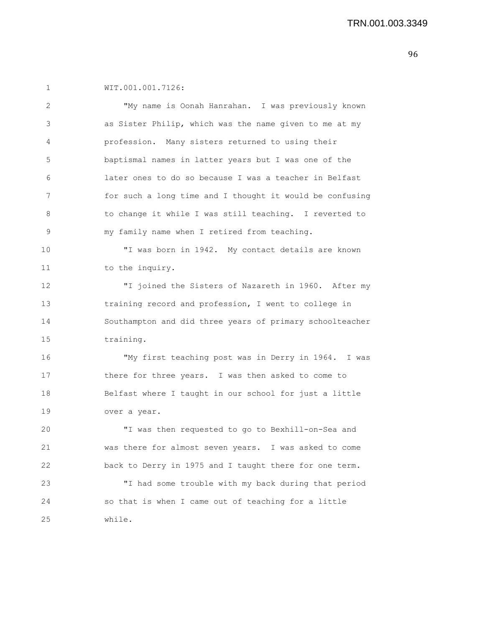1 WIT.001.001.7126:

| 2  | "My name is Oonah Hanrahan. I was previously known       |
|----|----------------------------------------------------------|
| 3  | as Sister Philip, which was the name given to me at my   |
| 4  | profession. Many sisters returned to using their         |
| 5  | baptismal names in latter years but I was one of the     |
| 6  | later ones to do so because I was a teacher in Belfast   |
| 7  | for such a long time and I thought it would be confusing |
| 8  | to change it while I was still teaching. I reverted to   |
| 9  | my family name when I retired from teaching.             |
| 10 | "I was born in 1942. My contact details are known        |
| 11 | to the inquiry.                                          |
| 12 | "I joined the Sisters of Nazareth in 1960. After my      |
| 13 | training record and profession, I went to college in     |
| 14 | Southampton and did three years of primary schoolteacher |
| 15 | training.                                                |
| 16 | "My first teaching post was in Derry in 1964. I was      |
| 17 | there for three years. I was then asked to come to       |
| 18 | Belfast where I taught in our school for just a little   |
| 19 | over a year.                                             |
| 20 | "I was then requested to go to Bexhill-on-Sea and        |
| 21 | was there for almost seven years. I was asked to come    |
| 22 | back to Derry in 1975 and I taught there for one term.   |
| 23 | "I had some trouble with my back during that period      |
| 24 | so that is when I came out of teaching for a little      |
| 25 | while.                                                   |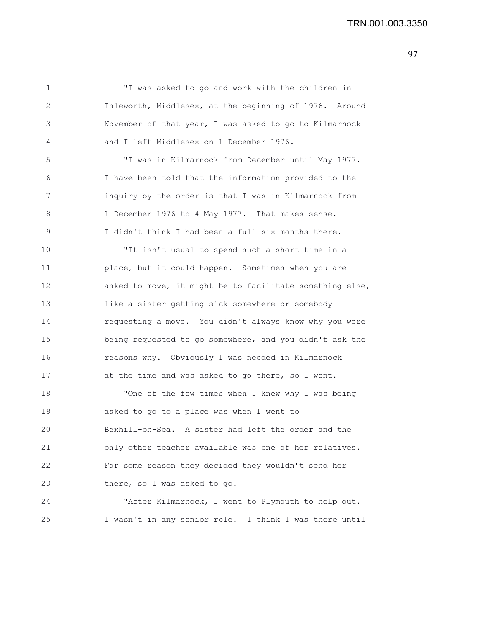1 "I was asked to go and work with the children in 2 Isleworth, Middlesex, at the beginning of 1976. Around 3 November of that year, I was asked to go to Kilmarnock 4 and I left Middlesex on 1 December 1976. 5 "I was in Kilmarnock from December until May 1977. 6 I have been told that the information provided to the 7 inquiry by the order is that I was in Kilmarnock from 8 1 December 1976 to 4 May 1977. That makes sense. 9 I didn't think I had been a full six months there. 10 "It isn't usual to spend such a short time in a 11 place, but it could happen. Sometimes when you are 12 asked to move, it might be to facilitate something else, 13 like a sister getting sick somewhere or somebody 14 requesting a move. You didn't always know why you were 15 being requested to go somewhere, and you didn't ask the 16 reasons why. Obviously I was needed in Kilmarnock 17 at the time and was asked to go there, so I went. 18 "One of the few times when I knew why I was being 19 asked to go to a place was when I went to 20 Bexhill-on-Sea. A sister had left the order and the 21 only other teacher available was one of her relatives. 22 For some reason they decided they wouldn't send her 23 there, so I was asked to go. 24 "After Kilmarnock, I went to Plymouth to help out. 25 I wasn't in any senior role. I think I was there until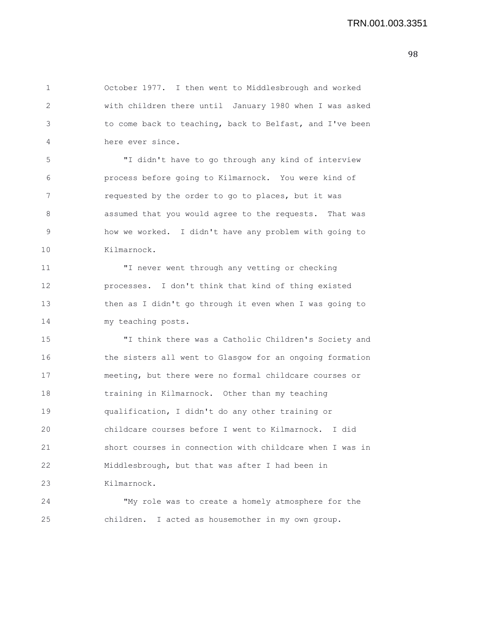| 1  | October 1977. I then went to Middlesbrough and worked    |
|----|----------------------------------------------------------|
| 2  | with children there until January 1980 when I was asked  |
| 3  | to come back to teaching, back to Belfast, and I've been |
| 4  | here ever since.                                         |
| 5  | "I didn't have to go through any kind of interview       |
| 6  | process before going to Kilmarnock. You were kind of     |
| 7  | requested by the order to go to places, but it was       |
| 8  | assumed that you would agree to the requests. That was   |
| 9  | how we worked. I didn't have any problem with going to   |
| 10 | Kilmarnock.                                              |
| 11 | "I never went through any vetting or checking            |
| 12 | processes. I don't think that kind of thing existed      |
| 13 | then as I didn't go through it even when I was going to  |
| 14 | my teaching posts.                                       |
| 15 | "I think there was a Catholic Children's Society and     |
| 16 | the sisters all went to Glasgow for an ongoing formation |
| 17 | meeting, but there were no formal childcare courses or   |
| 18 | training in Kilmarnock. Other than my teaching           |
| 19 | qualification, I didn't do any other training or         |
| 20 | childcare courses before I went to Kilmarnock. I did     |
| 21 | short courses in connection with childcare when I was in |
| 22 | Middlesbrough, but that was after I had been in          |
| 23 | Kilmarnock.                                              |
| 24 | "My role was to create a homely atmosphere for the       |
| 25 | children. I acted as housemother in my own group.        |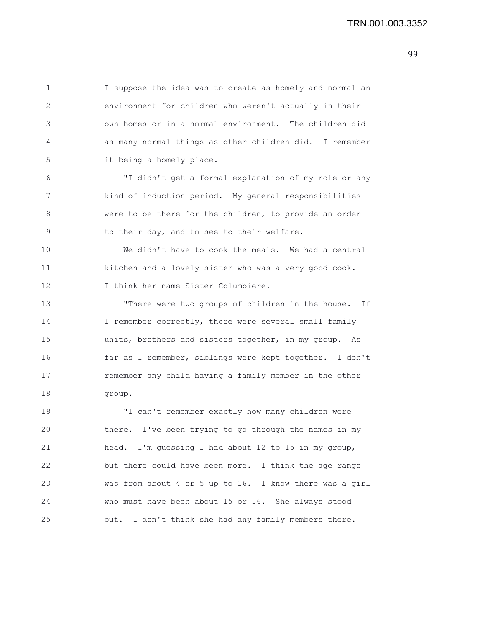1 I suppose the idea was to create as homely and normal an 2 environment for children who weren't actually in their 3 own homes or in a normal environment. The children did 4 as many normal things as other children did. I remember 5 it being a homely place. 6 "I didn't get a formal explanation of my role or any 7 kind of induction period. My general responsibilities 8 were to be there for the children, to provide an order 9 to their day, and to see to their welfare. 10 We didn't have to cook the meals. We had a central 11 kitchen and a lovely sister who was a very good cook. 12 I think her name Sister Columbiere. 13 "There were two groups of children in the house. If 14 I remember correctly, there were several small family 15 units, brothers and sisters together, in my group. As 16 far as I remember, siblings were kept together. I don't 17 remember any child having a family member in the other 18 group. 19 "I can't remember exactly how many children were 20 there. I've been trying to go through the names in my 21 head. I'm guessing I had about 12 to 15 in my group, 22 but there could have been more. I think the age range 23 was from about 4 or 5 up to 16. I know there was a girl 24 who must have been about 15 or 16. She always stood 25 out. I don't think she had any family members there.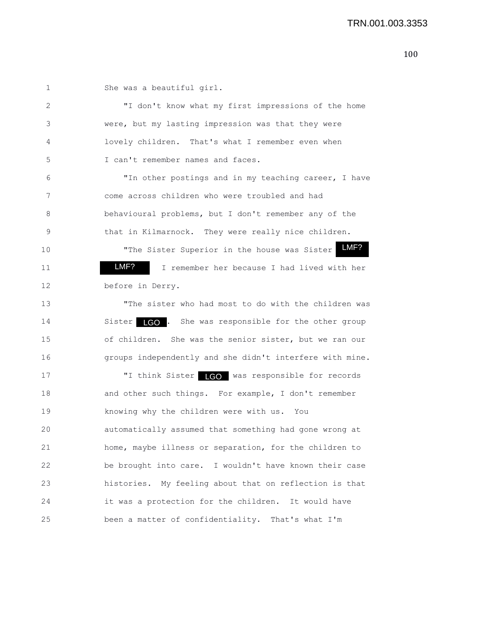1 She was a beautiful girl. 2 "I don't know what my first impressions of the home 3 were, but my lasting impression was that they were 4 lovely children. That's what I remember even when 5 I can't remember names and faces. 6 "In other postings and in my teaching career, I have 7 come across children who were troubled and had 8 behavioural problems, but I don't remember any of the 9 that in Kilmarnock. They were really nice children. 10 The Sister Superior in the house was Sister LMF? 11 **IMF?** I remember her because I had lived with her 12 before in Derry. 13 "The sister who had most to do with the children was 14 Sister LGO . She was responsible for the other group 15 of children. She was the senior sister, but we ran our 16 groups independently and she didn't interfere with mine. 17 T think Sister **LGO** was responsible for records 18 and other such things. For example, I don't remember 19 knowing why the children were with us. You 20 automatically assumed that something had gone wrong at 21 home, maybe illness or separation, for the children to 22 be brought into care. I wouldn't have known their case 23 histories. My feeling about that on reflection is that 24 it was a protection for the children. It would have 25 been a matter of confidentiality. That's what I'm LMF?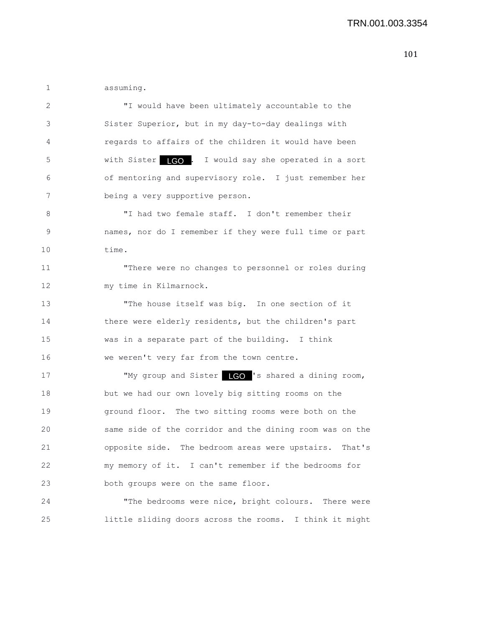1 assuming.

2 "I would have been ultimately accountable to the 3 Sister Superior, but in my day-to-day dealings with 4 regards to affairs of the children it would have been 5 with Sister **LGO**. I would say she operated in a sort 6 of mentoring and supervisory role. I just remember her 7 being a very supportive person. 8 "I had two female staff. I don't remember their 9 names, nor do I remember if they were full time or part 10 time. 11 "There were no changes to personnel or roles during 12 my time in Kilmarnock. 13 "The house itself was big. In one section of it 14 there were elderly residents, but the children's part 15 was in a separate part of the building. I think 16 we weren't very far from the town centre. 17 TMy group and Sister LGO 's shared a dining room, 18 but we had our own lovely big sitting rooms on the 19 ground floor. The two sitting rooms were both on the 20 same side of the corridor and the dining room was on the 21 opposite side. The bedroom areas were upstairs. That's 22 my memory of it. I can't remember if the bedrooms for 23 both groups were on the same floor. 24 "The bedrooms were nice, bright colours. There were

25 little sliding doors across the rooms. I think it might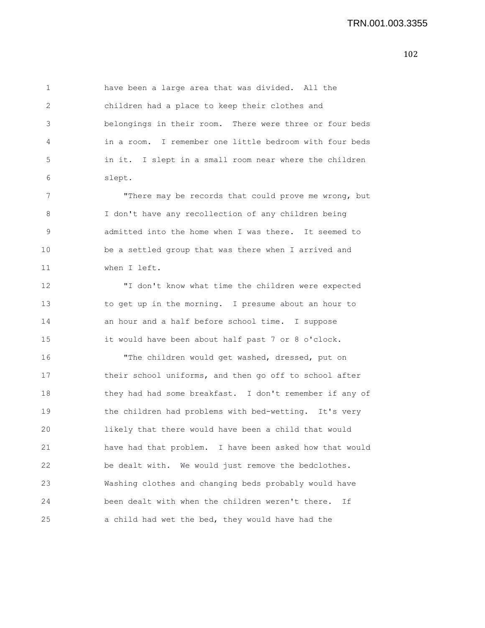1 have been a large area that was divided. All the 2 children had a place to keep their clothes and 3 belongings in their room. There were three or four beds 4 in a room. I remember one little bedroom with four beds 5 in it. I slept in a small room near where the children 6 slept.

7 There may be records that could prove me wrong, but 8 I don't have any recollection of any children being 9 admitted into the home when I was there. It seemed to 10 be a settled group that was there when I arrived and 11 when I left.

12 "I don't know what time the children were expected 13 to get up in the morning. I presume about an hour to 14 an hour and a half before school time. I suppose 15 it would have been about half past 7 or 8 o'clock.

16 "The children would get washed, dressed, put on 17 their school uniforms, and then go off to school after 18 they had had some breakfast. I don't remember if any of 19 the children had problems with bed-wetting. It's very 20 likely that there would have been a child that would 21 have had that problem. I have been asked how that would 22 be dealt with. We would just remove the bedclothes. 23 Washing clothes and changing beds probably would have 24 been dealt with when the children weren't there. If 25 a child had wet the bed, they would have had the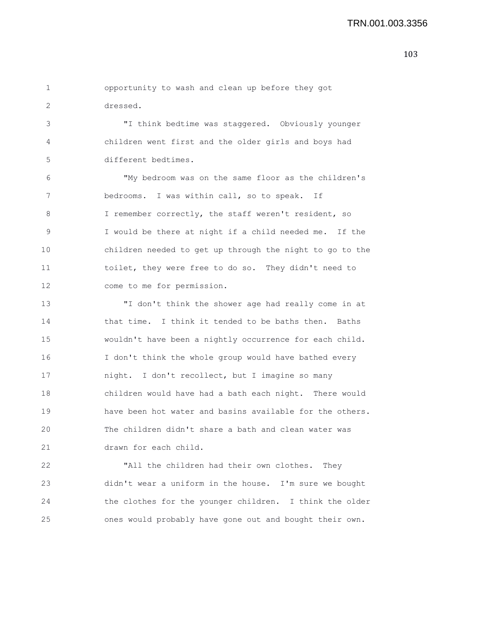1 opportunity to wash and clean up before they got 2 dressed.

3 "I think bedtime was staggered. Obviously younger 4 children went first and the older girls and boys had 5 different bedtimes.

6 "My bedroom was on the same floor as the children's 7 bedrooms. I was within call, so to speak. If 8 I remember correctly, the staff weren't resident, so 9 I would be there at night if a child needed me. If the 10 children needed to get up through the night to go to the 11 toilet, they were free to do so. They didn't need to 12 come to me for permission.

13 "I don't think the shower age had really come in at 14 that time. I think it tended to be baths then. Baths 15 wouldn't have been a nightly occurrence for each child. 16 I don't think the whole group would have bathed every 17 night. I don't recollect, but I imagine so many 18 children would have had a bath each night. There would 19 have been hot water and basins available for the others. 20 The children didn't share a bath and clean water was 21 drawn for each child.

22 "All the children had their own clothes. They 23 didn't wear a uniform in the house. I'm sure we bought 24 the clothes for the younger children. I think the older 25 ones would probably have gone out and bought their own.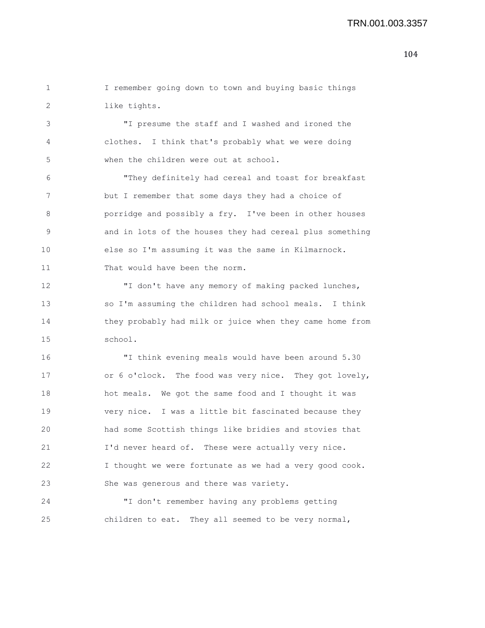1 I remember going down to town and buying basic things 2 like tights.

3 "I presume the staff and I washed and ironed the 4 clothes. I think that's probably what we were doing 5 when the children were out at school.

6 "They definitely had cereal and toast for breakfast 7 but I remember that some days they had a choice of 8 porridge and possibly a fry. I've been in other houses 9 and in lots of the houses they had cereal plus something 10 else so I'm assuming it was the same in Kilmarnock. 11 That would have been the norm.

12 "I don't have any memory of making packed lunches, 13 so I'm assuming the children had school meals. I think 14 they probably had milk or juice when they came home from 15 school.

16 "I think evening meals would have been around 5.30 17 or 6 o'clock. The food was very nice. They got lovely, 18 hot meals. We got the same food and I thought it was 19 very nice. I was a little bit fascinated because they 20 had some Scottish things like bridies and stovies that 21 I'd never heard of. These were actually very nice. 22 I thought we were fortunate as we had a very good cook. 23 She was generous and there was variety.

24 "I don't remember having any problems getting 25 children to eat. They all seemed to be very normal,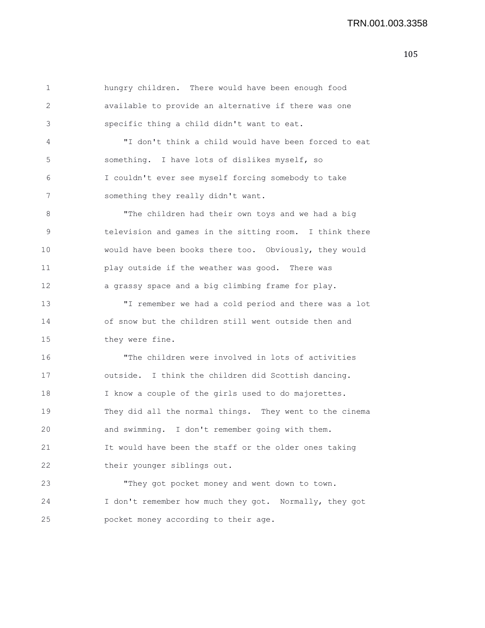| 1           | hungry children. There would have been enough food      |
|-------------|---------------------------------------------------------|
| 2           | available to provide an alternative if there was one    |
| 3           | specific thing a child didn't want to eat.              |
| 4           | "I don't think a child would have been forced to eat    |
| 5           | something. I have lots of dislikes myself, so           |
| 6           | I couldn't ever see myself forcing somebody to take     |
| 7           | something they really didn't want.                      |
| 8           | "The children had their own toys and we had a big       |
| $\mathsf 9$ | television and games in the sitting room. I think there |
| 10          | would have been books there too. Obviously, they would  |
| 11          | play outside if the weather was good. There was         |
| 12          | a grassy space and a big climbing frame for play.       |
| 13          | "I remember we had a cold period and there was a lot    |
| 14          | of snow but the children still went outside then and    |
| 15          | they were fine.                                         |
| 16          | "The children were involved in lots of activities       |
| 17          | outside. I think the children did Scottish dancing.     |
| 18          | I know a couple of the girls used to do majorettes.     |
| 19          | They did all the normal things. They went to the cinema |
| 20          | and swimming. I don't remember going with them.         |
| 21          | It would have been the staff or the older ones taking   |
| 22          | their younger siblings out.                             |
| 23          | "They got pocket money and went down to town.           |
| 24          | I don't remember how much they got. Normally, they got  |
| 25          | pocket money according to their age.                    |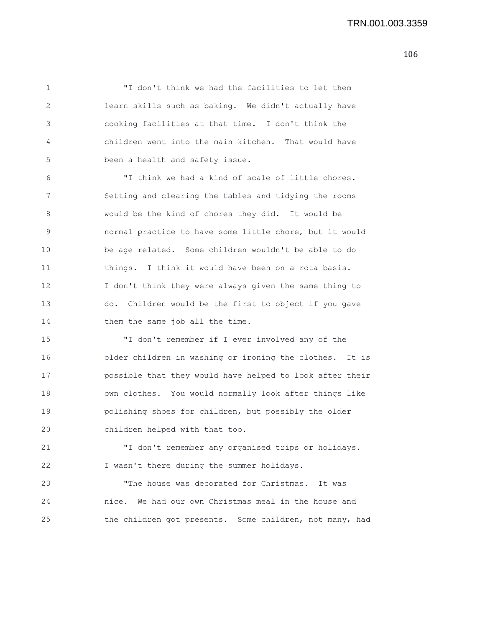106

1 "I don't think we had the facilities to let them 2 learn skills such as baking. We didn't actually have 3 cooking facilities at that time. I don't think the 4 children went into the main kitchen. That would have 5 been a health and safety issue.

6 "I think we had a kind of scale of little chores. 7 Setting and clearing the tables and tidying the rooms 8 would be the kind of chores they did. It would be 9 normal practice to have some little chore, but it would 10 be age related. Some children wouldn't be able to do 11 things. I think it would have been on a rota basis. 12 I don't think they were always given the same thing to 13 do. Children would be the first to object if you gave 14 them the same job all the time.

15 "I don't remember if I ever involved any of the 16 older children in washing or ironing the clothes. It is 17 possible that they would have helped to look after their 18 own clothes. You would normally look after things like 19 polishing shoes for children, but possibly the older 20 children helped with that too.

21 "I don't remember any organised trips or holidays. 22 I wasn't there during the summer holidays.

23 "The house was decorated for Christmas. It was 24 nice. We had our own Christmas meal in the house and 25 the children got presents. Some children, not many, had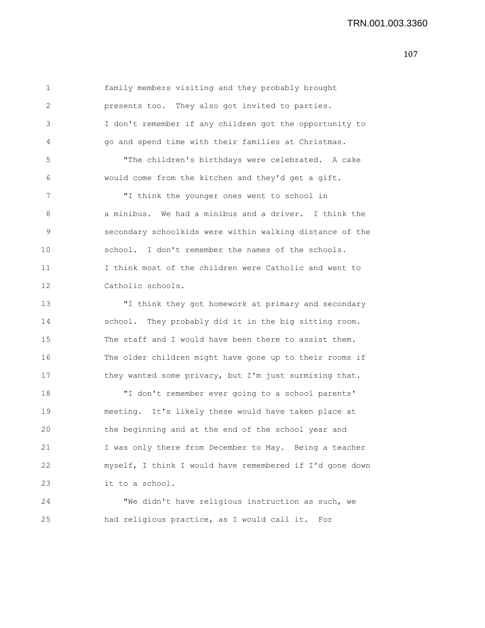1 family members visiting and they probably brought 2 presents too. They also got invited to parties. 3 I don't remember if any children got the opportunity to 4 go and spend time with their families at Christmas. 5 "The children's birthdays were celebrated. A cake 6 would come from the kitchen and they'd get a gift. 7 "I think the younger ones went to school in 8 a minibus. We had a minibus and a driver. I think the 9 secondary schoolkids were within walking distance of the 10 school. I don't remember the names of the schools. 11 I think most of the children were Catholic and went to 12 Catholic schools. 13 "I think they got homework at primary and secondary 14 school. They probably did it in the big sitting room. 15 The staff and I would have been there to assist them. 16 The older children might have gone up to their rooms if 17 they wanted some privacy, but I'm just surmising that. 18 "I don't remember ever going to a school parents' 19 meeting. It's likely these would have taken place at 20 the beginning and at the end of the school year and 21 I was only there from December to May. Being a teacher 22 myself, I think I would have remembered if I'd gone down 23 it to a school. 24 "We didn't have religious instruction as such, we

25 had religious practice, as I would call it. For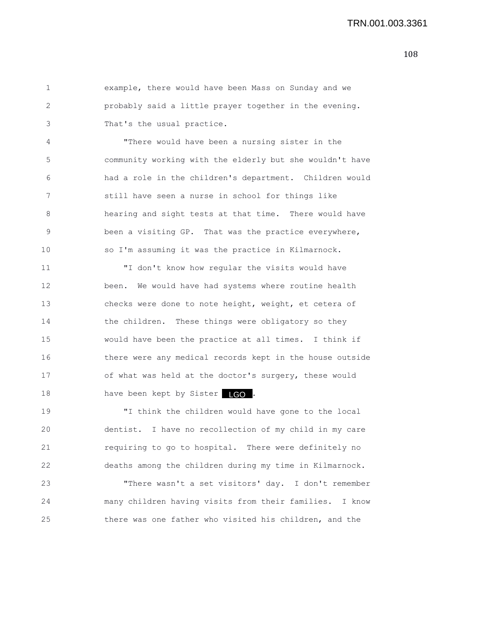1 example, there would have been Mass on Sunday and we 2 probably said a little prayer together in the evening. 3 That's the usual practice.

4 "There would have been a nursing sister in the 5 community working with the elderly but she wouldn't have 6 had a role in the children's department. Children would 7 still have seen a nurse in school for things like 8 hearing and sight tests at that time. There would have 9 been a visiting GP. That was the practice everywhere, 10 so I'm assuming it was the practice in Kilmarnock.

11 "I don't know how regular the visits would have 12 been. We would have had systems where routine health 13 checks were done to note height, weight, et cetera of 14 the children. These things were obligatory so they 15 would have been the practice at all times. I think if 16 there were any medical records kept in the house outside 17 of what was held at the doctor's surgery, these would 18 have been kept by Sister 160.

19 "I think the children would have gone to the local 20 dentist. I have no recollection of my child in my care 21 requiring to go to hospital. There were definitely no 22 deaths among the children during my time in Kilmarnock.

23 "There wasn't a set visitors' day. I don't remember 24 many children having visits from their families. I know 25 there was one father who visited his children, and the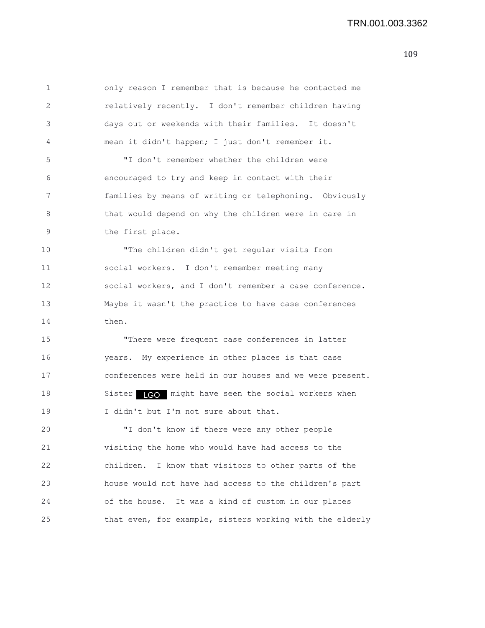| 1  | only reason I remember that is because he contacted me    |
|----|-----------------------------------------------------------|
| 2  | relatively recently. I don't remember children having     |
| 3  | days out or weekends with their families. It doesn't      |
| 4  | mean it didn't happen; I just don't remember it.          |
| 5  | "I don't remember whether the children were               |
| 6  | encouraged to try and keep in contact with their          |
| 7  | families by means of writing or telephoning. Obviously    |
| 8  | that would depend on why the children were in care in     |
| 9  | the first place.                                          |
| 10 | "The children didn't get regular visits from              |
| 11 | social workers. I don't remember meeting many             |
| 12 | social workers, and I don't remember a case conference.   |
| 13 | Maybe it wasn't the practice to have case conferences     |
| 14 | then.                                                     |
| 15 | "There were frequent case conferences in latter           |
| 16 | years. My experience in other places is that case         |
| 17 | conferences were held in our houses and we were present.  |
| 18 | Sister <b>IGO</b> might have seen the social workers when |
| 19 | I didn't but I'm not sure about that.                     |
| 20 | "I don't know if there were any other people              |
| 21 | visiting the home who would have had access to the        |
| 22 | I know that visitors to other parts of the<br>children.   |
| 23 | house would not have had access to the children's part    |
| 24 | of the house. It was a kind of custom in our places       |
| 25 | that even, for example, sisters working with the elderly  |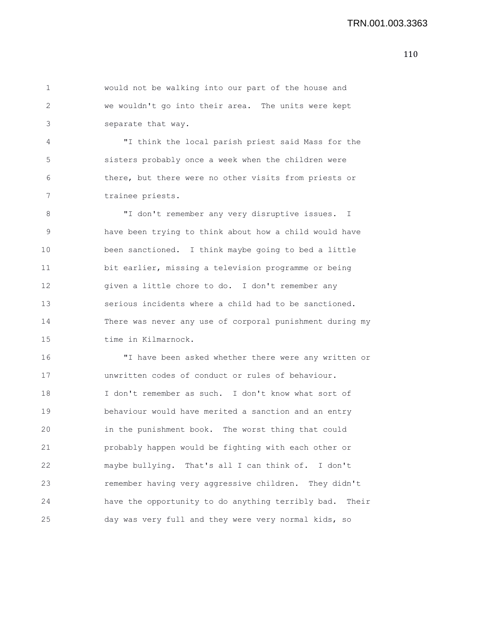1 would not be walking into our part of the house and 2 we wouldn't go into their area. The units were kept 3 separate that way.

4 "I think the local parish priest said Mass for the 5 sisters probably once a week when the children were 6 there, but there were no other visits from priests or 7 trainee priests.

8 "I don't remember any very disruptive issues. I 9 have been trying to think about how a child would have 10 been sanctioned. I think maybe going to bed a little 11 bit earlier, missing a television programme or being 12 given a little chore to do. I don't remember any 13 serious incidents where a child had to be sanctioned. 14 There was never any use of corporal punishment during my 15 time in Kilmarnock.

16 "I have been asked whether there were any written or 17 unwritten codes of conduct or rules of behaviour. 18 I don't remember as such. I don't know what sort of 19 behaviour would have merited a sanction and an entry 20 in the punishment book. The worst thing that could 21 probably happen would be fighting with each other or 22 maybe bullying. That's all I can think of. I don't 23 remember having very aggressive children. They didn't 24 have the opportunity to do anything terribly bad. Their 25 day was very full and they were very normal kids, so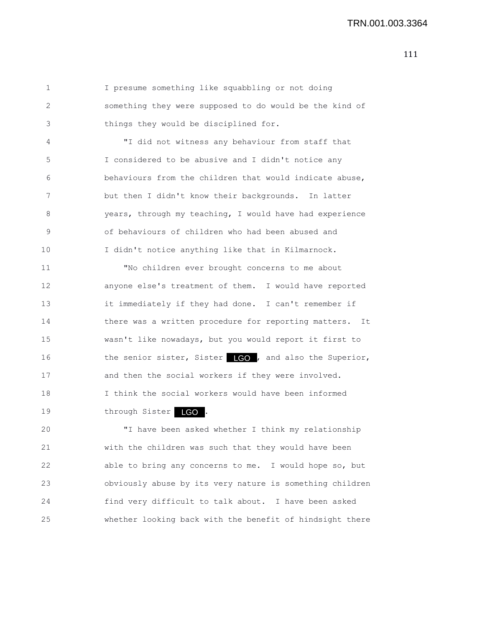1 I presume something like squabbling or not doing 2 something they were supposed to do would be the kind of 3 things they would be disciplined for.

4 "I did not witness any behaviour from staff that 5 I considered to be abusive and I didn't notice any 6 behaviours from the children that would indicate abuse, 7 but then I didn't know their backgrounds. In latter 8 years, through my teaching, I would have had experience 9 of behaviours of children who had been abused and 10 I didn't notice anything like that in Kilmarnock.

11 "No children ever brought concerns to me about 12 anyone else's treatment of them. I would have reported 13 it immediately if they had done. I can't remember if 14 there was a written procedure for reporting matters. It 15 wasn't like nowadays, but you would report it first to 16 the senior sister, Sister **1GO**, and also the Superior, 17 and then the social workers if they were involved. 18 I think the social workers would have been informed 19 through Sister LGO.

20 "I have been asked whether I think my relationship 21 with the children was such that they would have been 22 able to bring any concerns to me. I would hope so, but 23 obviously abuse by its very nature is something children 24 find very difficult to talk about. I have been asked 25 whether looking back with the benefit of hindsight there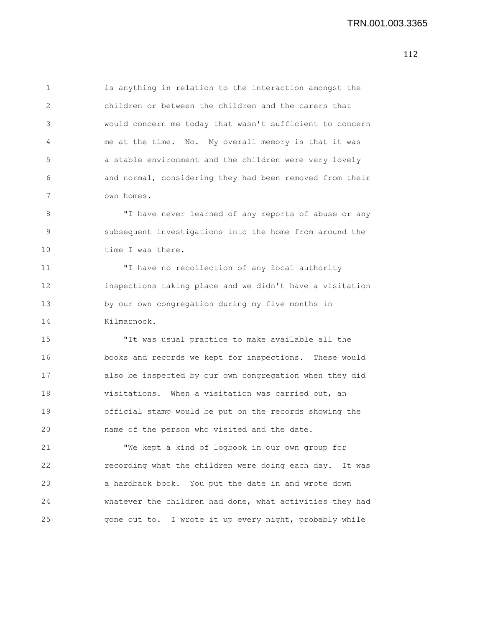1 is anything in relation to the interaction amongst the 2 children or between the children and the carers that 3 would concern me today that wasn't sufficient to concern 4 me at the time. No. My overall memory is that it was 5 a stable environment and the children were very lovely 6 and normal, considering they had been removed from their 7 own homes.

8 "I have never learned of any reports of abuse or any 9 subsequent investigations into the home from around the 10 time I was there.

11 "I have no recollection of any local authority 12 inspections taking place and we didn't have a visitation 13 by our own congregation during my five months in 14 Kilmarnock.

15 "It was usual practice to make available all the 16 books and records we kept for inspections. These would 17 also be inspected by our own congregation when they did 18 visitations. When a visitation was carried out, an 19 official stamp would be put on the records showing the 20 name of the person who visited and the date.

21 "We kept a kind of logbook in our own group for 22 recording what the children were doing each day. It was 23 a hardback book. You put the date in and wrote down 24 whatever the children had done, what activities they had 25 gone out to. I wrote it up every night, probably while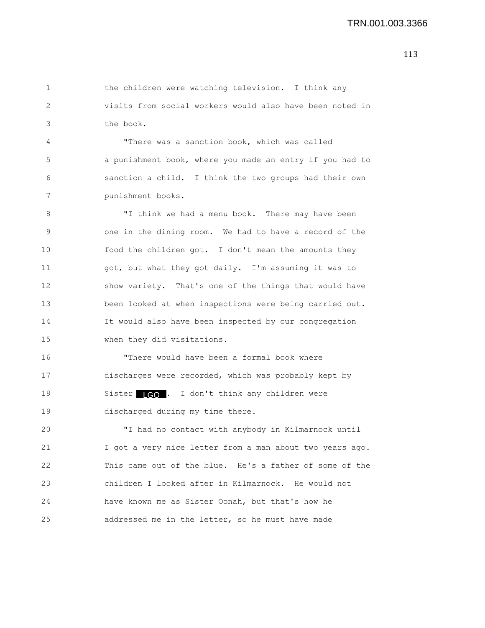1 the children were watching television. I think any 2 visits from social workers would also have been noted in 3 the book.

4 "There was a sanction book, which was called 5 a punishment book, where you made an entry if you had to 6 sanction a child. I think the two groups had their own 7 punishment books.

8 "I think we had a menu book. There may have been 9 one in the dining room. We had to have a record of the 10 food the children got. I don't mean the amounts they 11 got, but what they got daily. I'm assuming it was to 12 show variety. That's one of the things that would have 13 been looked at when inspections were being carried out. 14 It would also have been inspected by our congregation 15 when they did visitations.

16 "There would have been a formal book where 17 discharges were recorded, which was probably kept by 18 Sister LCO . I don't think any children were 19 discharged during my time there.

20 "I had no contact with anybody in Kilmarnock until 21 I got a very nice letter from a man about two years ago. 22 This came out of the blue. He's a father of some of the 23 children I looked after in Kilmarnock. He would not 24 have known me as Sister Oonah, but that's how he 25 addressed me in the letter, so he must have made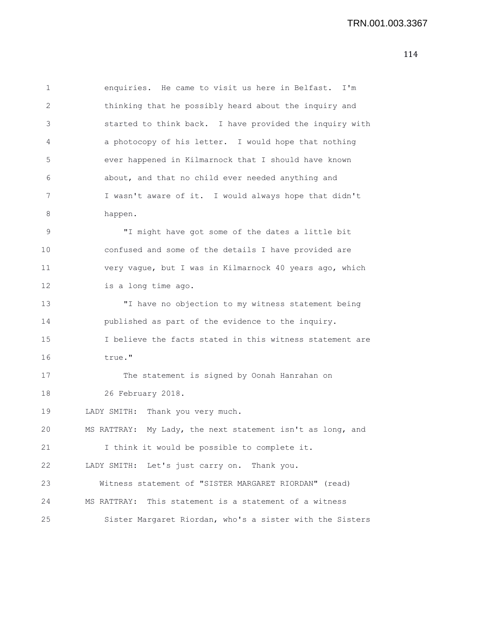1 enquiries. He came to visit us here in Belfast. I'm 2 thinking that he possibly heard about the inquiry and 3 started to think back. I have provided the inquiry with 4 a photocopy of his letter. I would hope that nothing 5 ever happened in Kilmarnock that I should have known 6 about, and that no child ever needed anything and 7 I wasn't aware of it. I would always hope that didn't 8 happen. 9 "I might have got some of the dates a little bit 10 confused and some of the details I have provided are 11 very vague, but I was in Kilmarnock 40 years ago, which 12 is a long time ago. 13 "I have no objection to my witness statement being 14 published as part of the evidence to the inquiry. 15 I believe the facts stated in this witness statement are 16 true." 17 The statement is signed by Oonah Hanrahan on 18 26 February 2018. 19 LADY SMITH: Thank you very much. 20 MS RATTRAY: My Lady, the next statement isn't as long, and 21 I think it would be possible to complete it. 22 LADY SMITH: Let's just carry on. Thank you. 23 Witness statement of "SISTER MARGARET RIORDAN" (read) 24 MS RATTRAY: This statement is a statement of a witness 25 Sister Margaret Riordan, who's a sister with the Sisters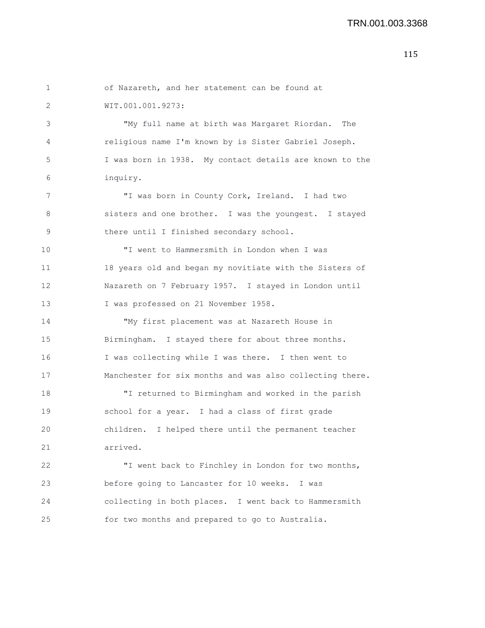```
1 of Nazareth, and her statement can be found at
 2 WIT.001.001.9273:
 3 "My full name at birth was Margaret Riordan. The
 4 religious name I'm known by is Sister Gabriel Joseph.
 5 I was born in 1938. My contact details are known to the
 6 inquiry.
7 "I was born in County Cork, Ireland. I had two
8 sisters and one brother. I was the youngest. I stayed
9 there until I finished secondary school.
10 "I went to Hammersmith in London when I was
11 18 years old and began my novitiate with the Sisters of
12 Nazareth on 7 February 1957. I stayed in London until
13 I was professed on 21 November 1958.
14 "My first placement was at Nazareth House in
15 Birmingham. I stayed there for about three months.
16 I was collecting while I was there. I then went to
17 Manchester for six months and was also collecting there.
18 "I returned to Birmingham and worked in the parish
19 school for a year. I had a class of first grade
20 children. I helped there until the permanent teacher
21 arrived.
22 "I went back to Finchley in London for two months,
23 before going to Lancaster for 10 weeks. I was
24 collecting in both places. I went back to Hammersmith
25 for two months and prepared to go to Australia.
```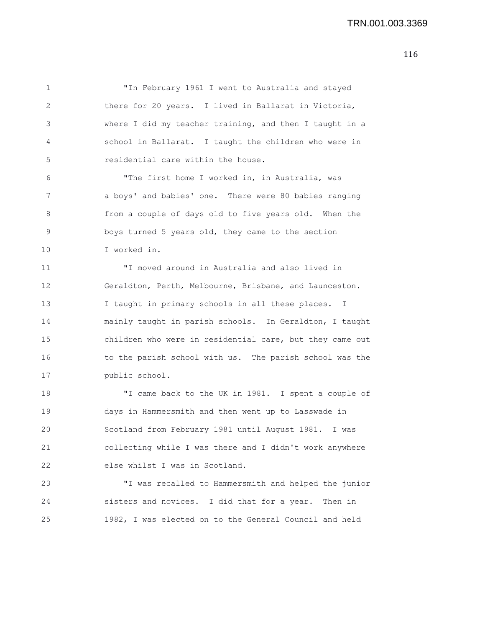1 "In February 1961 I went to Australia and stayed 2 there for 20 years. I lived in Ballarat in Victoria, 3 where I did my teacher training, and then I taught in a 4 school in Ballarat. I taught the children who were in 5 residential care within the house. 6 "The first home I worked in, in Australia, was 7 a boys' and babies' one. There were 80 babies ranging 8 from a couple of days old to five years old. When the 9 boys turned 5 years old, they came to the section 10 I worked in. 11 "I moved around in Australia and also lived in 12 Geraldton, Perth, Melbourne, Brisbane, and Launceston. 13 I taught in primary schools in all these places. I 14 mainly taught in parish schools. In Geraldton, I taught 15 children who were in residential care, but they came out 16 to the parish school with us. The parish school was the 17 public school. 18 "I came back to the UK in 1981. I spent a couple of 19 days in Hammersmith and then went up to Lasswade in 20 Scotland from February 1981 until August 1981. I was 21 collecting while I was there and I didn't work anywhere 22 else whilst I was in Scotland. 23 "I was recalled to Hammersmith and helped the junior 24 sisters and novices. I did that for a year. Then in 25 1982, I was elected on to the General Council and held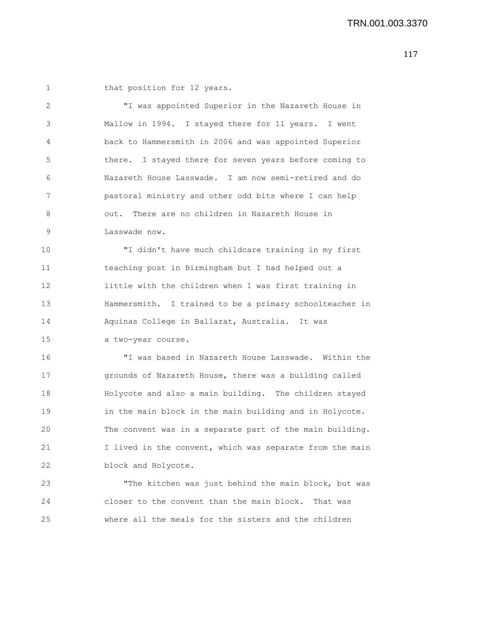1 that position for 12 years.

2 "I was appointed Superior in the Nazareth House in 3 Mallow in 1994. I stayed there for 11 years. I went 4 back to Hammersmith in 2006 and was appointed Superior 5 there. I stayed there for seven years before coming to 6 Nazareth House Lasswade. I am now semi-retired and do 7 pastoral ministry and other odd bits where I can help 8 out. There are no children in Nazareth House in 9 Lasswade now.

10 "I didn't have much childcare training in my first 11 teaching post in Birmingham but I had helped out a 12 little with the children when I was first training in 13 Hammersmith. I trained to be a primary schoolteacher in 14 Aquinas College in Ballarat, Australia. It was 15 a two-year course.

16 "I was based in Nazareth House Lasswade. Within the 17 grounds of Nazareth House, there was a building called 18 Holycote and also a main building. The children stayed 19 in the main block in the main building and in Holycote. 20 The convent was in a separate part of the main building. 21 I lived in the convent, which was separate from the main 22 block and Holycote.

23 "The kitchen was just behind the main block, but was 24 closer to the convent than the main block. That was 25 where all the meals for the sisters and the children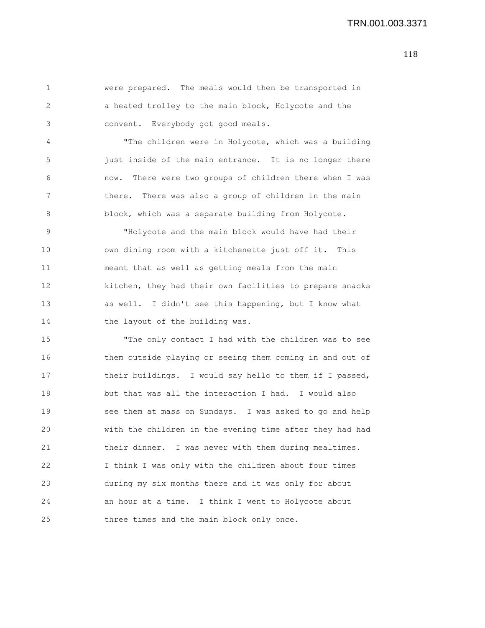1 were prepared. The meals would then be transported in 2 a heated trolley to the main block, Holycote and the 3 convent. Everybody got good meals. 4 "The children were in Holycote, which was a building 5 just inside of the main entrance. It is no longer there 6 now. There were two groups of children there when I was 7 there. There was also a group of children in the main 8 block, which was a separate building from Holycote. 9 "Holycote and the main block would have had their 10 own dining room with a kitchenette just off it. This 11 meant that as well as getting meals from the main 12 kitchen, they had their own facilities to prepare snacks 13 as well. I didn't see this happening, but I know what 14 the layout of the building was. 15 "The only contact I had with the children was to see 16 them outside playing or seeing them coming in and out of 17 their buildings. I would say hello to them if I passed, 18 but that was all the interaction I had. I would also 19 see them at mass on Sundays. I was asked to go and help 20 with the children in the evening time after they had had 21 their dinner. I was never with them during mealtimes. 22 I think I was only with the children about four times 23 during my six months there and it was only for about 24 an hour at a time. I think I went to Holycote about 25 three times and the main block only once.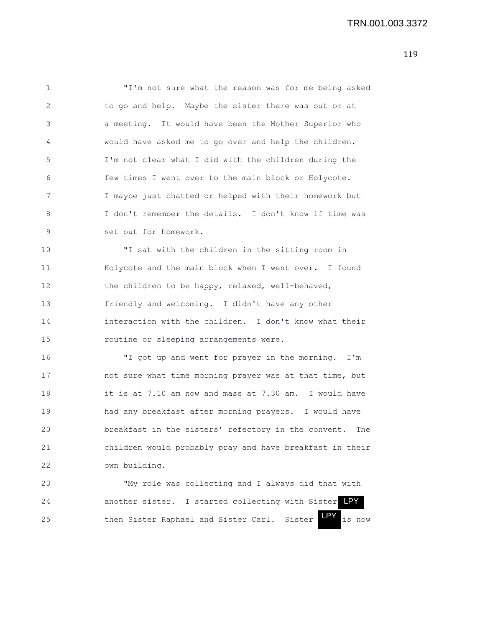1 "I'm not sure what the reason was for me being asked 2 to go and help. Maybe the sister there was out or at 3 a meeting. It would have been the Mother Superior who 4 would have asked me to go over and help the children. 5 I'm not clear what I did with the children during the 6 few times I went over to the main block or Holycote. 7 I maybe just chatted or helped with their homework but 8 I don't remember the details. I don't know if time was 9 set out for homework.

10 "I sat with the children in the sitting room in 11 Holycote and the main block when I went over. I found 12 the children to be happy, relaxed, well-behaved, 13 friendly and welcoming. I didn't have any other 14 interaction with the children. I don't know what their 15 routine or sleeping arrangements were.

16 "I got up and went for prayer in the morning. I'm 17 not sure what time morning prayer was at that time, but 18 it is at 7.10 am now and mass at 7.30 am. I would have 19 had any breakfast after morning prayers. I would have 20 breakfast in the sisters' refectory in the convent. The 21 children would probably pray and have breakfast in their 22 own building.

23 "My role was collecting and I always did that with 24 another sister. I started collecting with Sister LPY 25 then Sister Raphael and Sister Carl. Sister LPY is now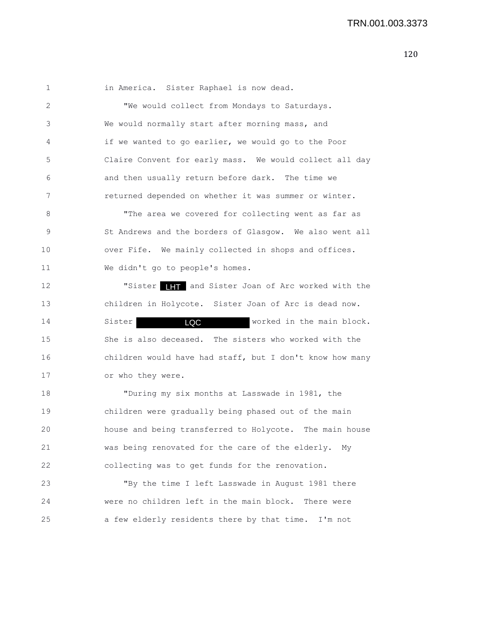1 in America. Sister Raphael is now dead. 2 "We would collect from Mondays to Saturdays. 3 We would normally start after morning mass, and 4 if we wanted to go earlier, we would go to the Poor 5 Claire Convent for early mass. We would collect all day 6 and then usually return before dark. The time we 7 returned depended on whether it was summer or winter. 8 "The area we covered for collecting went as far as 9 St Andrews and the borders of Glasgow. We also went all 10 over Fife. We mainly collected in shops and offices. 11 We didn't go to people's homes. 12 **"Sister ITT** and Sister Joan of Arc worked with the 13 children in Holycote. Sister Joan of Arc is dead now. 14 Sister **LOC Worked in the main block.** 15 She is also deceased. The sisters who worked with the 16 children would have had staff, but I don't know how many 17 or who they were. 18 "During my six months at Lasswade in 1981, the 19 children were gradually being phased out of the main 20 house and being transferred to Holycote. The main house 21 was being renovated for the care of the elderly. My 22 collecting was to get funds for the renovation. 23 "By the time I left Lasswade in August 1981 there 24 were no children left in the main block. There were LQC

25 a few elderly residents there by that time. I'm not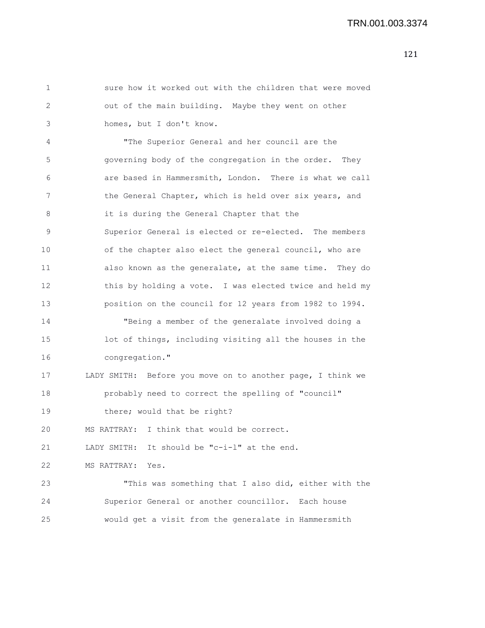1 sure how it worked out with the children that were moved 2 out of the main building. Maybe they went on other 3 homes, but I don't know. 4 "The Superior General and her council are the 5 governing body of the congregation in the order. They 6 are based in Hammersmith, London. There is what we call 7 the General Chapter, which is held over six years, and 8 it is during the General Chapter that the 9 Superior General is elected or re-elected. The members 10 of the chapter also elect the general council, who are 11 also known as the generalate, at the same time. They do 12 this by holding a vote. I was elected twice and held my 13 position on the council for 12 years from 1982 to 1994. 14 "Being a member of the generalate involved doing a 15 lot of things, including visiting all the houses in the 16 congregation." 17 LADY SMITH: Before you move on to another page, I think we 18 probably need to correct the spelling of "council" 19 there; would that be right? 20 MS RATTRAY: I think that would be correct. 21 LADY SMITH: It should be "c-i-l" at the end. 22 MS RATTRAY: Yes. 23 "This was something that I also did, either with the 24 Superior General or another councillor. Each house 25 would get a visit from the generalate in Hammersmith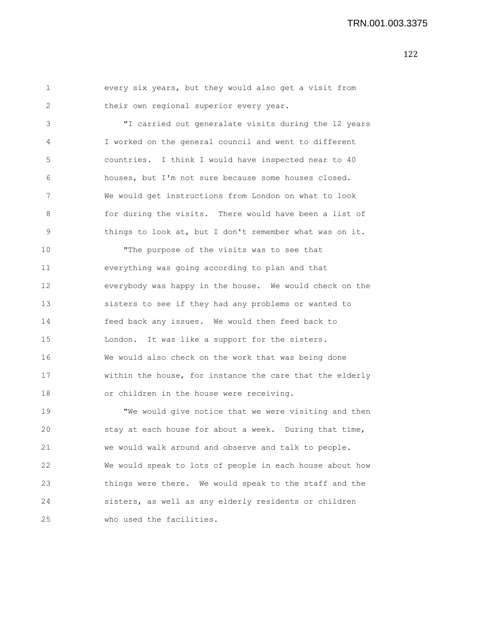1 every six years, but they would also get a visit from 2 their own regional superior every year.

3 "I carried out generalate visits during the 12 years 4 I worked on the general council and went to different 5 countries. I think I would have inspected near to 40 6 houses, but I'm not sure because some houses closed. 7 We would get instructions from London on what to look 8 for during the visits. There would have been a list of 9 things to look at, but I don't remember what was on it.

10 "The purpose of the visits was to see that 11 everything was going according to plan and that 12 everybody was happy in the house. We would check on the 13 sisters to see if they had any problems or wanted to 14 feed back any issues. We would then feed back to 15 London. It was like a support for the sisters. 16 We would also check on the work that was being done 17 within the house, for instance the care that the elderly 18 or children in the house were receiving.

19 "We would give notice that we were visiting and then 20 stay at each house for about a week. During that time, 21 we would walk around and observe and talk to people. 22 We would speak to lots of people in each house about how 23 things were there. We would speak to the staff and the 24 sisters, as well as any elderly residents or children 25 who used the facilities.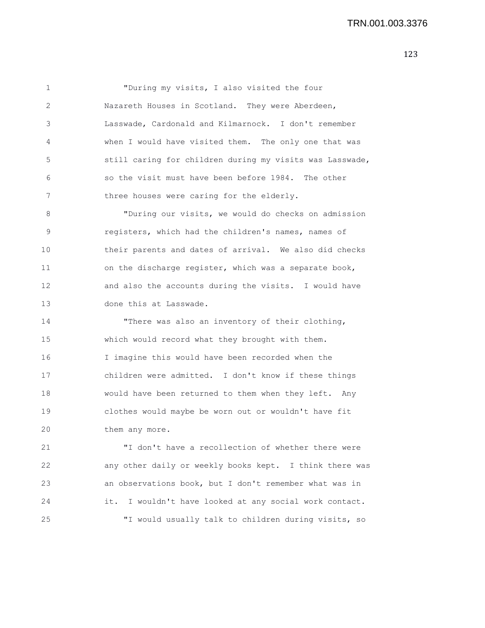1 "During my visits, I also visited the four 2 Nazareth Houses in Scotland. They were Aberdeen, 3 Lasswade, Cardonald and Kilmarnock. I don't remember 4 when I would have visited them. The only one that was 5 still caring for children during my visits was Lasswade, 6 so the visit must have been before 1984. The other 7 three houses were caring for the elderly.

8 "During our visits, we would do checks on admission 9 registers, which had the children's names, names of 10 their parents and dates of arrival. We also did checks 11 on the discharge register, which was a separate book, 12 and also the accounts during the visits. I would have 13 done this at Lasswade.

14 "There was also an inventory of their clothing, 15 which would record what they brought with them. 16 I imagine this would have been recorded when the 17 children were admitted. I don't know if these things 18 would have been returned to them when they left. Any 19 clothes would maybe be worn out or wouldn't have fit 20 them any more.

21 "I don't have a recollection of whether there were 22 any other daily or weekly books kept. I think there was 23 an observations book, but I don't remember what was in 24 it. I wouldn't have looked at any social work contact. 25 "I would usually talk to children during visits, so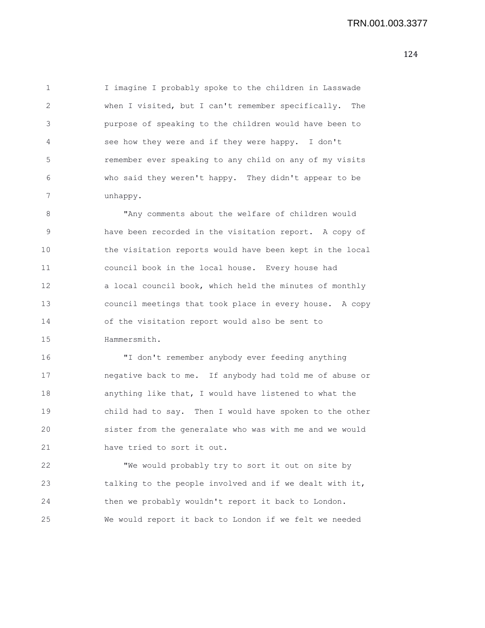1 I imagine I probably spoke to the children in Lasswade 2 when I visited, but I can't remember specifically. The 3 purpose of speaking to the children would have been to 4 see how they were and if they were happy. I don't 5 remember ever speaking to any child on any of my visits 6 who said they weren't happy. They didn't appear to be 7 unhappy.

8 "Any comments about the welfare of children would 9 have been recorded in the visitation report. A copy of 10 the visitation reports would have been kept in the local 11 council book in the local house. Every house had 12 a local council book, which held the minutes of monthly 13 council meetings that took place in every house. A copy 14 of the visitation report would also be sent to 15 Hammersmith.

16 "I don't remember anybody ever feeding anything 17 negative back to me. If anybody had told me of abuse or 18 anything like that, I would have listened to what the 19 child had to say. Then I would have spoken to the other 20 sister from the generalate who was with me and we would 21 have tried to sort it out.

22 "We would probably try to sort it out on site by 23 talking to the people involved and if we dealt with it, 24 then we probably wouldn't report it back to London. 25 We would report it back to London if we felt we needed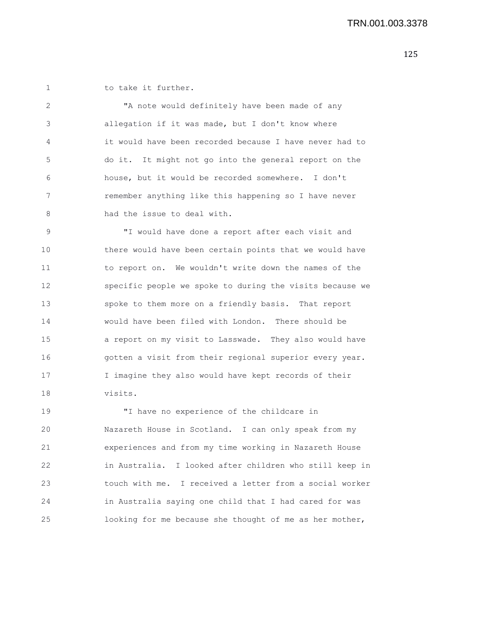1 to take it further.

2 "A note would definitely have been made of any 3 allegation if it was made, but I don't know where 4 it would have been recorded because I have never had to 5 do it. It might not go into the general report on the 6 house, but it would be recorded somewhere. I don't 7 remember anything like this happening so I have never 8 had the issue to deal with.

9 "I would have done a report after each visit and 10 there would have been certain points that we would have 11 to report on. We wouldn't write down the names of the 12 specific people we spoke to during the visits because we 13 spoke to them more on a friendly basis. That report 14 would have been filed with London. There should be 15 a report on my visit to Lasswade. They also would have 16 gotten a visit from their regional superior every year. 17 I imagine they also would have kept records of their 18 visits.

19 "I have no experience of the childcare in 20 Nazareth House in Scotland. I can only speak from my 21 experiences and from my time working in Nazareth House 22 in Australia. I looked after children who still keep in 23 touch with me. I received a letter from a social worker 24 in Australia saying one child that I had cared for was 25 looking for me because she thought of me as her mother,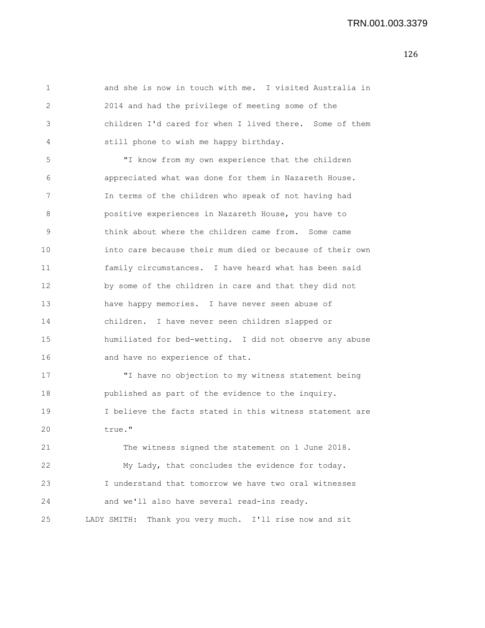1 and she is now in touch with me. I visited Australia in 2 2014 and had the privilege of meeting some of the 3 children I'd cared for when I lived there. Some of them 4 still phone to wish me happy birthday. 5 "I know from my own experience that the children 6 appreciated what was done for them in Nazareth House. 7 In terms of the children who speak of not having had 8 positive experiences in Nazareth House, you have to 9 think about where the children came from. Some came 10 into care because their mum died or because of their own 11 family circumstances. I have heard what has been said 12 by some of the children in care and that they did not 13 have happy memories. I have never seen abuse of 14 children. I have never seen children slapped or 15 humiliated for bed-wetting. I did not observe any abuse 16 and have no experience of that. 17 "I have no objection to my witness statement being 18 published as part of the evidence to the inquiry. 19 I believe the facts stated in this witness statement are 20 true." 21 The witness signed the statement on 1 June 2018. 22 My Lady, that concludes the evidence for today. 23 I understand that tomorrow we have two oral witnesses 24 and we'll also have several read-ins ready. 25 LADY SMITH: Thank you very much. I'll rise now and sit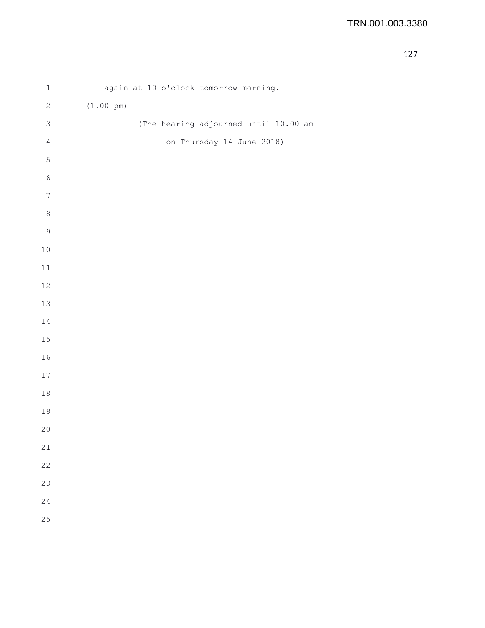| $\mathbf 1$      | again at 10 o'clock tomorrow morning. |
|------------------|---------------------------------------|
| $\sqrt{2}$       | $(1.00 \text{ pm})$                   |
| $\mathsf 3$      | (The hearing adjourned until 10.00 am |
| $\sqrt{4}$       | on Thursday 14 June 2018)             |
| $\mathbb S$      |                                       |
| $\epsilon$       |                                       |
| $\boldsymbol{7}$ |                                       |
| $\,8\,$          |                                       |
| $\mathsf 9$      |                                       |
| $10$             |                                       |
| $11\,$           |                                       |
| $12\,$           |                                       |
| $13\,$           |                                       |
| 14               |                                       |
| 15               |                                       |
| 16               |                                       |
| $17\,$           |                                       |
| $1\,8$           |                                       |
| 19               |                                       |
| $20$             |                                       |
| 21               |                                       |
| 22               |                                       |
| 23               |                                       |
| 24               |                                       |
| 25               |                                       |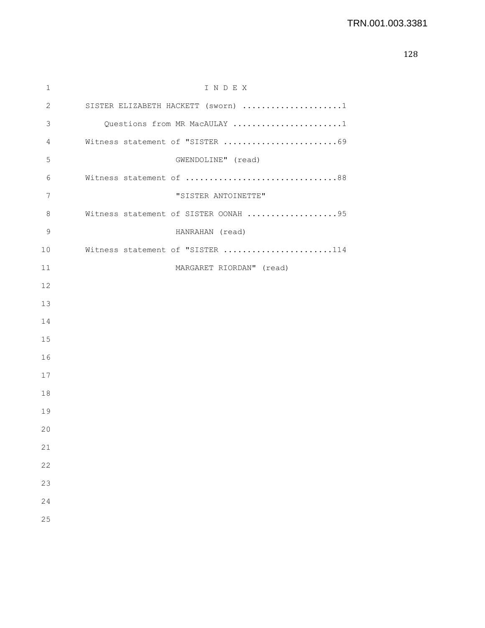| $\mathbf 1$ | INDEX                                |
|-------------|--------------------------------------|
| 2           | SISTER ELIZABETH HACKETT (sworn) 1   |
| 3           | Questions from MR MacAULAY 1         |
| 4           | Witness statement of "SISTER 69      |
| 5           | GWENDOLINE" (read)                   |
| 6           | Witness statement of 88              |
| 7           | "SISTER ANTOINETTE"                  |
| 8           | Witness statement of SISTER OONAH 95 |
| 9           | HANRAHAN (read)                      |
| 10          | Witness statement of "SISTER 114     |
| 11          | MARGARET RIORDAN" (read)             |
| 12          |                                      |
| 13          |                                      |
| 14          |                                      |
| 15          |                                      |
| 16          |                                      |
| 17          |                                      |
| 18          |                                      |
| 19          |                                      |
| 20          |                                      |
| 21          |                                      |
| 22          |                                      |
| 23          |                                      |
| 24          |                                      |
| 25          |                                      |